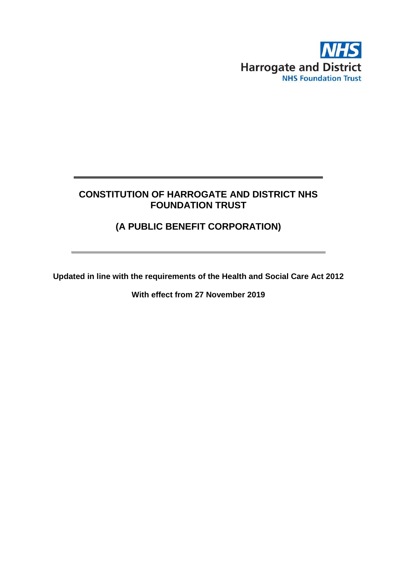

# **CONSTITUTION OF HARROGATE AND DISTRICT NHS FOUNDATION TRUST**

**\_\_\_\_\_\_\_\_\_\_\_\_\_\_\_\_\_\_\_\_\_\_\_\_\_\_\_\_\_\_\_\_\_\_\_\_\_\_\_\_\_\_\_\_\_\_\_\_**

# **(A PUBLIC BENEFIT CORPORATION)**

**\_\_\_\_\_\_\_\_\_\_\_\_\_\_\_\_\_\_\_\_\_\_\_\_\_\_\_\_\_\_\_\_\_\_\_\_\_\_\_\_\_\_\_\_\_\_\_\_\_**

**Updated in line with the requirements of the Health and Social Care Act 2012**

**With effect from 27 November 2019**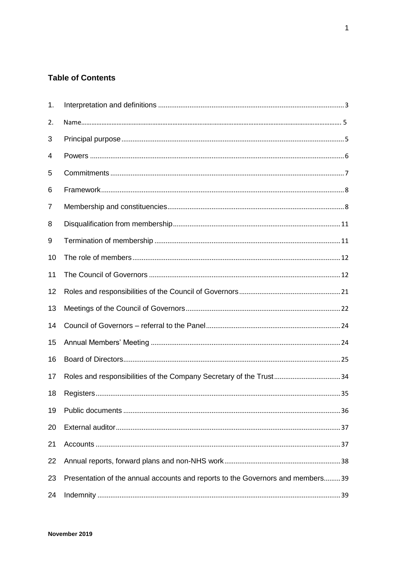## **Table of Contents**

| 1. |                                                                                |
|----|--------------------------------------------------------------------------------|
| 2. |                                                                                |
| 3  |                                                                                |
| 4  |                                                                                |
| 5  |                                                                                |
| 6  |                                                                                |
| 7  |                                                                                |
| 8  |                                                                                |
| 9  |                                                                                |
| 10 |                                                                                |
| 11 |                                                                                |
| 12 |                                                                                |
| 13 |                                                                                |
| 14 |                                                                                |
| 15 |                                                                                |
| 16 |                                                                                |
| 17 |                                                                                |
| 18 |                                                                                |
| 19 |                                                                                |
| 20 |                                                                                |
| 21 |                                                                                |
| 22 |                                                                                |
| 23 | Presentation of the annual accounts and reports to the Governors and members39 |
| 24 |                                                                                |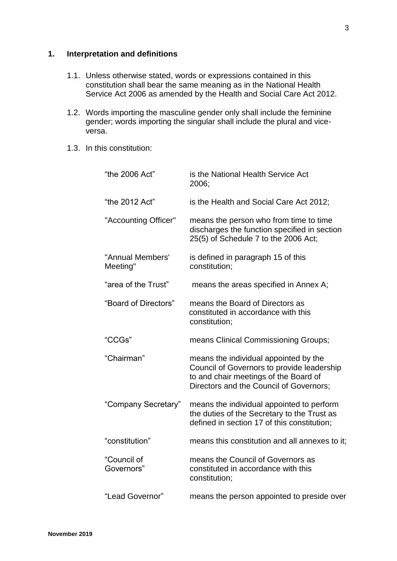## <span id="page-3-0"></span>**1. Interpretation and definitions**

- 1.1. Unless otherwise stated, words or expressions contained in this constitution shall bear the same meaning as in the National Health Service Act 2006 as amended by the Health and Social Care Act 2012.
- 1.2. Words importing the masculine gender only shall include the feminine gender; words importing the singular shall include the plural and viceversa.
- 1.3. In this constitution:

| "the 2006 Act"               | is the National Health Service Act<br>2006;                                                                                                                             |  |
|------------------------------|-------------------------------------------------------------------------------------------------------------------------------------------------------------------------|--|
| "the 2012 Act"               | is the Health and Social Care Act 2012;                                                                                                                                 |  |
| "Accounting Officer"         | means the person who from time to time<br>discharges the function specified in section<br>25(5) of Schedule 7 to the 2006 Act;                                          |  |
| "Annual Members'<br>Meeting" | is defined in paragraph 15 of this<br>constitution;                                                                                                                     |  |
| "area of the Trust"          | means the areas specified in Annex A;                                                                                                                                   |  |
| "Board of Directors"         | means the Board of Directors as<br>constituted in accordance with this<br>constitution;                                                                                 |  |
| "CCGs"                       | means Clinical Commissioning Groups;                                                                                                                                    |  |
| "Chairman"                   | means the individual appointed by the<br>Council of Governors to provide leadership<br>to and chair meetings of the Board of<br>Directors and the Council of Governors; |  |
| "Company Secretary"          | means the individual appointed to perform<br>the duties of the Secretary to the Trust as<br>defined in section 17 of this constitution;                                 |  |
| "constitution"               | means this constitution and all annexes to it;                                                                                                                          |  |
| "Council of<br>Governors"    | means the Council of Governors as<br>constituted in accordance with this<br>constitution;                                                                               |  |
| "Lead Governor"              | means the person appointed to preside over                                                                                                                              |  |
|                              |                                                                                                                                                                         |  |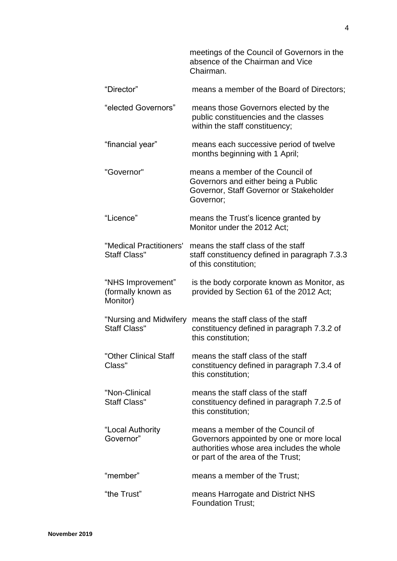|                                                     | meetings of the Council of Governors in the<br>absence of the Chairman and Vice<br>Chairman.                                                                   |
|-----------------------------------------------------|----------------------------------------------------------------------------------------------------------------------------------------------------------------|
| "Director"                                          | means a member of the Board of Directors;                                                                                                                      |
| "elected Governors"                                 | means those Governors elected by the<br>public constituencies and the classes<br>within the staff constituency;                                                |
| "financial year"                                    | means each successive period of twelve<br>months beginning with 1 April;                                                                                       |
| "Governor"                                          | means a member of the Council of<br>Governors and either being a Public<br>Governor, Staff Governor or Stakeholder<br>Governor;                                |
| "Licence"                                           | means the Trust's licence granted by<br>Monitor under the 2012 Act:                                                                                            |
| "Medical Practitioners'<br><b>Staff Class"</b>      | means the staff class of the staff<br>staff constituency defined in paragraph 7.3.3<br>of this constitution;                                                   |
| "NHS Improvement"<br>(formally known as<br>Monitor) | is the body corporate known as Monitor, as<br>provided by Section 61 of the 2012 Act;                                                                          |
| "Nursing and Midwifery<br><b>Staff Class"</b>       | means the staff class of the staff<br>constituency defined in paragraph 7.3.2 of<br>this constitution;                                                         |
| "Other Clinical Staff<br>Class"                     | means the staff class of the staff<br>constituency defined in paragraph 7.3.4 of<br>this constitution;                                                         |
| "Non-Clinical<br><b>Staff Class"</b>                | means the staff class of the staff<br>constituency defined in paragraph 7.2.5 of<br>this constitution;                                                         |
| "Local Authority<br>Governor"                       | means a member of the Council of<br>Governors appointed by one or more local<br>authorities whose area includes the whole<br>or part of the area of the Trust; |
| "member"                                            | means a member of the Trust;                                                                                                                                   |
| "the Trust"                                         | means Harrogate and District NHS<br><b>Foundation Trust;</b>                                                                                                   |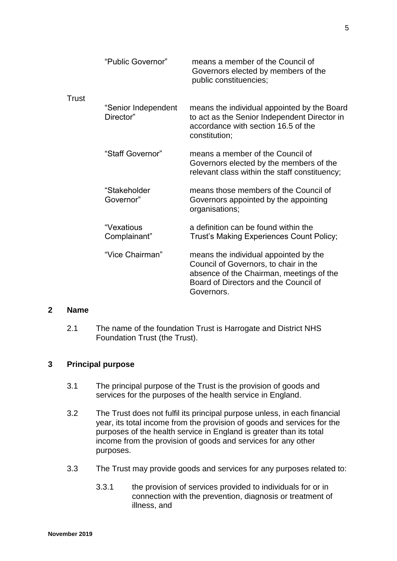|       | "Public Governor"                | means a member of the Council of<br>Governors elected by members of the<br>public constituencies;                                                                                 |
|-------|----------------------------------|-----------------------------------------------------------------------------------------------------------------------------------------------------------------------------------|
| Trust | "Senior Independent<br>Director" | means the individual appointed by the Board<br>to act as the Senior Independent Director in<br>accordance with section 16.5 of the<br>constitution;                               |
|       | "Staff Governor"                 | means a member of the Council of<br>Governors elected by the members of the<br>relevant class within the staff constituency;                                                      |
|       | "Stakeholder<br>Governor"        | means those members of the Council of<br>Governors appointed by the appointing<br>organisations;                                                                                  |
|       | "Vexatious<br>Complainant"       | a definition can be found within the<br>Trust's Making Experiences Count Policy;                                                                                                  |
|       | "Vice Chairman"                  | means the individual appointed by the<br>Council of Governors, to chair in the<br>absence of the Chairman, meetings of the<br>Board of Directors and the Council of<br>Governors. |

## **2 Name**

2.1 The name of the foundation Trust is Harrogate and District NHS Foundation Trust (the Trust).

## <span id="page-5-0"></span>**3 Principal purpose**

- 3.1 The principal purpose of the Trust is the provision of goods and services for the purposes of the health service in England.
- 3.2 The Trust does not fulfil its principal purpose unless, in each financial year, its total income from the provision of goods and services for the purposes of the health service in England is greater than its total income from the provision of goods and services for any other purposes.
- 3.3 The Trust may provide goods and services for any purposes related to:
	- 3.3.1 the provision of services provided to individuals for or in connection with the prevention, diagnosis or treatment of illness, and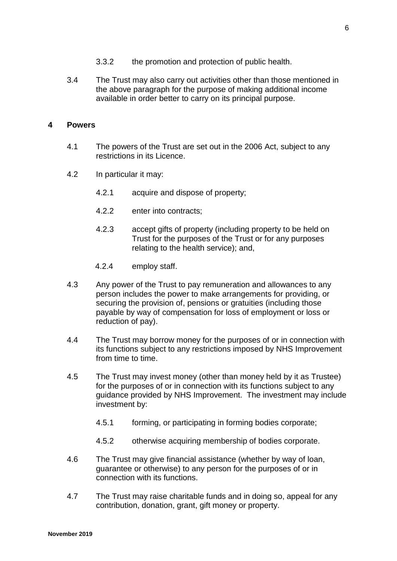- 3.3.2 the promotion and protection of public health.
- 3.4 The Trust may also carry out activities other than those mentioned in the above paragraph for the purpose of making additional income available in order better to carry on its principal purpose.

#### <span id="page-6-0"></span>**4 Powers**

- 4.1 The powers of the Trust are set out in the 2006 Act, subject to any restrictions in its Licence.
- 4.2 In particular it may:
	- 4.2.1 acquire and dispose of property;
	- 4.2.2 enter into contracts;
	- 4.2.3 accept gifts of property (including property to be held on Trust for the purposes of the Trust or for any purposes relating to the health service); and,
	- 4.2.4 employ staff.
- 4.3 Any power of the Trust to pay remuneration and allowances to any person includes the power to make arrangements for providing, or securing the provision of, pensions or gratuities (including those payable by way of compensation for loss of employment or loss or reduction of pay).
- 4.4 The Trust may borrow money for the purposes of or in connection with its functions subject to any restrictions imposed by NHS Improvement from time to time.
- 4.5 The Trust may invest money (other than money held by it as Trustee) for the purposes of or in connection with its functions subject to any guidance provided by NHS Improvement. The investment may include investment by:
	- 4.5.1 forming, or participating in forming bodies corporate;
	- 4.5.2 otherwise acquiring membership of bodies corporate.
- 4.6 The Trust may give financial assistance (whether by way of loan, guarantee or otherwise) to any person for the purposes of or in connection with its functions.
- 4.7 The Trust may raise charitable funds and in doing so, appeal for any contribution, donation, grant, gift money or property.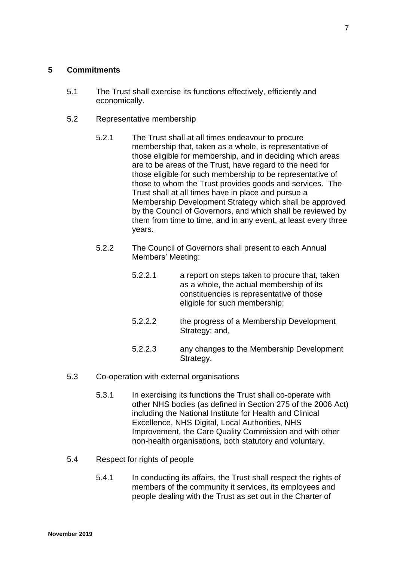#### <span id="page-7-0"></span>**5 Commitments**

- 5.1 The Trust shall exercise its functions effectively, efficiently and economically.
- 5.2 Representative membership
	- 5.2.1 The Trust shall at all times endeavour to procure membership that, taken as a whole, is representative of those eligible for membership, and in deciding which areas are to be areas of the Trust, have regard to the need for those eligible for such membership to be representative of those to whom the Trust provides goods and services. The Trust shall at all times have in place and pursue a Membership Development Strategy which shall be approved by the Council of Governors, and which shall be reviewed by them from time to time, and in any event, at least every three years.
	- 5.2.2 The Council of Governors shall present to each Annual Members' Meeting:
		- 5.2.2.1 a report on steps taken to procure that, taken as a whole, the actual membership of its constituencies is representative of those eligible for such membership;
		- 5.2.2.2 the progress of a Membership Development Strategy; and,
		- 5.2.2.3 any changes to the Membership Development Strategy.
- 5.3 Co-operation with external organisations
	- 5.3.1 In exercising its functions the Trust shall co-operate with other NHS bodies (as defined in Section 275 of the 2006 Act) including the National Institute for Health and Clinical Excellence, NHS Digital, Local Authorities, NHS Improvement, the Care Quality Commission and with other non-health organisations, both statutory and voluntary.
- 5.4 Respect for rights of people
	- 5.4.1 In conducting its affairs, the Trust shall respect the rights of members of the community it services, its employees and people dealing with the Trust as set out in the Charter of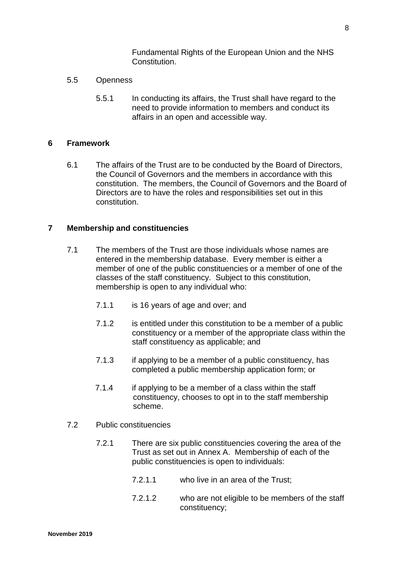Fundamental Rights of the European Union and the NHS Constitution.

- 5.5 Openness
	- 5.5.1 In conducting its affairs, the Trust shall have regard to the need to provide information to members and conduct its affairs in an open and accessible way.

#### <span id="page-8-0"></span>**6 Framework**

6.1 The affairs of the Trust are to be conducted by the Board of Directors, the Council of Governors and the members in accordance with this constitution. The members, the Council of Governors and the Board of Directors are to have the roles and responsibilities set out in this constitution.

## <span id="page-8-1"></span>**7 Membership and constituencies**

- 7.1 The members of the Trust are those individuals whose names are entered in the membership database. Every member is either a member of one of the public constituencies or a member of one of the classes of the staff constituency. Subject to this constitution, membership is open to any individual who:
	- 7.1.1 is 16 years of age and over; and
	- 7.1.2 is entitled under this constitution to be a member of a public constituency or a member of the appropriate class within the staff constituency as applicable; and
	- 7.1.3 if applying to be a member of a public constituency, has completed a public membership application form; or
	- 7.1.4 if applying to be a member of a class within the staff constituency, chooses to opt in to the staff membership scheme.
- 7.2 Public constituencies
	- 7.2.1 There are six public constituencies covering the area of the Trust as set out in Annex A. Membership of each of the public constituencies is open to individuals:
		- 7.2.1.1 who live in an area of the Trust;
		- 7.2.1.2 who are not eligible to be members of the staff constituency;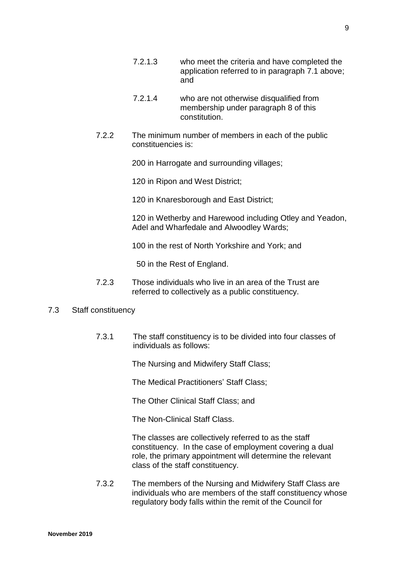- 7.2.1.3 who meet the criteria and have completed the application referred to in paragraph 7.1 above; and
- 7.2.1.4 who are not otherwise disqualified from membership under paragraph 8 of this constitution.
- 7.2.2 The minimum number of members in each of the public constituencies is:

200 in Harrogate and surrounding villages;

120 in Ripon and West District;

120 in Knaresborough and East District;

120 in Wetherby and Harewood including Otley and Yeadon, Adel and Wharfedale and Alwoodley Wards;

100 in the rest of North Yorkshire and York; and

50 in the Rest of England.

7.2.3 Those individuals who live in an area of the Trust are referred to collectively as a public constituency.

#### 7.3 Staff constituency

7.3.1 The staff constituency is to be divided into four classes of individuals as follows:

The Nursing and Midwifery Staff Class;

The Medical Practitioners' Staff Class;

The Other Clinical Staff Class; and

The Non-Clinical Staff Class.

The classes are collectively referred to as the staff constituency. In the case of employment covering a dual role, the primary appointment will determine the relevant class of the staff constituency.

7.3.2 The members of the Nursing and Midwifery Staff Class are individuals who are members of the staff constituency whose regulatory body falls within the remit of the Council for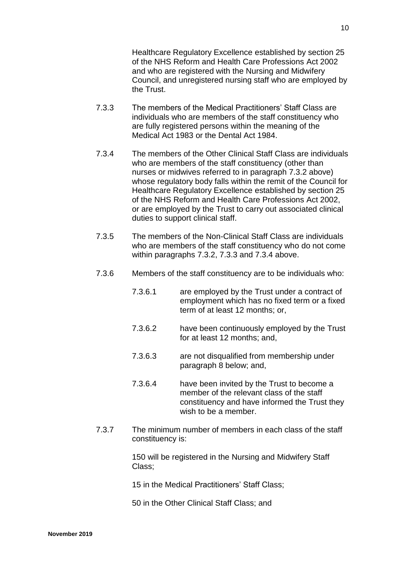Healthcare Regulatory Excellence established by section 25 of the NHS Reform and Health Care Professions Act 2002 and who are registered with the Nursing and Midwifery Council, and unregistered nursing staff who are employed by the Trust.

- 7.3.3 The members of the Medical Practitioners' Staff Class are individuals who are members of the staff constituency who are fully registered persons within the meaning of the Medical Act 1983 or the Dental Act 1984.
- 7.3.4 The members of the Other Clinical Staff Class are individuals who are members of the staff constituency (other than nurses or midwives referred to in paragraph 7.3.2 above) whose regulatory body falls within the remit of the Council for Healthcare Regulatory Excellence established by section 25 of the NHS Reform and Health Care Professions Act 2002, or are employed by the Trust to carry out associated clinical duties to support clinical staff.
- 7.3.5 The members of the Non-Clinical Staff Class are individuals who are members of the staff constituency who do not come within paragraphs 7.3.2, 7.3.3 and 7.3.4 above.
- 7.3.6 Members of the staff constituency are to be individuals who:
	- 7.3.6.1 are employed by the Trust under a contract of employment which has no fixed term or a fixed term of at least 12 months; or,
	- 7.3.6.2 have been continuously employed by the Trust for at least 12 months; and,
	- 7.3.6.3 are not disqualified from membership under paragraph 8 below; and,
	- 7.3.6.4 have been invited by the Trust to become a member of the relevant class of the staff constituency and have informed the Trust they wish to be a member.
- 7.3.7 The minimum number of members in each class of the staff constituency is:

150 will be registered in the Nursing and Midwifery Staff Class;

15 in the Medical Practitioners' Staff Class;

50 in the Other Clinical Staff Class; and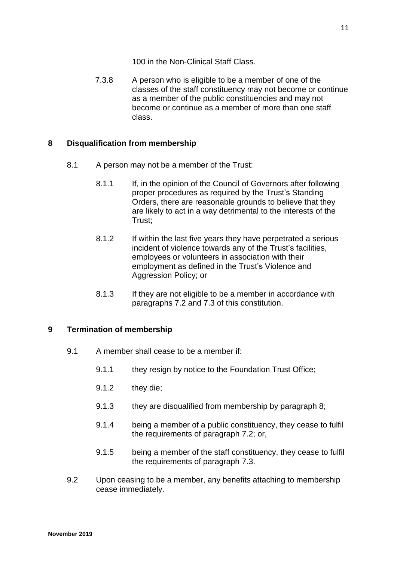100 in the Non-Clinical Staff Class.

7.3.8 A person who is eligible to be a member of one of the classes of the staff constituency may not become or continue as a member of the public constituencies and may not become or continue as a member of more than one staff class.

## <span id="page-11-0"></span>**8 Disqualification from membership**

- 8.1 A person may not be a member of the Trust:
	- 8.1.1 If, in the opinion of the Council of Governors after following proper procedures as required by the Trust's Standing Orders, there are reasonable grounds to believe that they are likely to act in a way detrimental to the interests of the Trust;
	- 8.1.2 If within the last five years they have perpetrated a serious incident of violence towards any of the Trust's facilities, employees or volunteers in association with their employment as defined in the Trust's Violence and Aggression Policy; or
	- 8.1.3 If they are not eligible to be a member in accordance with paragraphs 7.2 and 7.3 of this constitution.

## <span id="page-11-1"></span>**9 Termination of membership**

- 9.1 A member shall cease to be a member if:
	- 9.1.1 they resign by notice to the Foundation Trust Office:
	- 9.1.2 they die;
	- 9.1.3 they are disqualified from membership by paragraph 8;
	- 9.1.4 being a member of a public constituency, they cease to fulfil the requirements of paragraph 7.2; or,
	- 9.1.5 being a member of the staff constituency, they cease to fulfil the requirements of paragraph 7.3.
- 9.2 Upon ceasing to be a member, any benefits attaching to membership cease immediately.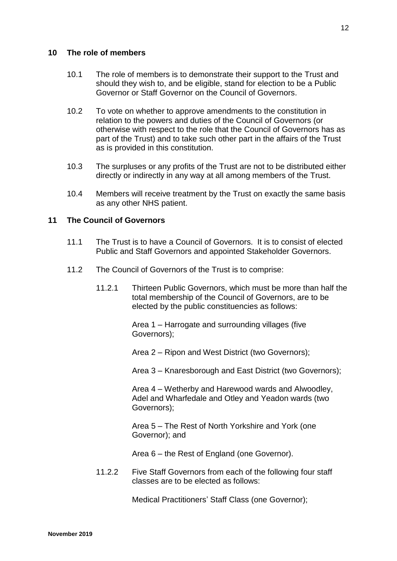## <span id="page-12-0"></span>**10 The role of members**

- 10.1 The role of members is to demonstrate their support to the Trust and should they wish to, and be eligible, stand for election to be a Public Governor or Staff Governor on the Council of Governors.
- 10.2 To vote on whether to approve amendments to the constitution in relation to the powers and duties of the Council of Governors (or otherwise with respect to the role that the Council of Governors has as part of the Trust) and to take such other part in the affairs of the Trust as is provided in this constitution.
- 10.3 The surpluses or any profits of the Trust are not to be distributed either directly or indirectly in any way at all among members of the Trust.
- 10.4 Members will receive treatment by the Trust on exactly the same basis as any other NHS patient.

## <span id="page-12-1"></span>**11 The Council of Governors**

- 11.1 The Trust is to have a Council of Governors. It is to consist of elected Public and Staff Governors and appointed Stakeholder Governors.
- 11.2 The Council of Governors of the Trust is to comprise:
	- 11.2.1 Thirteen Public Governors, which must be more than half the total membership of the Council of Governors, are to be elected by the public constituencies as follows:

Area 1 – Harrogate and surrounding villages (five Governors);

Area 2 – Ripon and West District (two Governors);

Area 3 – Knaresborough and East District (two Governors);

Area 4 – Wetherby and Harewood wards and Alwoodley, Adel and Wharfedale and Otley and Yeadon wards (two Governors);

Area 5 – The Rest of North Yorkshire and York (one Governor); and

Area 6 – the Rest of England (one Governor).

11.2.2 Five Staff Governors from each of the following four staff classes are to be elected as follows:

Medical Practitioners' Staff Class (one Governor);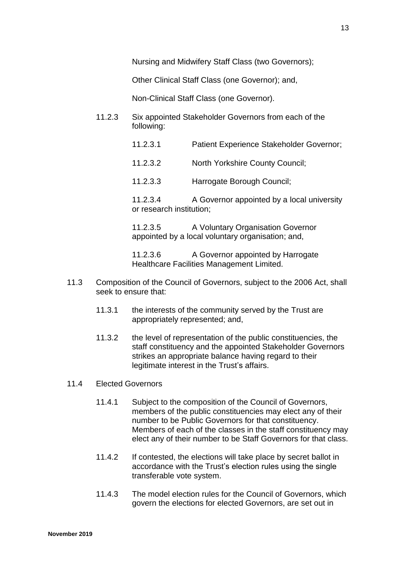Nursing and Midwifery Staff Class (two Governors);

Other Clinical Staff Class (one Governor); and,

Non-Clinical Staff Class (one Governor).

- 11.2.3 Six appointed Stakeholder Governors from each of the following:
	- 11.2.3.1 Patient Experience Stakeholder Governor;
	- 11.2.3.2 North Yorkshire County Council;
	- 11.2.3.3 Harrogate Borough Council;

11.2.3.4 A Governor appointed by a local university or research institution;

11.2.3.5 A Voluntary Organisation Governor appointed by a local voluntary organisation; and,

11.2.3.6 A Governor appointed by Harrogate Healthcare Facilities Management Limited.

- 11.3 Composition of the Council of Governors, subject to the 2006 Act, shall seek to ensure that:
	- 11.3.1 the interests of the community served by the Trust are appropriately represented; and,
	- 11.3.2 the level of representation of the public constituencies, the staff constituency and the appointed Stakeholder Governors strikes an appropriate balance having regard to their legitimate interest in the Trust's affairs.

#### 11.4 Elected Governors

- 11.4.1 Subject to the composition of the Council of Governors, members of the public constituencies may elect any of their number to be Public Governors for that constituency. Members of each of the classes in the staff constituency may elect any of their number to be Staff Governors for that class.
- 11.4.2 If contested, the elections will take place by secret ballot in accordance with the Trust's election rules using the single transferable vote system.
- 11.4.3 The model election rules for the Council of Governors, which govern the elections for elected Governors, are set out in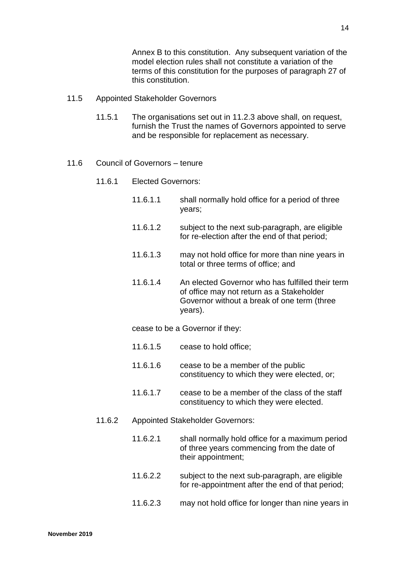Annex B to this constitution. Any subsequent variation of the model election rules shall not constitute a variation of the terms of this constitution for the purposes of paragraph 27 of this constitution.

- 11.5 Appointed Stakeholder Governors
	- 11.5.1 The organisations set out in 11.2.3 above shall, on request, furnish the Trust the names of Governors appointed to serve and be responsible for replacement as necessary.
- 11.6 Council of Governors tenure
	- 11.6.1 Elected Governors:
		- 11.6.1.1 shall normally hold office for a period of three years;
		- 11.6.1.2 subject to the next sub-paragraph, are eligible for re-election after the end of that period;
		- 11.6.1.3 may not hold office for more than nine years in total or three terms of office; and
		- 11.6.1.4 An elected Governor who has fulfilled their term of office may not return as a Stakeholder Governor without a break of one term (three years).

cease to be a Governor if they:

- 11.6.1.5 cease to hold office;
- 11.6.1.6 cease to be a member of the public constituency to which they were elected, or;
- 11.6.1.7 cease to be a member of the class of the staff constituency to which they were elected.
- 11.6.2 Appointed Stakeholder Governors:
	- 11.6.2.1 shall normally hold office for a maximum period of three years commencing from the date of their appointment;
	- 11.6.2.2 subject to the next sub-paragraph, are eligible for re-appointment after the end of that period;
	- 11.6.2.3 may not hold office for longer than nine years in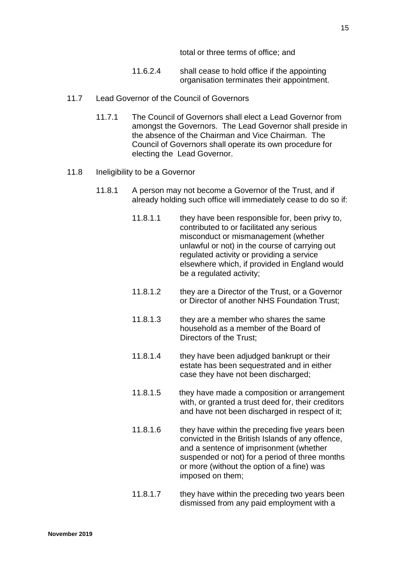total or three terms of office; and

- 11.6.2.4 shall cease to hold office if the appointing organisation terminates their appointment.
- 11.7 Lead Governor of the Council of Governors
	- 11.7.1 The Council of Governors shall elect a Lead Governor from amongst the Governors. The Lead Governor shall preside in the absence of the Chairman and Vice Chairman. The Council of Governors shall operate its own procedure for electing the Lead Governor.
- 11.8 Ineligibility to be a Governor
	- 11.8.1 A person may not become a Governor of the Trust, and if already holding such office will immediately cease to do so if:
		- 11.8.1.1 they have been responsible for, been privy to, contributed to or facilitated any serious misconduct or mismanagement (whether unlawful or not) in the course of carrying out regulated activity or providing a service elsewhere which, if provided in England would be a regulated activity;
		- 11.8.1.2 they are a Director of the Trust, or a Governor or Director of another NHS Foundation Trust;
		- 11.8.1.3 they are a member who shares the same household as a member of the Board of Directors of the Trust;
		- 11.8.1.4 they have been adjudged bankrupt or their estate has been sequestrated and in either case they have not been discharged;
		- 11.8.1.5 they have made a composition or arrangement with, or granted a trust deed for, their creditors and have not been discharged in respect of it;
		- 11.8.1.6 they have within the preceding five years been convicted in the British Islands of any offence, and a sentence of imprisonment (whether suspended or not) for a period of three months or more (without the option of a fine) was imposed on them;
		- 11.8.1.7 they have within the preceding two years been dismissed from any paid employment with a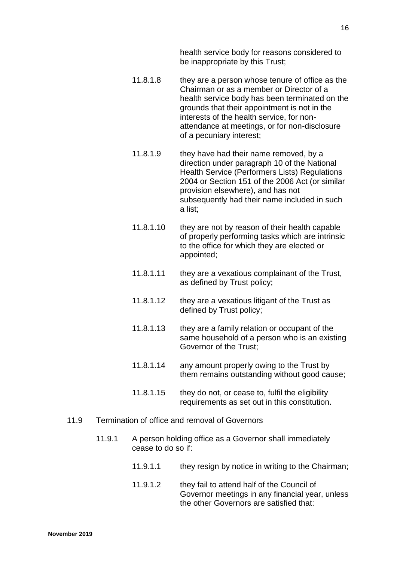health service body for reasons considered to be inappropriate by this Trust;

- 11.8.1.8 they are a person whose tenure of office as the Chairman or as a member or Director of a health service body has been terminated on the grounds that their appointment is not in the interests of the health service, for nonattendance at meetings, or for non-disclosure of a pecuniary interest;
- 11.8.1.9 they have had their name removed, by a direction under paragraph 10 of the National Health Service (Performers Lists) Regulations 2004 or Section 151 of the 2006 Act (or similar provision elsewhere), and has not subsequently had their name included in such a list;
- 11.8.1.10 they are not by reason of their health capable of properly performing tasks which are intrinsic to the office for which they are elected or appointed;
- 11.8.1.11 they are a vexatious complainant of the Trust, as defined by Trust policy;
- 11.8.1.12 they are a vexatious litigant of the Trust as defined by Trust policy;
- 11.8.1.13 they are a family relation or occupant of the same household of a person who is an existing Governor of the Trust;
- 11.8.1.14 any amount properly owing to the Trust by them remains outstanding without good cause;
- 11.8.1.15 they do not, or cease to, fulfil the eligibility requirements as set out in this constitution.
- 11.9 Termination of office and removal of Governors
	- 11.9.1 A person holding office as a Governor shall immediately cease to do so if:
		- 11.9.1.1 they resign by notice in writing to the Chairman;
		- 11.9.1.2 they fail to attend half of the Council of Governor meetings in any financial year, unless the other Governors are satisfied that: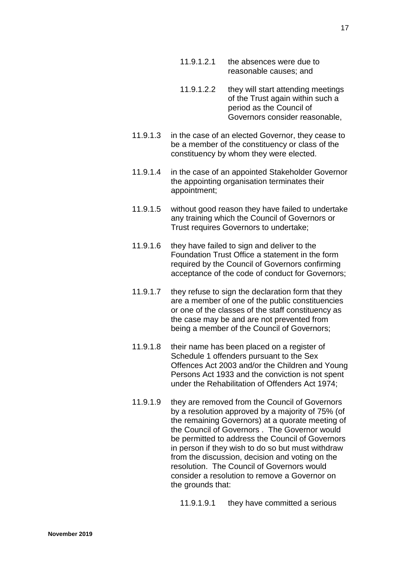- 11.9.1.2.1 the absences were due to reasonable causes; and
- 11.9.1.2.2 they will start attending meetings of the Trust again within such a period as the Council of Governors consider reasonable,
- 11.9.1.3 in the case of an elected Governor, they cease to be a member of the constituency or class of the constituency by whom they were elected.
- 11.9.1.4 in the case of an appointed Stakeholder Governor the appointing organisation terminates their appointment;
- 11.9.1.5 without good reason they have failed to undertake any training which the Council of Governors or Trust requires Governors to undertake;
- 11.9.1.6 they have failed to sign and deliver to the Foundation Trust Office a statement in the form required by the Council of Governors confirming acceptance of the code of conduct for Governors;
- 11.9.1.7 they refuse to sign the declaration form that they are a member of one of the public constituencies or one of the classes of the staff constituency as the case may be and are not prevented from being a member of the Council of Governors;
- 11.9.1.8 their name has been placed on a register of Schedule 1 offenders pursuant to the Sex Offences Act 2003 and/or the Children and Young Persons Act 1933 and the conviction is not spent under the Rehabilitation of Offenders Act 1974;
- 11.9.1.9 they are removed from the Council of Governors by a resolution approved by a majority of 75% (of the remaining Governors) at a quorate meeting of the Council of Governors . The Governor would be permitted to address the Council of Governors in person if they wish to do so but must withdraw from the discussion, decision and voting on the resolution. The Council of Governors would consider a resolution to remove a Governor on the grounds that:

11.9.1.9.1 they have committed a serious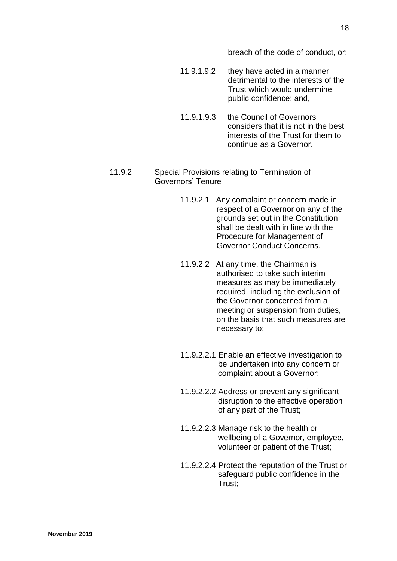breach of the code of conduct, or;

- 11.9.1.9.2 they have acted in a manner detrimental to the interests of the Trust which would undermine public confidence; and,
- 11.9.1.9.3 the Council of Governors considers that it is not in the best interests of the Trust for them to continue as a Governor.
- 11.9.2 Special Provisions relating to Termination of Governors' Tenure
	- 11.9.2.1 Any complaint or concern made in respect of a Governor on any of the grounds set out in the Constitution shall be dealt with in line with the Procedure for Management of Governor Conduct Concerns.
	- 11.9.2.2 At any time, the Chairman is authorised to take such interim measures as may be immediately required, including the exclusion of the Governor concerned from a meeting or suspension from duties, on the basis that such measures are necessary to:
	- 11.9.2.2.1 Enable an effective investigation to be undertaken into any concern or complaint about a Governor;
	- 11.9.2.2.2 Address or prevent any significant disruption to the effective operation of any part of the Trust;
	- 11.9.2.2.3 Manage risk to the health or wellbeing of a Governor, employee, volunteer or patient of the Trust;
	- 11.9.2.2.4 Protect the reputation of the Trust or safeguard public confidence in the Trust;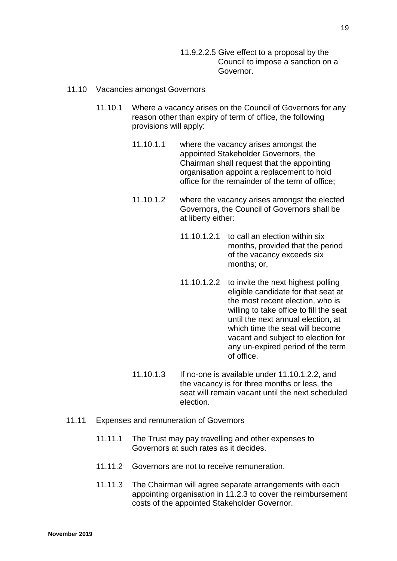11.9.2.2.5 Give effect to a proposal by the Council to impose a sanction on a Governor.

#### 11.10 Vacancies amongst Governors

- 11.10.1 Where a vacancy arises on the Council of Governors for any reason other than expiry of term of office, the following provisions will apply:
	- 11.10.1.1 where the vacancy arises amongst the appointed Stakeholder Governors, the Chairman shall request that the appointing organisation appoint a replacement to hold office for the remainder of the term of office;
	- 11.10.1.2 where the vacancy arises amongst the elected Governors, the Council of Governors shall be at liberty either:
		- 11.10.1.2.1 to call an election within six months, provided that the period of the vacancy exceeds six months; or,
		- 11.10.1.2.2 to invite the next highest polling eligible candidate for that seat at the most recent election, who is willing to take office to fill the seat until the next annual election, at which time the seat will become vacant and subject to election for any un-expired period of the term of office.
	- 11.10.1.3 If no-one is available under 11.10.1.2.2, and the vacancy is for three months or less, the seat will remain vacant until the next scheduled election.
- 11.11 Expenses and remuneration of Governors
	- 11.11.1 The Trust may pay travelling and other expenses to Governors at such rates as it decides.
	- 11.11.2 Governors are not to receive remuneration.
	- 11.11.3 The Chairman will agree separate arrangements with each appointing organisation in 11.2.3 to cover the reimbursement costs of the appointed Stakeholder Governor.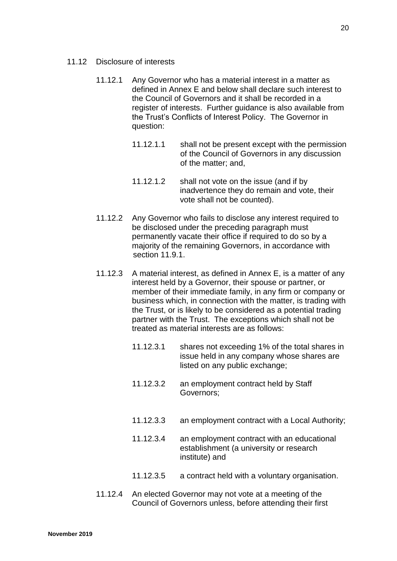- 11.12 Disclosure of interests
	- 11.12.1 Any Governor who has a material interest in a matter as defined in Annex E and below shall declare such interest to the Council of Governors and it shall be recorded in a register of interests. Further guidance is also available from the Trust's Conflicts of Interest Policy. The Governor in question:
		- 11.12.1.1 shall not be present except with the permission of the Council of Governors in any discussion of the matter; and,
		- 11.12.1.2 shall not vote on the issue (and if by inadvertence they do remain and vote, their vote shall not be counted).
	- 11.12.2 Any Governor who fails to disclose any interest required to be disclosed under the preceding paragraph must permanently vacate their office if required to do so by a majority of the remaining Governors, in accordance with section 11.9.1.
	- 11.12.3 A material interest, as defined in Annex E, is a matter of any interest held by a Governor, their spouse or partner, or member of their immediate family, in any firm or company or business which, in connection with the matter, is trading with the Trust, or is likely to be considered as a potential trading partner with the Trust. The exceptions which shall not be treated as material interests are as follows:
		- 11.12.3.1 shares not exceeding 1% of the total shares in issue held in any company whose shares are listed on any public exchange;
		- 11.12.3.2 an employment contract held by Staff Governors;
		- 11.12.3.3 an employment contract with a Local Authority;
		- 11.12.3.4 an employment contract with an educational establishment (a university or research institute) and
		- 11.12.3.5 a contract held with a voluntary organisation.
	- 11.12.4 An elected Governor may not vote at a meeting of the Council of Governors unless, before attending their first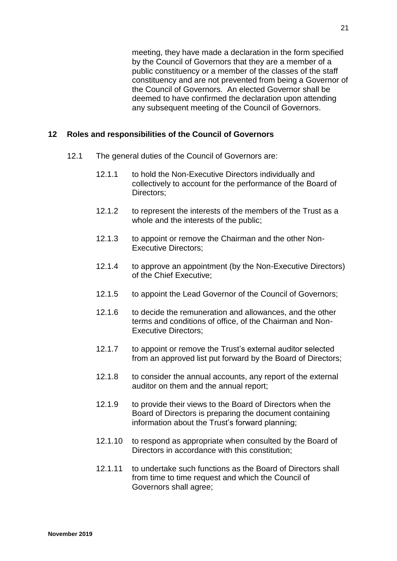meeting, they have made a declaration in the form specified by the Council of Governors that they are a member of a public constituency or a member of the classes of the staff constituency and are not prevented from being a Governor of the Council of Governors. An elected Governor shall be deemed to have confirmed the declaration upon attending any subsequent meeting of the Council of Governors.

## <span id="page-21-0"></span>**12 Roles and responsibilities of the Council of Governors**

- 12.1 The general duties of the Council of Governors are:
	- 12.1.1 to hold the Non-Executive Directors individually and collectively to account for the performance of the Board of Directors:
	- 12.1.2 to represent the interests of the members of the Trust as a whole and the interests of the public;
	- 12.1.3 to appoint or remove the Chairman and the other Non-Executive Directors;
	- 12.1.4 to approve an appointment (by the Non-Executive Directors) of the Chief Executive;
	- 12.1.5 to appoint the Lead Governor of the Council of Governors;
	- 12.1.6 to decide the remuneration and allowances, and the other terms and conditions of office, of the Chairman and Non-Executive Directors;
	- 12.1.7 to appoint or remove the Trust's external auditor selected from an approved list put forward by the Board of Directors;
	- 12.1.8 to consider the annual accounts, any report of the external auditor on them and the annual report;
	- 12.1.9 to provide their views to the Board of Directors when the Board of Directors is preparing the document containing information about the Trust's forward planning;
	- 12.1.10 to respond as appropriate when consulted by the Board of Directors in accordance with this constitution;
	- 12.1.11 to undertake such functions as the Board of Directors shall from time to time request and which the Council of Governors shall agree;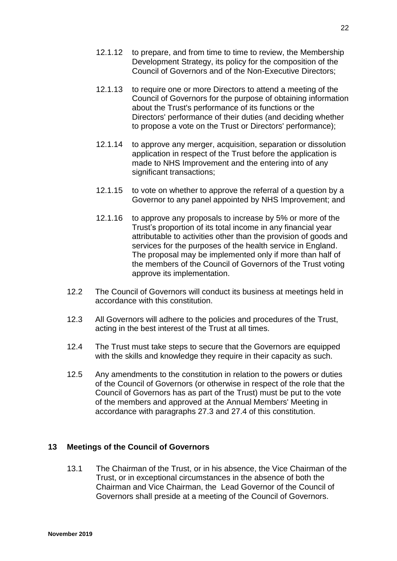- 12.1.12 to prepare, and from time to time to review, the Membership Development Strategy, its policy for the composition of the Council of Governors and of the Non-Executive Directors;
- 12.1.13 to require one or more Directors to attend a meeting of the Council of Governors for the purpose of obtaining information about the Trust's performance of its functions or the Directors' performance of their duties (and deciding whether to propose a vote on the Trust or Directors' performance);
- 12.1.14 to approve any merger, acquisition, separation or dissolution application in respect of the Trust before the application is made to NHS Improvement and the entering into of any significant transactions;
- 12.1.15 to vote on whether to approve the referral of a question by a Governor to any panel appointed by NHS Improvement; and
- 12.1.16 to approve any proposals to increase by 5% or more of the Trust's proportion of its total income in any financial year attributable to activities other than the provision of goods and services for the purposes of the health service in England. The proposal may be implemented only if more than half of the members of the Council of Governors of the Trust voting approve its implementation.
- 12.2 The Council of Governors will conduct its business at meetings held in accordance with this constitution.
- 12.3 All Governors will adhere to the policies and procedures of the Trust, acting in the best interest of the Trust at all times.
- 12.4 The Trust must take steps to secure that the Governors are equipped with the skills and knowledge they require in their capacity as such.
- 12.5 Any amendments to the constitution in relation to the powers or duties of the Council of Governors (or otherwise in respect of the role that the Council of Governors has as part of the Trust) must be put to the vote of the members and approved at the Annual Members' Meeting in accordance with paragraphs 27.3 and 27.4 of this constitution.

## <span id="page-22-0"></span>**13 Meetings of the Council of Governors**

13.1 The Chairman of the Trust, or in his absence, the Vice Chairman of the Trust, or in exceptional circumstances in the absence of both the Chairman and Vice Chairman, the Lead Governor of the Council of Governors shall preside at a meeting of the Council of Governors.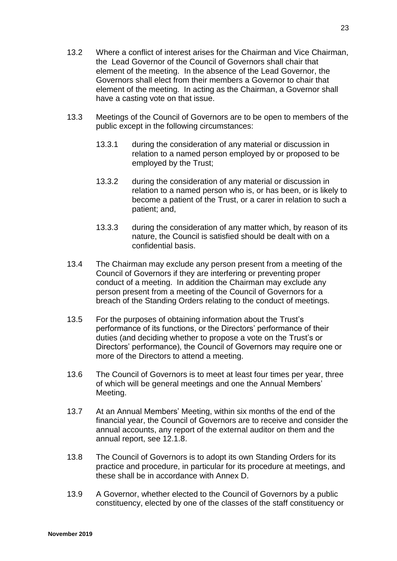- 13.2 Where a conflict of interest arises for the Chairman and Vice Chairman, the Lead Governor of the Council of Governors shall chair that element of the meeting. In the absence of the Lead Governor, the Governors shall elect from their members a Governor to chair that element of the meeting. In acting as the Chairman, a Governor shall have a casting vote on that issue.
- 13.3 Meetings of the Council of Governors are to be open to members of the public except in the following circumstances:
	- 13.3.1 during the consideration of any material or discussion in relation to a named person employed by or proposed to be employed by the Trust;
	- 13.3.2 during the consideration of any material or discussion in relation to a named person who is, or has been, or is likely to become a patient of the Trust, or a carer in relation to such a patient; and,
	- 13.3.3 during the consideration of any matter which, by reason of its nature, the Council is satisfied should be dealt with on a confidential basis.
- 13.4 The Chairman may exclude any person present from a meeting of the Council of Governors if they are interfering or preventing proper conduct of a meeting. In addition the Chairman may exclude any person present from a meeting of the Council of Governors for a breach of the Standing Orders relating to the conduct of meetings.
- 13.5 For the purposes of obtaining information about the Trust's performance of its functions, or the Directors' performance of their duties (and deciding whether to propose a vote on the Trust's or Directors' performance), the Council of Governors may require one or more of the Directors to attend a meeting.
- 13.6 The Council of Governors is to meet at least four times per year, three of which will be general meetings and one the Annual Members' Meeting.
- 13.7 At an Annual Members' Meeting, within six months of the end of the financial year, the Council of Governors are to receive and consider the annual accounts, any report of the external auditor on them and the annual report, see 12.1.8.
- 13.8 The Council of Governors is to adopt its own Standing Orders for its practice and procedure, in particular for its procedure at meetings, and these shall be in accordance with Annex D.
- 13.9 A Governor, whether elected to the Council of Governors by a public constituency, elected by one of the classes of the staff constituency or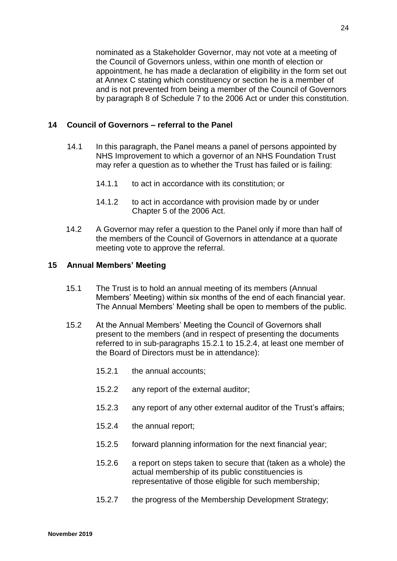nominated as a Stakeholder Governor, may not vote at a meeting of the Council of Governors unless, within one month of election or appointment, he has made a declaration of eligibility in the form set out at Annex C stating which constituency or section he is a member of and is not prevented from being a member of the Council of Governors by paragraph 8 of Schedule 7 to the 2006 Act or under this constitution.

#### <span id="page-24-0"></span>**14 Council of Governors – referral to the Panel**

- 14.1 In this paragraph, the Panel means a panel of persons appointed by NHS Improvement to which a governor of an NHS Foundation Trust may refer a question as to whether the Trust has failed or is failing:
	- 14.1.1 to act in accordance with its constitution; or
	- 14.1.2 to act in accordance with provision made by or under Chapter 5 of the 2006 Act.
- 14.2 A Governor may refer a question to the Panel only if more than half of the members of the Council of Governors in attendance at a quorate meeting vote to approve the referral.

#### <span id="page-24-1"></span>**15 Annual Members' Meeting**

- 15.1 The Trust is to hold an annual meeting of its members (Annual Members' Meeting) within six months of the end of each financial year. The Annual Members' Meeting shall be open to members of the public.
- 15.2 At the Annual Members' Meeting the Council of Governors shall present to the members (and in respect of presenting the documents referred to in sub-paragraphs 15.2.1 to 15.2.4, at least one member of the Board of Directors must be in attendance):
	- 15.2.1 the annual accounts;
	- 15.2.2 any report of the external auditor;
	- 15.2.3 any report of any other external auditor of the Trust's affairs;
	- 15.2.4 the annual report;
	- 15.2.5 forward planning information for the next financial year;
	- 15.2.6 a report on steps taken to secure that (taken as a whole) the actual membership of its public constituencies is representative of those eligible for such membership;
	- 15.2.7 the progress of the Membership Development Strategy;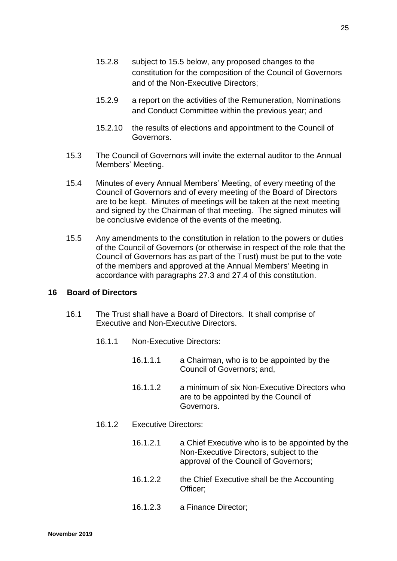- 15.2.8 subject to 15.5 below, any proposed changes to the constitution for the composition of the Council of Governors and of the Non-Executive Directors;
- 15.2.9 a report on the activities of the Remuneration, Nominations and Conduct Committee within the previous year; and
- 15.2.10 the results of elections and appointment to the Council of Governors.
- 15.3 The Council of Governors will invite the external auditor to the Annual Members' Meeting.
- 15.4 Minutes of every Annual Members' Meeting, of every meeting of the Council of Governors and of every meeting of the Board of Directors are to be kept. Minutes of meetings will be taken at the next meeting and signed by the Chairman of that meeting. The signed minutes will be conclusive evidence of the events of the meeting.
- 15.5 Any amendments to the constitution in relation to the powers or duties of the Council of Governors (or otherwise in respect of the role that the Council of Governors has as part of the Trust) must be put to the vote of the members and approved at the Annual Members' Meeting in accordance with paragraphs 27.3 and 27.4 of this constitution.

## <span id="page-25-0"></span>**16 Board of Directors**

- 16.1 The Trust shall have a Board of Directors. It shall comprise of Executive and Non-Executive Directors.
	- 16.1.1 Non-Executive Directors:
		- 16.1.1.1 a Chairman, who is to be appointed by the Council of Governors; and,
		- 16.1.1.2 a minimum of six Non-Executive Directors who are to be appointed by the Council of Governors.
	- 16.1.2 Executive Directors:
		- 16.1.2.1 a Chief Executive who is to be appointed by the Non-Executive Directors, subject to the approval of the Council of Governors;
		- 16.1.2.2 the Chief Executive shall be the Accounting Officer;
		- 16.1.2.3 a Finance Director;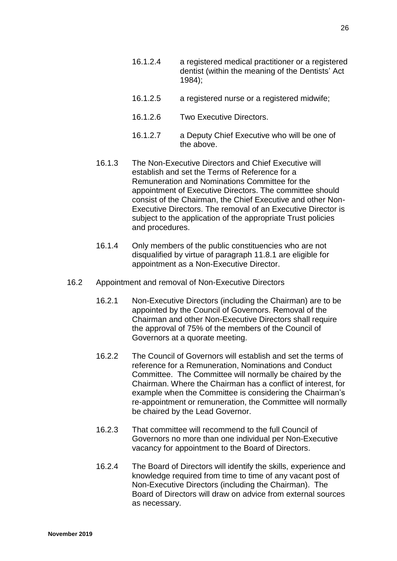- 16.1.2.4 a registered medical practitioner or a registered dentist (within the meaning of the Dentists' Act 1984);
- 16.1.2.5 a registered nurse or a registered midwife;
- 16.1.2.6 Two Executive Directors.
- 16.1.2.7 a Deputy Chief Executive who will be one of the above.
- 16.1.3 The Non-Executive Directors and Chief Executive will establish and set the Terms of Reference for a Remuneration and Nominations Committee for the appointment of Executive Directors. The committee should consist of the Chairman, the Chief Executive and other Non-Executive Directors. The removal of an Executive Director is subject to the application of the appropriate Trust policies and procedures.
- 16.1.4 Only members of the public constituencies who are not disqualified by virtue of paragraph 11.8.1 are eligible for appointment as a Non-Executive Director.
- 16.2 Appointment and removal of Non-Executive Directors
	- 16.2.1 Non-Executive Directors (including the Chairman) are to be appointed by the Council of Governors. Removal of the Chairman and other Non-Executive Directors shall require the approval of 75% of the members of the Council of Governors at a quorate meeting.
	- 16.2.2 The Council of Governors will establish and set the terms of reference for a Remuneration, Nominations and Conduct Committee. The Committee will normally be chaired by the Chairman. Where the Chairman has a conflict of interest, for example when the Committee is considering the Chairman's re-appointment or remuneration, the Committee will normally be chaired by the Lead Governor.
	- 16.2.3 That committee will recommend to the full Council of Governors no more than one individual per Non-Executive vacancy for appointment to the Board of Directors.
	- 16.2.4 The Board of Directors will identify the skills, experience and knowledge required from time to time of any vacant post of Non-Executive Directors (including the Chairman). The Board of Directors will draw on advice from external sources as necessary.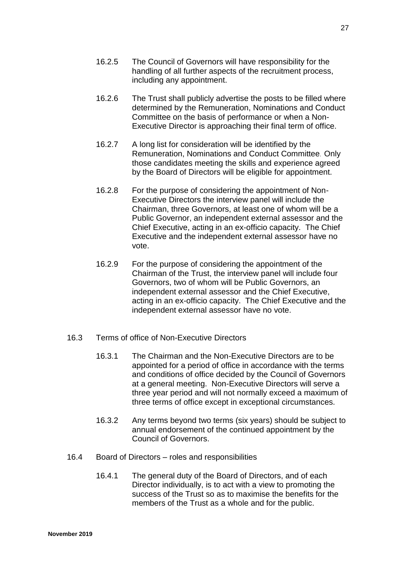- 16.2.5 The Council of Governors will have responsibility for the handling of all further aspects of the recruitment process, including any appointment.
- 16.2.6 The Trust shall publicly advertise the posts to be filled where determined by the Remuneration, Nominations and Conduct Committee on the basis of performance or when a Non-Executive Director is approaching their final term of office.
- 16.2.7 A long list for consideration will be identified by the Remuneration, Nominations and Conduct Committee. Only those candidates meeting the skills and experience agreed by the Board of Directors will be eligible for appointment.
- 16.2.8 For the purpose of considering the appointment of Non-Executive Directors the interview panel will include the Chairman, three Governors, at least one of whom will be a Public Governor, an independent external assessor and the Chief Executive, acting in an ex-officio capacity. The Chief Executive and the independent external assessor have no vote.
- 16.2.9 For the purpose of considering the appointment of the Chairman of the Trust, the interview panel will include four Governors, two of whom will be Public Governors, an independent external assessor and the Chief Executive, acting in an ex-officio capacity. The Chief Executive and the independent external assessor have no vote.
- 16.3 Terms of office of Non-Executive Directors
	- 16.3.1 The Chairman and the Non-Executive Directors are to be appointed for a period of office in accordance with the terms and conditions of office decided by the Council of Governors at a general meeting. Non-Executive Directors will serve a three year period and will not normally exceed a maximum of three terms of office except in exceptional circumstances.
	- 16.3.2 Any terms beyond two terms (six years) should be subject to annual endorsement of the continued appointment by the Council of Governors.
- 16.4 Board of Directors roles and responsibilities
	- 16.4.1 The general duty of the Board of Directors, and of each Director individually, is to act with a view to promoting the success of the Trust so as to maximise the benefits for the members of the Trust as a whole and for the public.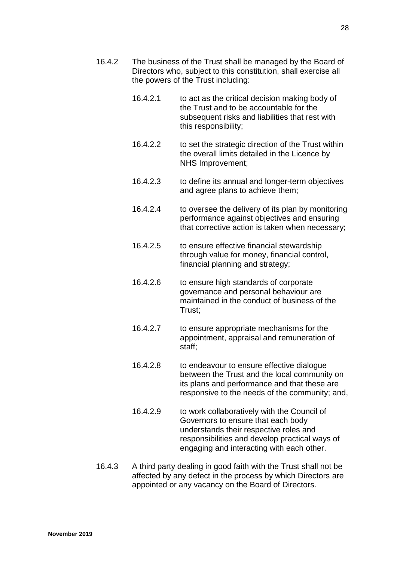- 16.4.2 The business of the Trust shall be managed by the Board of Directors who, subject to this constitution, shall exercise all the powers of the Trust including:
	- 16.4.2.1 to act as the critical decision making body of the Trust and to be accountable for the subsequent risks and liabilities that rest with this responsibility;
	- 16.4.2.2 to set the strategic direction of the Trust within the overall limits detailed in the Licence by NHS Improvement;
	- 16.4.2.3 to define its annual and longer-term objectives and agree plans to achieve them;
	- 16.4.2.4 to oversee the delivery of its plan by monitoring performance against objectives and ensuring that corrective action is taken when necessary;
	- 16.4.2.5 to ensure effective financial stewardship through value for money, financial control, financial planning and strategy;
	- 16.4.2.6 to ensure high standards of corporate governance and personal behaviour are maintained in the conduct of business of the Trust;
	- 16.4.2.7 to ensure appropriate mechanisms for the appointment, appraisal and remuneration of staff;
	- 16.4.2.8 to endeavour to ensure effective dialogue between the Trust and the local community on its plans and performance and that these are responsive to the needs of the community; and,
	- 16.4.2.9 to work collaboratively with the Council of Governors to ensure that each body understands their respective roles and responsibilities and develop practical ways of engaging and interacting with each other.
- 16.4.3 A third party dealing in good faith with the Trust shall not be affected by any defect in the process by which Directors are appointed or any vacancy on the Board of Directors.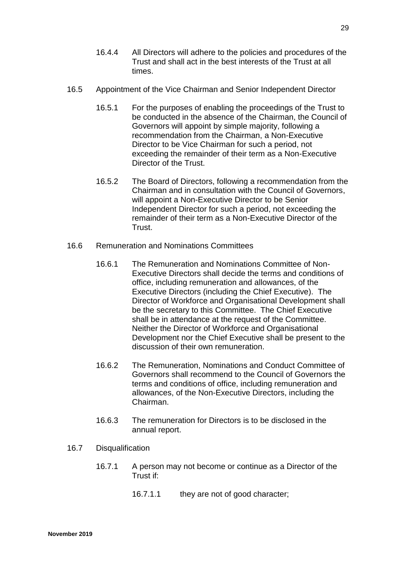- 16.4.4 All Directors will adhere to the policies and procedures of the Trust and shall act in the best interests of the Trust at all times.
- 16.5 Appointment of the Vice Chairman and Senior Independent Director
	- 16.5.1 For the purposes of enabling the proceedings of the Trust to be conducted in the absence of the Chairman, the Council of Governors will appoint by simple majority, following a recommendation from the Chairman, a Non-Executive Director to be Vice Chairman for such a period, not exceeding the remainder of their term as a Non-Executive Director of the Trust.
	- 16.5.2 The Board of Directors, following a recommendation from the Chairman and in consultation with the Council of Governors, will appoint a Non-Executive Director to be Senior Independent Director for such a period, not exceeding the remainder of their term as a Non-Executive Director of the Trust.
- 16.6 Remuneration and Nominations Committees
	- 16.6.1 The Remuneration and Nominations Committee of Non-Executive Directors shall decide the terms and conditions of office, including remuneration and allowances, of the Executive Directors (including the Chief Executive). The Director of Workforce and Organisational Development shall be the secretary to this Committee. The Chief Executive shall be in attendance at the request of the Committee. Neither the Director of Workforce and Organisational Development nor the Chief Executive shall be present to the discussion of their own remuneration.
	- 16.6.2 The Remuneration, Nominations and Conduct Committee of Governors shall recommend to the Council of Governors the terms and conditions of office, including remuneration and allowances, of the Non-Executive Directors, including the Chairman.
	- 16.6.3 The remuneration for Directors is to be disclosed in the annual report.
- 16.7 Disqualification
	- 16.7.1 A person may not become or continue as a Director of the Trust if:
		- 16.7.1.1 they are not of good character;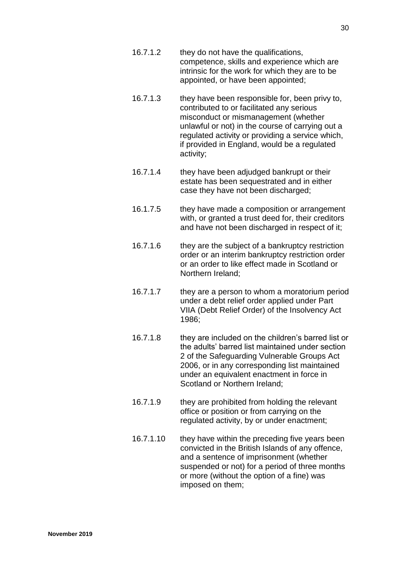- 16.7.1.2 they do not have the qualifications, competence, skills and experience which are intrinsic for the work for which they are to be appointed, or have been appointed;
- 16.7.1.3 they have been responsible for, been privy to, contributed to or facilitated any serious misconduct or mismanagement (whether unlawful or not) in the course of carrying out a regulated activity or providing a service which, if provided in England, would be a regulated activity;
- 16.7.1.4 they have been adjudged bankrupt or their estate has been sequestrated and in either case they have not been discharged;
- 16.1.7.5 they have made a composition or arrangement with, or granted a trust deed for, their creditors and have not been discharged in respect of it;
- 16.7.1.6 they are the subject of a bankruptcy restriction order or an interim bankruptcy restriction order or an order to like effect made in Scotland or Northern Ireland;
- 16.7.1.7 they are a person to whom a moratorium period under a debt relief order applied under Part VIIA (Debt Relief Order) of the Insolvency Act 1986;
- 16.7.1.8 they are included on the children's barred list or the adults' barred list maintained under section 2 of the Safeguarding Vulnerable Groups Act 2006, or in any corresponding list maintained under an equivalent enactment in force in Scotland or Northern Ireland;
- 16.7.1.9 they are prohibited from holding the relevant office or position or from carrying on the regulated activity, by or under enactment;
- 16.7.1.10 they have within the preceding five years been convicted in the British Islands of any offence, and a sentence of imprisonment (whether suspended or not) for a period of three months or more (without the option of a fine) was imposed on them;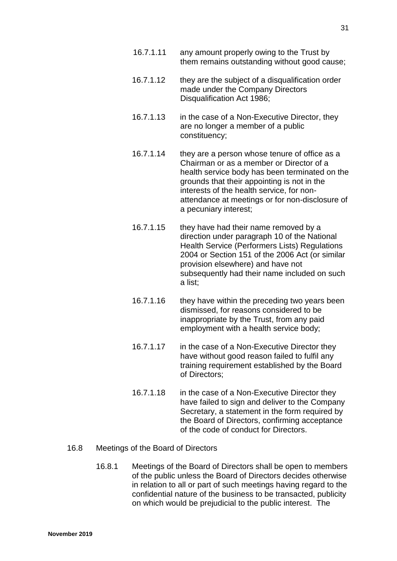- 16.7.1.11 any amount properly owing to the Trust by them remains outstanding without good cause;
- 16.7.1.12 they are the subject of a disqualification order made under the Company Directors Disqualification Act 1986;
- 16.7.1.13 in the case of a Non-Executive Director, they are no longer a member of a public constituency;
- 16.7.1.14 they are a person whose tenure of office as a Chairman or as a member or Director of a health service body has been terminated on the grounds that their appointing is not in the interests of the health service, for nonattendance at meetings or for non-disclosure of a pecuniary interest;
- 16.7.1.15 they have had their name removed by a direction under paragraph 10 of the National Health Service (Performers Lists) Regulations 2004 or Section 151 of the 2006 Act (or similar provision elsewhere) and have not subsequently had their name included on such a list;
- 16.7.1.16 they have within the preceding two years been dismissed, for reasons considered to be inappropriate by the Trust, from any paid employment with a health service body;
- 16.7.1.17 in the case of a Non-Executive Director they have without good reason failed to fulfil any training requirement established by the Board of Directors;
- 16.7.1.18 in the case of a Non-Executive Director they have failed to sign and deliver to the Company Secretary, a statement in the form required by the Board of Directors, confirming acceptance of the code of conduct for Directors.

## 16.8 Meetings of the Board of Directors

16.8.1 Meetings of the Board of Directors shall be open to members of the public unless the Board of Directors decides otherwise in relation to all or part of such meetings having regard to the confidential nature of the business to be transacted, publicity on which would be prejudicial to the public interest. The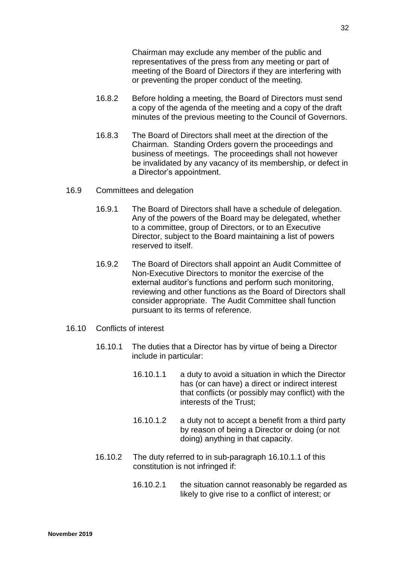Chairman may exclude any member of the public and representatives of the press from any meeting or part of meeting of the Board of Directors if they are interfering with or preventing the proper conduct of the meeting.

- 16.8.2 Before holding a meeting, the Board of Directors must send a copy of the agenda of the meeting and a copy of the draft minutes of the previous meeting to the Council of Governors.
- 16.8.3 The Board of Directors shall meet at the direction of the Chairman. Standing Orders govern the proceedings and business of meetings. The proceedings shall not however be invalidated by any vacancy of its membership, or defect in a Director's appointment.

#### 16.9 Committees and delegation

- 16.9.1 The Board of Directors shall have a schedule of delegation. Any of the powers of the Board may be delegated, whether to a committee, group of Directors, or to an Executive Director, subject to the Board maintaining a list of powers reserved to itself.
- 16.9.2 The Board of Directors shall appoint an Audit Committee of Non-Executive Directors to monitor the exercise of the external auditor's functions and perform such monitoring, reviewing and other functions as the Board of Directors shall consider appropriate. The Audit Committee shall function pursuant to its terms of reference.
- 16.10 Conflicts of interest
	- 16.10.1 The duties that a Director has by virtue of being a Director include in particular:
		- 16.10.1.1 a duty to avoid a situation in which the Director has (or can have) a direct or indirect interest that conflicts (or possibly may conflict) with the interests of the Trust;
		- 16.10.1.2 a duty not to accept a benefit from a third party by reason of being a Director or doing (or not doing) anything in that capacity.
	- 16.10.2 The duty referred to in sub-paragraph 16.10.1.1 of this constitution is not infringed if:
		- 16.10.2.1 the situation cannot reasonably be regarded as likely to give rise to a conflict of interest; or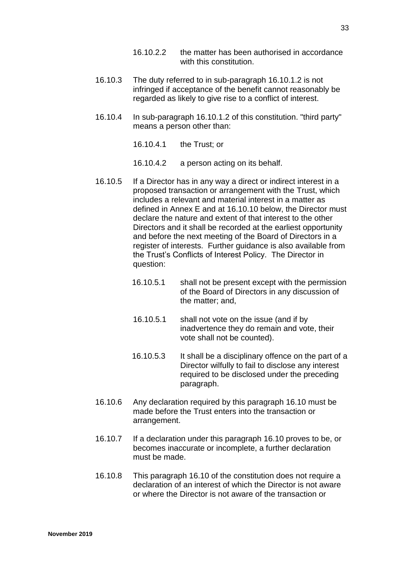- 16.10.2.2 the matter has been authorised in accordance with this constitution.
- 16.10.3 The duty referred to in sub-paragraph 16.10.1.2 is not infringed if acceptance of the benefit cannot reasonably be regarded as likely to give rise to a conflict of interest.
- 16.10.4 In sub-paragraph 16.10.1.2 of this constitution. "third party" means a person other than:
	- 16.10.4.1 the Trust; or
	- 16.10.4.2 a person acting on its behalf.
- 16.10.5 If a Director has in any way a direct or indirect interest in a proposed transaction or arrangement with the Trust, which includes a relevant and material interest in a matter as defined in Annex E and at 16.10.10 below, the Director must declare the nature and extent of that interest to the other Directors and it shall be recorded at the earliest opportunity and before the next meeting of the Board of Directors in a register of interests. Further guidance is also available from the Trust's Conflicts of Interest Policy. The Director in question:
	- 16.10.5.1 shall not be present except with the permission of the Board of Directors in any discussion of the matter; and,
	- 16.10.5.1 shall not vote on the issue (and if by inadvertence they do remain and vote, their vote shall not be counted).
	- 16.10.5.3 It shall be a disciplinary offence on the part of a Director wilfully to fail to disclose any interest required to be disclosed under the preceding paragraph.
- 16.10.6 Any declaration required by this paragraph 16.10 must be made before the Trust enters into the transaction or arrangement.
- 16.10.7 If a declaration under this paragraph 16.10 proves to be, or becomes inaccurate or incomplete, a further declaration must be made.
- 16.10.8 This paragraph 16.10 of the constitution does not require a declaration of an interest of which the Director is not aware or where the Director is not aware of the transaction or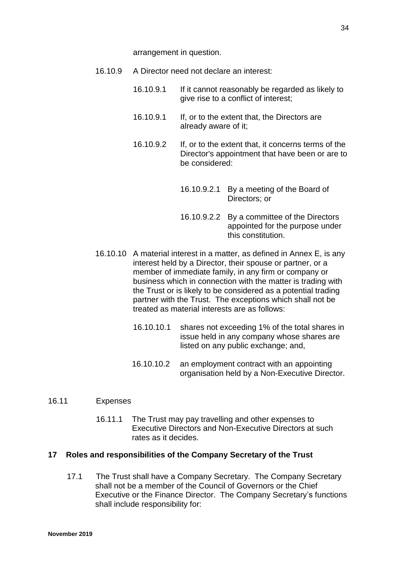arrangement in question.

- 16.10.9 A Director need not declare an interest:
	- 16.10.9.1 If it cannot reasonably be regarded as likely to give rise to a conflict of interest;
	- 16.10.9.1 If, or to the extent that, the Directors are already aware of it;
	- 16.10.9.2 If, or to the extent that, it concerns terms of the Director's appointment that have been or are to be considered:
		- 16.10.9.2.1 By a meeting of the Board of Directors; or
		- 16.10.9.2.2 By a committee of the Directors appointed for the purpose under this constitution.
- 16.10.10 A material interest in a matter, as defined in Annex E, is any interest held by a Director, their spouse or partner, or a member of immediate family, in any firm or company or business which in connection with the matter is trading with the Trust or is likely to be considered as a potential trading partner with the Trust. The exceptions which shall not be treated as material interests are as follows:
	- 16.10.10.1 shares not exceeding 1% of the total shares in issue held in any company whose shares are listed on any public exchange; and,
	- 16.10.10.2 an employment contract with an appointing organisation held by a Non-Executive Director.
- 16.11 Expenses
	- 16.11.1 The Trust may pay travelling and other expenses to Executive Directors and Non-Executive Directors at such rates as it decides.

#### <span id="page-34-0"></span>**17 Roles and responsibilities of the Company Secretary of the Trust**

17.1 The Trust shall have a Company Secretary. The Company Secretary shall not be a member of the Council of Governors or the Chief Executive or the Finance Director. The Company Secretary's functions shall include responsibility for: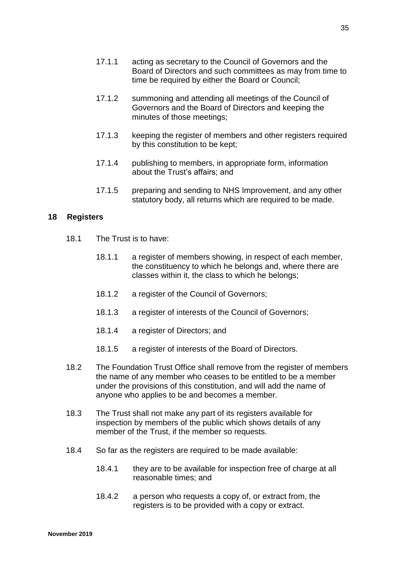- 17.1.1 acting as secretary to the Council of Governors and the Board of Directors and such committees as may from time to time be required by either the Board or Council;
- 17.1.2 summoning and attending all meetings of the Council of Governors and the Board of Directors and keeping the minutes of those meetings;
- 17.1.3 keeping the register of members and other registers required by this constitution to be kept;
- 17.1.4 publishing to members, in appropriate form, information about the Trust's affairs; and
- 17.1.5 preparing and sending to NHS Improvement, and any other statutory body, all returns which are required to be made.

#### <span id="page-35-0"></span>**18 Registers**

- 18.1 The Trust is to have:
	- 18.1.1 a register of members showing, in respect of each member, the constituency to which he belongs and, where there are classes within it, the class to which he belongs;
	- 18.1.2 a register of the Council of Governors;
	- 18.1.3 a register of interests of the Council of Governors;
	- 18.1.4 a register of Directors; and
	- 18.1.5 a register of interests of the Board of Directors.
- 18.2 The Foundation Trust Office shall remove from the register of members the name of any member who ceases to be entitled to be a member under the provisions of this constitution, and will add the name of anyone who applies to be and becomes a member.
- 18.3 The Trust shall not make any part of its registers available for inspection by members of the public which shows details of any member of the Trust, if the member so requests.
- 18.4 So far as the registers are required to be made available:
	- 18.4.1 they are to be available for inspection free of charge at all reasonable times; and
	- 18.4.2 a person who requests a copy of, or extract from, the registers is to be provided with a copy or extract.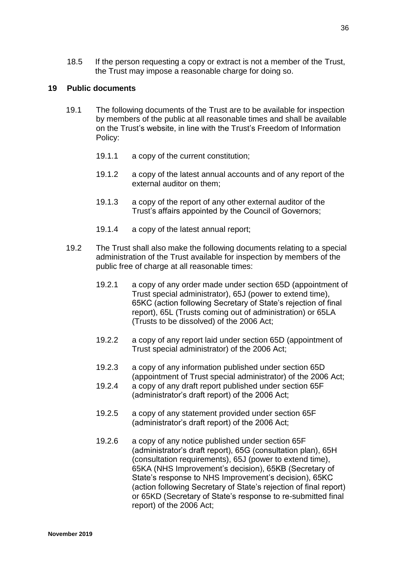18.5 If the person requesting a copy or extract is not a member of the Trust, the Trust may impose a reasonable charge for doing so.

## **19 Public documents**

- 19.1 The following documents of the Trust are to be available for inspection by members of the public at all reasonable times and shall be available on the Trust's website, in line with the Trust's Freedom of Information Policy:
	- 19.1.1 a copy of the current constitution;
	- 19.1.2 a copy of the latest annual accounts and of any report of the external auditor on them;
	- 19.1.3 a copy of the report of any other external auditor of the Trust's affairs appointed by the Council of Governors;
	- 19.1.4 a copy of the latest annual report;
- 19.2 The Trust shall also make the following documents relating to a special administration of the Trust available for inspection by members of the public free of charge at all reasonable times:
	- 19.2.1 a copy of any order made under section 65D (appointment of Trust special administrator), 65J (power to extend time), 65KC (action following Secretary of State's rejection of final report), 65L (Trusts coming out of administration) or 65LA (Trusts to be dissolved) of the 2006 Act;
	- 19.2.2 a copy of any report laid under section 65D (appointment of Trust special administrator) of the 2006 Act;
	- 19.2.3 a copy of any information published under section 65D (appointment of Trust special administrator) of the 2006 Act;
	- 19.2.4 a copy of any draft report published under section 65F (administrator's draft report) of the 2006 Act;
	- 19.2.5 a copy of any statement provided under section 65F (administrator's draft report) of the 2006 Act;
	- 19.2.6 a copy of any notice published under section 65F (administrator's draft report), 65G (consultation plan), 65H (consultation requirements), 65J (power to extend time), 65KA (NHS Improvement's decision), 65KB (Secretary of State's response to NHS Improvement's decision), 65KC (action following Secretary of State's rejection of final report) or 65KD (Secretary of State's response to re-submitted final report) of the 2006 Act;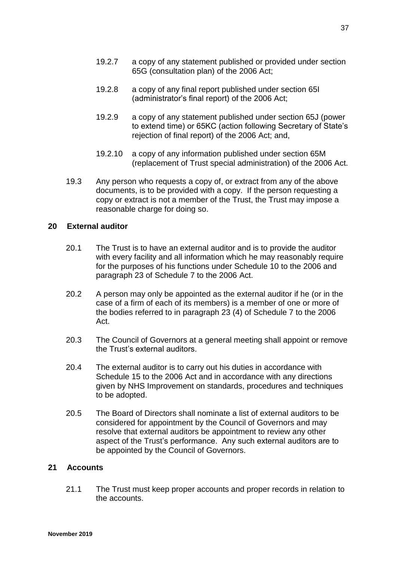- 19.2.7 a copy of any statement published or provided under section 65G (consultation plan) of the 2006 Act;
- 19.2.8 a copy of any final report published under section 65I (administrator's final report) of the 2006 Act;
- 19.2.9 a copy of any statement published under section 65J (power to extend time) or 65KC (action following Secretary of State's rejection of final report) of the 2006 Act; and,
- 19.2.10 a copy of any information published under section 65M (replacement of Trust special administration) of the 2006 Act.
- 19.3 Any person who requests a copy of, or extract from any of the above documents, is to be provided with a copy. If the person requesting a copy or extract is not a member of the Trust, the Trust may impose a reasonable charge for doing so.

# **20 External auditor**

- 20.1 The Trust is to have an external auditor and is to provide the auditor with every facility and all information which he may reasonably require for the purposes of his functions under Schedule 10 to the 2006 and paragraph 23 of Schedule 7 to the 2006 Act.
- 20.2 A person may only be appointed as the external auditor if he (or in the case of a firm of each of its members) is a member of one or more of the bodies referred to in paragraph 23 (4) of Schedule 7 to the 2006 Act.
- 20.3 The Council of Governors at a general meeting shall appoint or remove the Trust's external auditors.
- 20.4 The external auditor is to carry out his duties in accordance with Schedule 15 to the 2006 Act and in accordance with any directions given by NHS Improvement on standards, procedures and techniques to be adopted.
- 20.5 The Board of Directors shall nominate a list of external auditors to be considered for appointment by the Council of Governors and may resolve that external auditors be appointment to review any other aspect of the Trust's performance. Any such external auditors are to be appointed by the Council of Governors.

# **21 Accounts**

21.1 The Trust must keep proper accounts and proper records in relation to the accounts.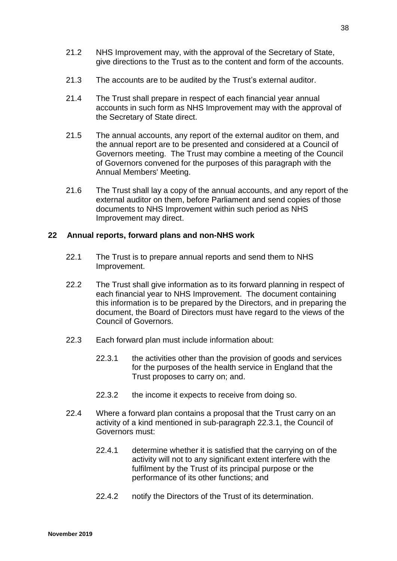- 21.2 NHS Improvement may, with the approval of the Secretary of State, give directions to the Trust as to the content and form of the accounts.
- 21.3 The accounts are to be audited by the Trust's external auditor.
- 21.4 The Trust shall prepare in respect of each financial year annual accounts in such form as NHS Improvement may with the approval of the Secretary of State direct.
- 21.5 The annual accounts, any report of the external auditor on them, and the annual report are to be presented and considered at a Council of Governors meeting. The Trust may combine a meeting of the Council of Governors convened for the purposes of this paragraph with the Annual Members' Meeting.
- 21.6 The Trust shall lay a copy of the annual accounts, and any report of the external auditor on them, before Parliament and send copies of those documents to NHS Improvement within such period as NHS Improvement may direct.

## **22 Annual reports, forward plans and non-NHS work**

- 22.1 The Trust is to prepare annual reports and send them to NHS Improvement.
- 22.2 The Trust shall give information as to its forward planning in respect of each financial year to NHS Improvement. The document containing this information is to be prepared by the Directors, and in preparing the document, the Board of Directors must have regard to the views of the Council of Governors.
- 22.3 Each forward plan must include information about:
	- 22.3.1 the activities other than the provision of goods and services for the purposes of the health service in England that the Trust proposes to carry on; and.
	- 22.3.2 the income it expects to receive from doing so.
- 22.4 Where a forward plan contains a proposal that the Trust carry on an activity of a kind mentioned in sub-paragraph 22.3.1, the Council of Governors must:
	- 22.4.1 determine whether it is satisfied that the carrying on of the activity will not to any significant extent interfere with the fulfilment by the Trust of its principal purpose or the performance of its other functions; and
	- 22.4.2 notify the Directors of the Trust of its determination.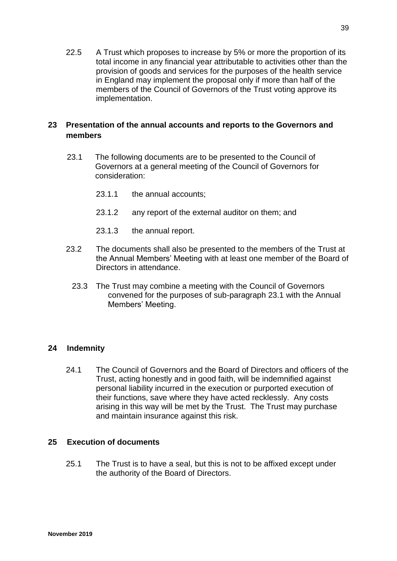22.5 A Trust which proposes to increase by 5% or more the proportion of its total income in any financial year attributable to activities other than the provision of goods and services for the purposes of the health service in England may implement the proposal only if more than half of the members of the Council of Governors of the Trust voting approve its implementation.

# **23 Presentation of the annual accounts and reports to the Governors and members**

- 23.1 The following documents are to be presented to the Council of Governors at a general meeting of the Council of Governors for consideration:
	- 23.1.1 the annual accounts;
	- 23.1.2 any report of the external auditor on them; and
	- 23.1.3 the annual report.
- 23.2 The documents shall also be presented to the members of the Trust at the Annual Members' Meeting with at least one member of the Board of Directors in attendance.
	- 23.3 The Trust may combine a meeting with the Council of Governors convened for the purposes of sub-paragraph 23.1 with the Annual Members' Meeting.

# **24 Indemnity**

24.1 The Council of Governors and the Board of Directors and officers of the Trust, acting honestly and in good faith, will be indemnified against personal liability incurred in the execution or purported execution of their functions, save where they have acted recklessly. Any costs arising in this way will be met by the Trust. The Trust may purchase and maintain insurance against this risk.

# **25 Execution of documents**

25.1 The Trust is to have a seal, but this is not to be affixed except under the authority of the Board of Directors.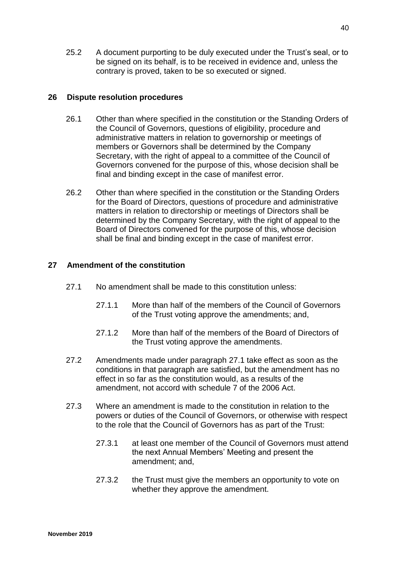25.2 A document purporting to be duly executed under the Trust's seal, or to be signed on its behalf, is to be received in evidence and, unless the contrary is proved, taken to be so executed or signed.

## **26 Dispute resolution procedures**

- 26.1 Other than where specified in the constitution or the Standing Orders of the Council of Governors, questions of eligibility, procedure and administrative matters in relation to governorship or meetings of members or Governors shall be determined by the Company Secretary, with the right of appeal to a committee of the Council of Governors convened for the purpose of this, whose decision shall be final and binding except in the case of manifest error.
- 26.2 Other than where specified in the constitution or the Standing Orders for the Board of Directors, questions of procedure and administrative matters in relation to directorship or meetings of Directors shall be determined by the Company Secretary, with the right of appeal to the Board of Directors convened for the purpose of this, whose decision shall be final and binding except in the case of manifest error.

# **27 Amendment of the constitution**

- 27.1 No amendment shall be made to this constitution unless:
	- 27.1.1 More than half of the members of the Council of Governors of the Trust voting approve the amendments; and,
	- 27.1.2 More than half of the members of the Board of Directors of the Trust voting approve the amendments.
- 27.2 Amendments made under paragraph 27.1 take effect as soon as the conditions in that paragraph are satisfied, but the amendment has no effect in so far as the constitution would, as a results of the amendment, not accord with schedule 7 of the 2006 Act.
- 27.3 Where an amendment is made to the constitution in relation to the powers or duties of the Council of Governors, or otherwise with respect to the role that the Council of Governors has as part of the Trust:
	- 27.3.1 at least one member of the Council of Governors must attend the next Annual Members' Meeting and present the amendment; and,
	- 27.3.2 the Trust must give the members an opportunity to vote on whether they approve the amendment.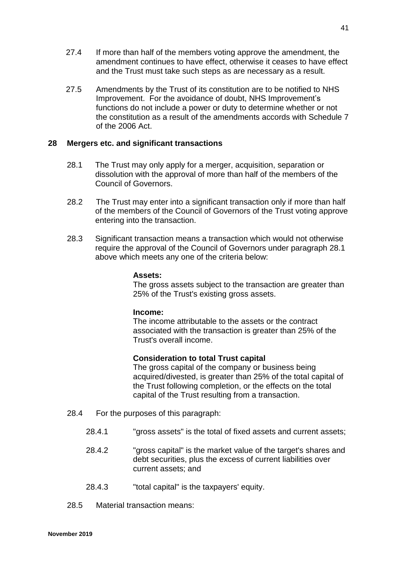- 27.4 If more than half of the members voting approve the amendment, the amendment continues to have effect, otherwise it ceases to have effect and the Trust must take such steps as are necessary as a result.
- 27.5 Amendments by the Trust of its constitution are to be notified to NHS Improvement. For the avoidance of doubt, NHS Improvement's functions do not include a power or duty to determine whether or not the constitution as a result of the amendments accords with Schedule 7 of the 2006 Act.

## **28 Mergers etc. and significant transactions**

- 28.1 The Trust may only apply for a merger, acquisition, separation or dissolution with the approval of more than half of the members of the Council of Governors.
- 28.2 The Trust may enter into a significant transaction only if more than half of the members of the Council of Governors of the Trust voting approve entering into the transaction.
- 28.3 Significant transaction means a transaction which would not otherwise require the approval of the Council of Governors under paragraph 28.1 above which meets any one of the criteria below:

## **Assets:**

The gross assets subject to the transaction are greater than 25% of the Trust's existing gross assets.

## **Income:**

The income attributable to the assets or the contract associated with the transaction is greater than 25% of the Trust's overall income.

# **Consideration to total Trust capital**

The gross capital of the company or business being acquired/divested, is greater than 25% of the total capital of the Trust following completion, or the effects on the total capital of the Trust resulting from a transaction.

- 28.4 For the purposes of this paragraph:
	- 28.4.1 "gross assets" is the total of fixed assets and current assets;
	- 28.4.2 "gross capital" is the market value of the target's shares and debt securities, plus the excess of current liabilities over current assets; and
	- 28.4.3 "total capital" is the taxpayers' equity.
- 28.5 Material transaction means: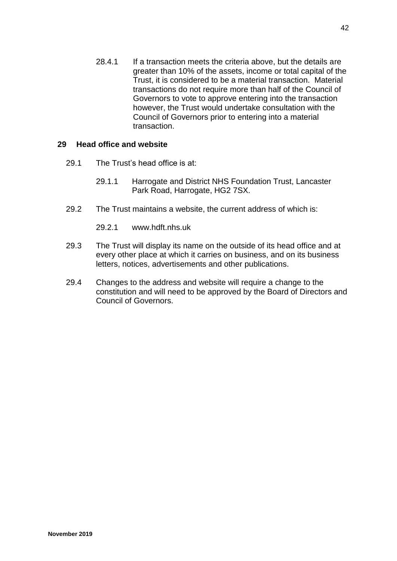28.4.1 If a transaction meets the criteria above, but the details are greater than 10% of the assets, income or total capital of the Trust, it is considered to be a material transaction. Material transactions do not require more than half of the Council of Governors to vote to approve entering into the transaction however, the Trust would undertake consultation with the Council of Governors prior to entering into a material transaction.

## **29 Head office and website**

- 29.1 The Trust's head office is at:
	- 29.1.1 Harrogate and District NHS Foundation Trust, Lancaster Park Road, Harrogate, HG2 7SX.
- 29.2 The Trust maintains a website, the current address of which is:
	- 29.2.1 www.hdft.nhs.uk
- 29.3 The Trust will display its name on the outside of its head office and at every other place at which it carries on business, and on its business letters, notices, advertisements and other publications.
- 29.4 Changes to the address and website will require a change to the constitution and will need to be approved by the Board of Directors and Council of Governors.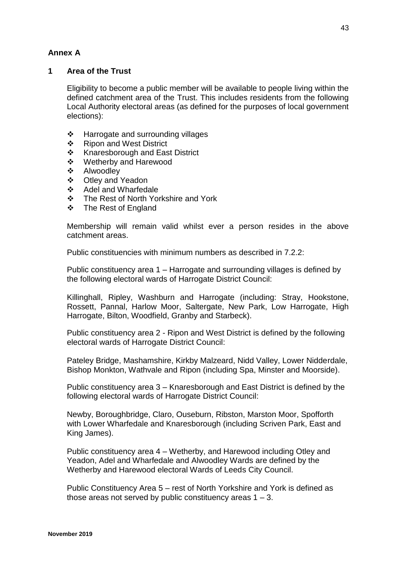# **Annex A**

# **1 Area of the Trust**

Eligibility to become a public member will be available to people living within the defined catchment area of the Trust. This includes residents from the following Local Authority electoral areas (as defined for the purposes of local government elections):

- $\div$  Harrogate and surrounding villages
- ❖ Ripon and West District
- ❖ Knaresborough and East District
- Wetherby and Harewood
- ❖ Alwoodley
- Otley and Yeadon
- Adel and Wharfedale
- ❖ The Rest of North Yorkshire and York
- The Rest of England

Membership will remain valid whilst ever a person resides in the above catchment areas.

Public constituencies with minimum numbers as described in  $7.2.2$ :

Public constituency area 1 – Harrogate and surrounding villages is defined by the following electoral wards of Harrogate District Council:

Killinghall, Ripley, Washburn and Harrogate (including: Stray, Hookstone, Rossett, Pannal, Harlow Moor, Saltergate, New Park, Low Harrogate, High Harrogate, Bilton, Woodfield, Granby and Starbeck).

Public constituency area 2 - Ripon and West District is defined by the following electoral wards of Harrogate District Council:

Pateley Bridge, Mashamshire, Kirkby Malzeard, Nidd Valley, Lower Nidderdale, Bishop Monkton, Wathvale and Ripon (including Spa, Minster and Moorside).

Public constituency area 3 – Knaresborough and East District is defined by the following electoral wards of Harrogate District Council:

Newby, Boroughbridge, Claro, Ouseburn, Ribston, Marston Moor, Spofforth with Lower Wharfedale and Knaresborough (including Scriven Park, East and King James).

Public constituency area 4 – Wetherby, and Harewood including Otley and Yeadon, Adel and Wharfedale and Alwoodley Wards are defined by the Wetherby and Harewood electoral Wards of Leeds City Council.

Public Constituency Area 5 – rest of North Yorkshire and York is defined as those areas not served by public constituency areas  $1 - 3$ .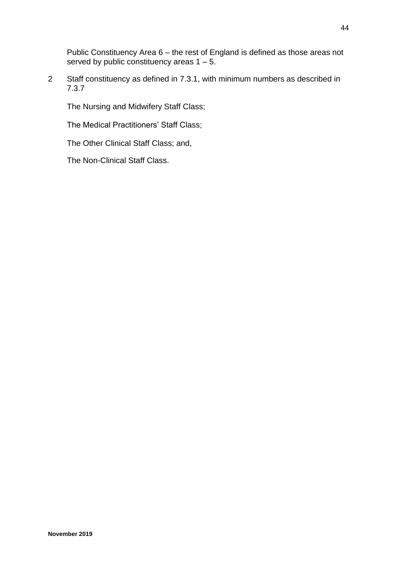Public Constituency Area 6 – the rest of England is defined as those areas not served by public constituency areas  $1 - 5$ .

2 Staff constituency as defined in 7.3.1, with minimum numbers as described in 7.3.7

The Nursing and Midwifery Staff Class;

The Medical Practitioners' Staff Class;

The Other Clinical Staff Class; and,

The Non-Clinical Staff Class.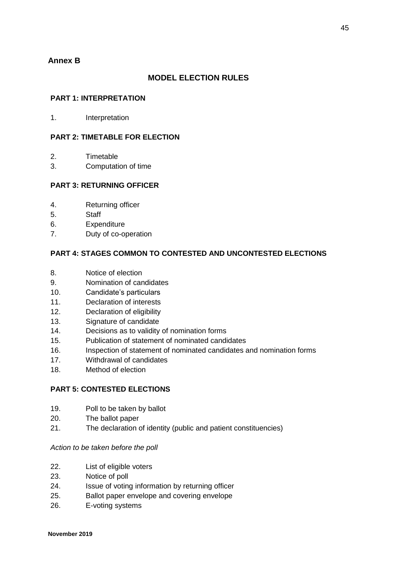# **Annex B**

## **MODEL ELECTION RULES**

### **PART 1: INTERPRETATION**

1. Interpretation

### **PART 2: TIMETABLE FOR ELECTION**

- 2. Timetable
- 3. Computation of time

### **PART 3: RETURNING OFFICER**

- 4. Returning officer
- 5. Staff
- 6. Expenditure
- 7. Duty of co-operation

## **PART 4: STAGES COMMON TO CONTESTED AND UNCONTESTED ELECTIONS**

- 8. Notice of election
- 9. Nomination of candidates
- 10. Candidate's particulars
- 11. Declaration of interests
- 12. Declaration of eligibility
- 13. Signature of candidate
- 14. Decisions as to validity of nomination forms
- 15. Publication of statement of nominated candidates
- 16. Inspection of statement of nominated candidates and nomination forms
- 17. Withdrawal of candidates
- 18. Method of election

#### **PART 5: CONTESTED ELECTIONS**

- 19. Poll to be taken by ballot
- 20. The ballot paper
- 21. The declaration of identity (public and patient constituencies)

#### *Action to be taken before the poll*

- 22. List of eligible voters
- 23. Notice of poll
- 24. Issue of voting information by returning officer
- 25. Ballot paper envelope and covering envelope
- 26. E-voting systems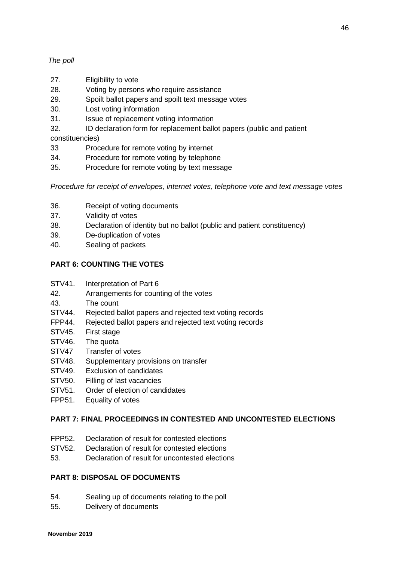## *The poll*

- 27. Eligibility to vote
- 28. Voting by persons who require assistance
- 29. Spoilt ballot papers and spoilt text message votes
- 30. Lost voting information
- 31. Issue of replacement voting information
- 32. ID declaration form for replacement ballot papers (public and patient

constituencies)

- 33 Procedure for remote voting by internet
- 34. Procedure for remote voting by telephone
- 35. Procedure for remote voting by text message

*Procedure for receipt of envelopes, internet votes, telephone vote and text message votes*

- 36. Receipt of voting documents
- 37. Validity of votes
- 38. Declaration of identity but no ballot (public and patient constituency)
- 39. De-duplication of votes
- 40. Sealing of packets

# **PART 6: COUNTING THE VOTES**

- STV41. Interpretation of Part 6
- 42. Arrangements for counting of the votes
- 43. The count
- STV44. Rejected ballot papers and rejected text voting records
- FPP44. Rejected ballot papers and rejected text voting records
- STV45. First stage
- STV46. The quota
- STV47 Transfer of votes
- STV48. Supplementary provisions on transfer
- STV49. Exclusion of candidates
- STV50. Filling of last vacancies
- STV51. Order of election of candidates
- FPP51. Equality of votes

## **PART 7: FINAL PROCEEDINGS IN CONTESTED AND UNCONTESTED ELECTIONS**

- FPP52. Declaration of result for contested elections
- STV52. Declaration of result for contested elections
- 53. Declaration of result for uncontested elections

## **PART 8: DISPOSAL OF DOCUMENTS**

- 54. Sealing up of documents relating to the poll
- 55. Delivery of documents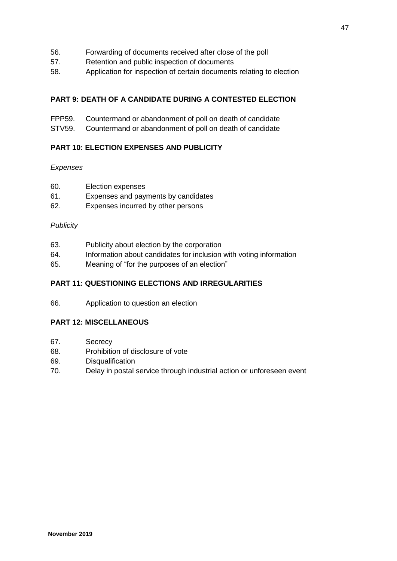- 56. Forwarding of documents received after close of the poll
- 57. Retention and public inspection of documents
- 58. Application for inspection of certain documents relating to election

## **PART 9: DEATH OF A CANDIDATE DURING A CONTESTED ELECTION**

- FPP59. Countermand or abandonment of poll on death of candidate
- STV59. Countermand or abandonment of poll on death of candidate

## **PART 10: ELECTION EXPENSES AND PUBLICITY**

### *Expenses*

- 60. Election expenses
- 61. Expenses and payments by candidates
- 62. Expenses incurred by other persons

## *Publicity*

- 63. Publicity about election by the corporation
- 64. Information about candidates for inclusion with voting information
- 65. Meaning of "for the purposes of an election"

## **PART 11: QUESTIONING ELECTIONS AND IRREGULARITIES**

66. Application to question an election

## **PART 12: MISCELLANEOUS**

- 67. Secrecy
- 68. Prohibition of disclosure of vote
- 69. Disqualification
- 70. Delay in postal service through industrial action or unforeseen event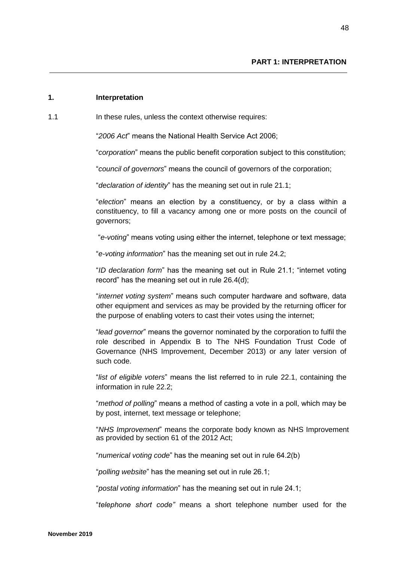### **1. Interpretation**

1.1 **In these rules, unless the context otherwise requires:** 

"*2006 Act*" means the National Health Service Act 2006;

"*corporation*" means the public benefit corporation subject to this constitution;

"*council of governors*" means the council of governors of the corporation;

"*declaration of identity*" has the meaning set out in rule 21.1;

"*election*" means an election by a constituency, or by a class within a constituency, to fill a vacancy among one or more posts on the council of governors;

"*e-voting*" means voting using either the internet, telephone or text message;

"*e-voting information*" has the meaning set out in rule 24.2;

"*ID declaration form*" has the meaning set out in Rule 21.1; "internet voting record" has the meaning set out in rule 26.4(d);

"*internet voting system*" means such computer hardware and software, data other equipment and services as may be provided by the returning officer for the purpose of enabling voters to cast their votes using the internet;

"*lead governor*" means the governor nominated by the corporation to fulfil the role described in Appendix B to The NHS Foundation Trust Code of Governance (NHS Improvement, December 2013) or any later version of such code.

"*list of eligible voters*" means the list referred to in rule 22.1, containing the information in rule 22.2;

"*method of polling*" means a method of casting a vote in a poll, which may be by post, internet, text message or telephone;

"*NHS Improvement*" means the corporate body known as NHS Improvement as provided by section 61 of the 2012 Act;

"*numerical voting code*" has the meaning set out in rule 64.2(b)

"*polling website*" has the meaning set out in rule 26.1;

"*postal voting information*" has the meaning set out in rule 24.1;

"*telephone short code"* means a short telephone number used for the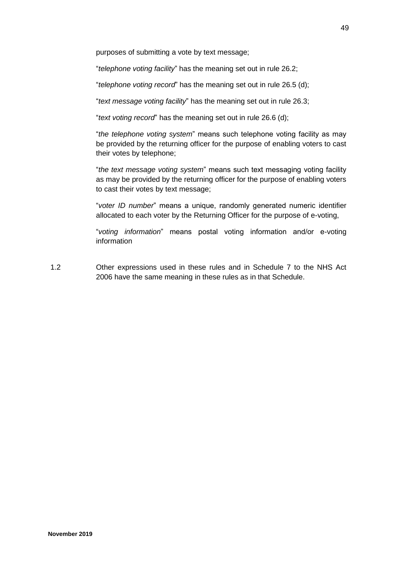purposes of submitting a vote by text message;

"*telephone voting facility*" has the meaning set out in rule 26.2;

"*telephone voting record*" has the meaning set out in rule 26.5 (d);

"*text message voting facility*" has the meaning set out in rule 26.3;

"*text voting record*" has the meaning set out in rule 26.6 (d);

"*the telephone voting system*" means such telephone voting facility as may be provided by the returning officer for the purpose of enabling voters to cast their votes by telephone;

"*the text message voting system*" means such text messaging voting facility as may be provided by the returning officer for the purpose of enabling voters to cast their votes by text message;

"*voter ID number*" means a unique, randomly generated numeric identifier allocated to each voter by the Returning Officer for the purpose of e-voting,

"*voting information*" means postal voting information and/or e-voting information

1.2 Other expressions used in these rules and in Schedule 7 to the NHS Act 2006 have the same meaning in these rules as in that Schedule.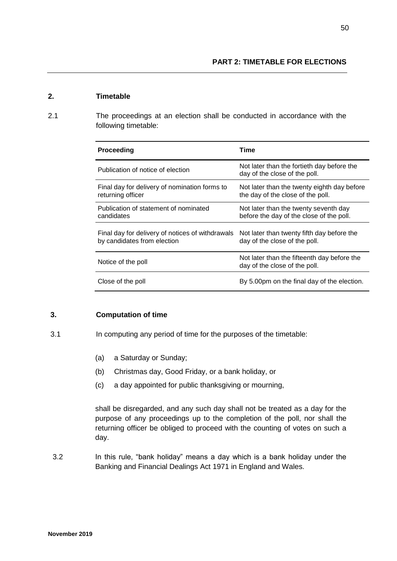### **2. Timetable**

2.1 The proceedings at an election shall be conducted in accordance with the following timetable:

| <b>Proceeding</b>                                                               | Time                                                                              |
|---------------------------------------------------------------------------------|-----------------------------------------------------------------------------------|
| Publication of notice of election                                               | Not later than the fortieth day before the<br>day of the close of the poll.       |
| Final day for delivery of nomination forms to<br>returning officer              | Not later than the twenty eighth day before<br>the day of the close of the poll.  |
| Publication of statement of nominated<br>candidates                             | Not later than the twenty seventh day<br>before the day of the close of the poll. |
| Final day for delivery of notices of withdrawals<br>by candidates from election | Not later than twenty fifth day before the<br>day of the close of the poll.       |
| Notice of the poll                                                              | Not later than the fifteenth day before the<br>day of the close of the poll.      |
| Close of the poll                                                               | By 5.00pm on the final day of the election.                                       |

## **3. Computation of time**

- 3.1 In computing any period of time for the purposes of the timetable:
	- (a) a Saturday or Sunday;
	- (b) Christmas day, Good Friday, or a bank holiday, or
	- (c) a day appointed for public thanksgiving or mourning,

shall be disregarded, and any such day shall not be treated as a day for the purpose of any proceedings up to the completion of the poll, nor shall the returning officer be obliged to proceed with the counting of votes on such a day.

3.2 In this rule, "bank holiday" means a day which is a bank holiday under the Banking and Financial Dealings Act 1971 in England and Wales.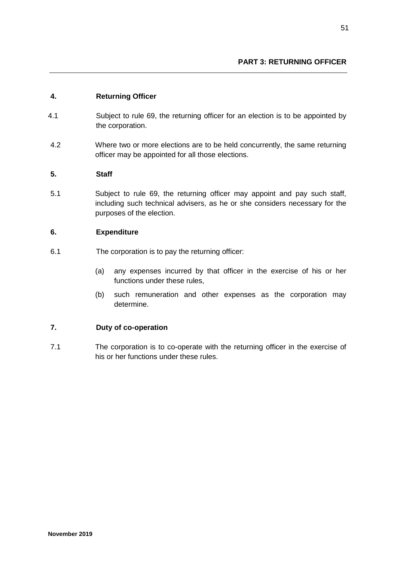## **4. Returning Officer**

- 4.1 Subject to rule 69, the returning officer for an election is to be appointed by the corporation.
- 4.2 Where two or more elections are to be held concurrently, the same returning officer may be appointed for all those elections.

## **5. Staff**

5.1 Subject to rule 69, the returning officer may appoint and pay such staff, including such technical advisers, as he or she considers necessary for the purposes of the election.

## **6. Expenditure**

- 6.1 The corporation is to pay the returning officer:
	- (a) any expenses incurred by that officer in the exercise of his or her functions under these rules,
	- (b) such remuneration and other expenses as the corporation may determine.

## **7. Duty of co-operation**

7.1 The corporation is to co-operate with the returning officer in the exercise of his or her functions under these rules.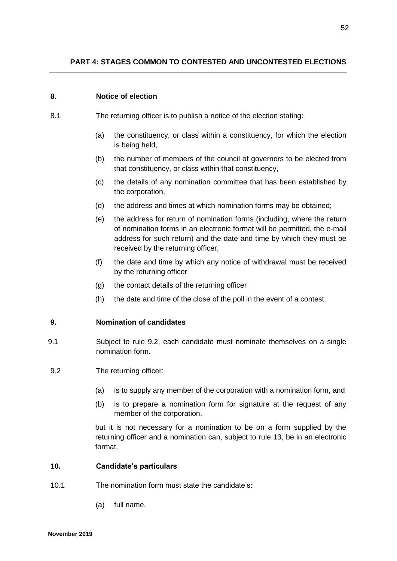#### **8. Notice of election**

- 8.1 The returning officer is to publish a notice of the election stating:
	- (a) the constituency, or class within a constituency, for which the election is being held,
	- (b) the number of members of the council of governors to be elected from that constituency, or class within that constituency,
	- (c) the details of any nomination committee that has been established by the corporation,
	- (d) the address and times at which nomination forms may be obtained;
	- (e) the address for return of nomination forms (including, where the return of nomination forms in an electronic format will be permitted, the e-mail address for such return) and the date and time by which they must be received by the returning officer,
	- (f) the date and time by which any notice of withdrawal must be received by the returning officer
	- (g) the contact details of the returning officer
	- (h) the date and time of the close of the poll in the event of a contest.

#### **9. Nomination of candidates**

- 9.1 Subject to rule 9.2, each candidate must nominate themselves on a single nomination form.
- 9.2 The returning officer:
	- (a) is to supply any member of the corporation with a nomination form, and
	- (b) is to prepare a nomination form for signature at the request of any member of the corporation,

but it is not necessary for a nomination to be on a form supplied by the returning officer and a nomination can, subject to rule 13, be in an electronic format.

#### **10. Candidate's particulars**

- 10.1 The nomination form must state the candidate's:
	- (a) full name,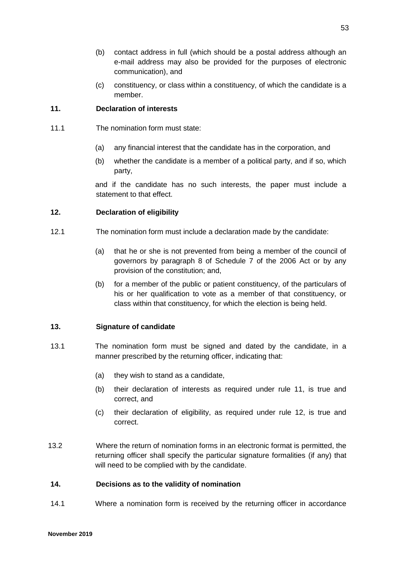- (b) contact address in full (which should be a postal address although an e-mail address may also be provided for the purposes of electronic communication), and
- (c) constituency, or class within a constituency, of which the candidate is a member.

## **11. Declaration of interests**

- 11.1 The nomination form must state:
	- (a) any financial interest that the candidate has in the corporation, and
	- (b) whether the candidate is a member of a political party, and if so, which party,

and if the candidate has no such interests, the paper must include a statement to that effect.

### **12. Declaration of eligibility**

- 12.1 The nomination form must include a declaration made by the candidate:
	- (a) that he or she is not prevented from being a member of the council of governors by paragraph 8 of Schedule 7 of the 2006 Act or by any provision of the constitution; and,
	- (b) for a member of the public or patient constituency, of the particulars of his or her qualification to vote as a member of that constituency, or class within that constituency, for which the election is being held.

## **13. Signature of candidate**

- 13.1 The nomination form must be signed and dated by the candidate, in a manner prescribed by the returning officer, indicating that:
	- (a) they wish to stand as a candidate,
	- (b) their declaration of interests as required under rule 11, is true and correct, and
	- (c) their declaration of eligibility, as required under rule 12, is true and correct.
- 13.2 Where the return of nomination forms in an electronic format is permitted, the returning officer shall specify the particular signature formalities (if any) that will need to be complied with by the candidate.

#### **14. Decisions as to the validity of nomination**

14.1 Where a nomination form is received by the returning officer in accordance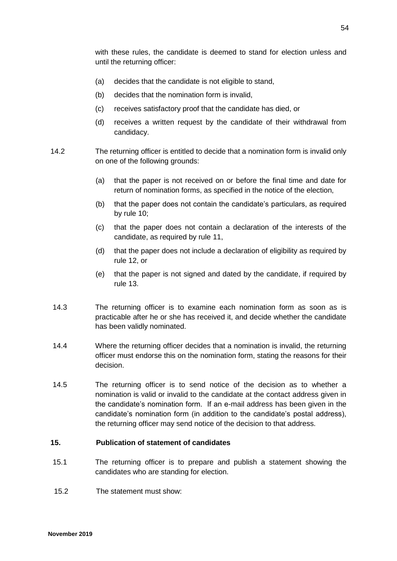with these rules, the candidate is deemed to stand for election unless and until the returning officer:

- (a) decides that the candidate is not eligible to stand,
- (b) decides that the nomination form is invalid,
- (c) receives satisfactory proof that the candidate has died, or
- (d) receives a written request by the candidate of their withdrawal from candidacy.
- 14.2 The returning officer is entitled to decide that a nomination form is invalid only on one of the following grounds:
	- (a) that the paper is not received on or before the final time and date for return of nomination forms, as specified in the notice of the election,
	- (b) that the paper does not contain the candidate's particulars, as required by rule 10;
	- (c) that the paper does not contain a declaration of the interests of the candidate, as required by rule 11,
	- (d) that the paper does not include a declaration of eligibility as required by rule 12, or
	- (e) that the paper is not signed and dated by the candidate, if required by rule 13.
- 14.3 The returning officer is to examine each nomination form as soon as is practicable after he or she has received it, and decide whether the candidate has been validly nominated.
- 14.4 Where the returning officer decides that a nomination is invalid, the returning officer must endorse this on the nomination form, stating the reasons for their decision.
- 14.5 The returning officer is to send notice of the decision as to whether a nomination is valid or invalid to the candidate at the contact address given in the candidate's nomination form. If an e-mail address has been given in the candidate's nomination form (in addition to the candidate's postal address), the returning officer may send notice of the decision to that address.

## **15. Publication of statement of candidates**

- 15.1 The returning officer is to prepare and publish a statement showing the candidates who are standing for election.
- 15.2 The statement must show: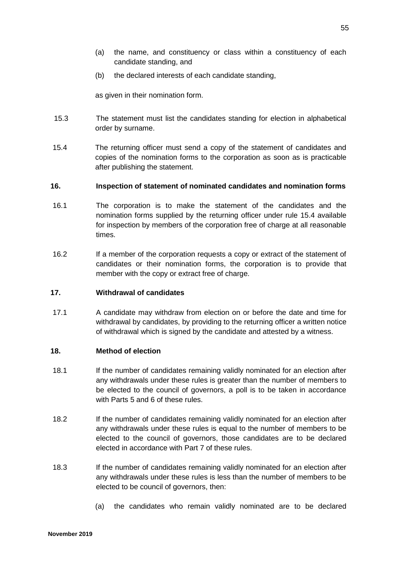- (a) the name, and constituency or class within a constituency of each candidate standing, and
- (b) the declared interests of each candidate standing,

as given in their nomination form.

- 15.3 The statement must list the candidates standing for election in alphabetical order by surname.
- 15.4 The returning officer must send a copy of the statement of candidates and copies of the nomination forms to the corporation as soon as is practicable after publishing the statement.

## **16. Inspection of statement of nominated candidates and nomination forms**

- 16.1 The corporation is to make the statement of the candidates and the nomination forms supplied by the returning officer under rule 15.4 available for inspection by members of the corporation free of charge at all reasonable times.
- 16.2 If a member of the corporation requests a copy or extract of the statement of candidates or their nomination forms, the corporation is to provide that member with the copy or extract free of charge.

#### **17. Withdrawal of candidates**

17.1 A candidate may withdraw from election on or before the date and time for withdrawal by candidates, by providing to the returning officer a written notice of withdrawal which is signed by the candidate and attested by a witness.

#### **18. Method of election**

- 18.1 If the number of candidates remaining validly nominated for an election after any withdrawals under these rules is greater than the number of members to be elected to the council of governors, a poll is to be taken in accordance with Parts 5 and 6 of these rules.
- 18.2 If the number of candidates remaining validly nominated for an election after any withdrawals under these rules is equal to the number of members to be elected to the council of governors, those candidates are to be declared elected in accordance with Part 7 of these rules.
- 18.3 If the number of candidates remaining validly nominated for an election after any withdrawals under these rules is less than the number of members to be elected to be council of governors, then:
	- (a) the candidates who remain validly nominated are to be declared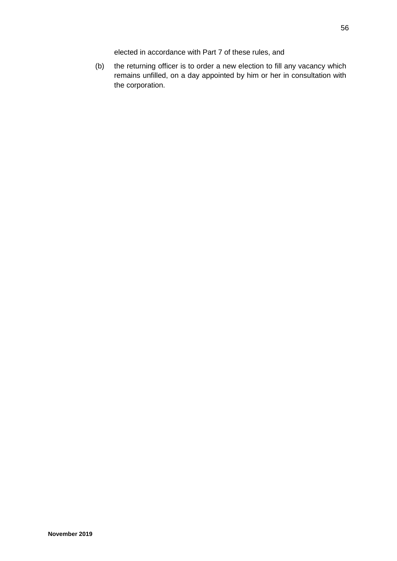elected in accordance with Part 7 of these rules, and

(b) the returning officer is to order a new election to fill any vacancy which remains unfilled, on a day appointed by him or her in consultation with the corporation.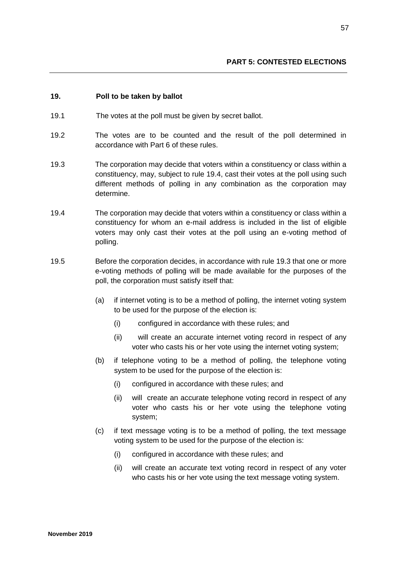### **19. Poll to be taken by ballot**

- 19.1 The votes at the poll must be given by secret ballot.
- 19.2 The votes are to be counted and the result of the poll determined in accordance with Part 6 of these rules.
- 19.3 The corporation may decide that voters within a constituency or class within a constituency, may, subject to rule 19.4, cast their votes at the poll using such different methods of polling in any combination as the corporation may determine.
- 19.4 The corporation may decide that voters within a constituency or class within a constituency for whom an e-mail address is included in the list of eligible voters may only cast their votes at the poll using an e-voting method of polling.
- 19.5 Before the corporation decides, in accordance with rule 19.3 that one or more e-voting methods of polling will be made available for the purposes of the poll, the corporation must satisfy itself that:
	- (a) if internet voting is to be a method of polling, the internet voting system to be used for the purpose of the election is:
		- (i) configured in accordance with these rules; and
		- (ii) will create an accurate internet voting record in respect of any voter who casts his or her vote using the internet voting system;
	- (b) if telephone voting to be a method of polling, the telephone voting system to be used for the purpose of the election is:
		- (i) configured in accordance with these rules; and
		- (ii) will create an accurate telephone voting record in respect of any voter who casts his or her vote using the telephone voting system;
	- (c) if text message voting is to be a method of polling, the text message voting system to be used for the purpose of the election is:
		- (i) configured in accordance with these rules; and
		- (ii) will create an accurate text voting record in respect of any voter who casts his or her vote using the text message voting system.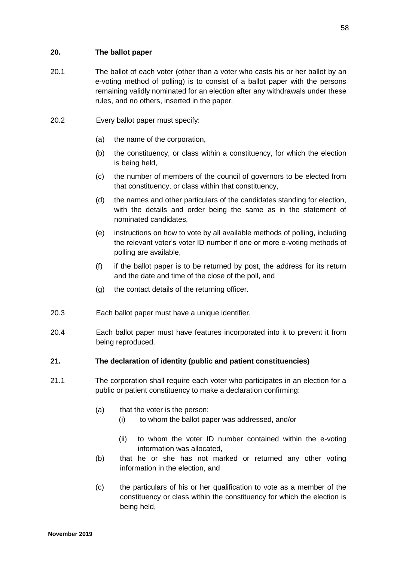## **20. The ballot paper**

- 20.1 The ballot of each voter (other than a voter who casts his or her ballot by an e-voting method of polling) is to consist of a ballot paper with the persons remaining validly nominated for an election after any withdrawals under these rules, and no others, inserted in the paper.
- 20.2 Every ballot paper must specify:
	- (a) the name of the corporation,
	- (b) the constituency, or class within a constituency, for which the election is being held,
	- (c) the number of members of the council of governors to be elected from that constituency, or class within that constituency,
	- (d) the names and other particulars of the candidates standing for election, with the details and order being the same as in the statement of nominated candidates,
	- (e) instructions on how to vote by all available methods of polling, including the relevant voter's voter ID number if one or more e-voting methods of polling are available,
	- (f) if the ballot paper is to be returned by post, the address for its return and the date and time of the close of the poll, and
	- (g) the contact details of the returning officer.
- 20.3 Each ballot paper must have a unique identifier.
- 20.4 Each ballot paper must have features incorporated into it to prevent it from being reproduced.
- **21. The declaration of identity (public and patient constituencies)**
- 21.1 The corporation shall require each voter who participates in an election for a public or patient constituency to make a declaration confirming:
	- (a) that the voter is the person:
		- (i) to whom the ballot paper was addressed, and/or
		- (ii) to whom the voter ID number contained within the e-voting information was allocated,
	- (b) that he or she has not marked or returned any other voting information in the election, and
	- (c) the particulars of his or her qualification to vote as a member of the constituency or class within the constituency for which the election is being held,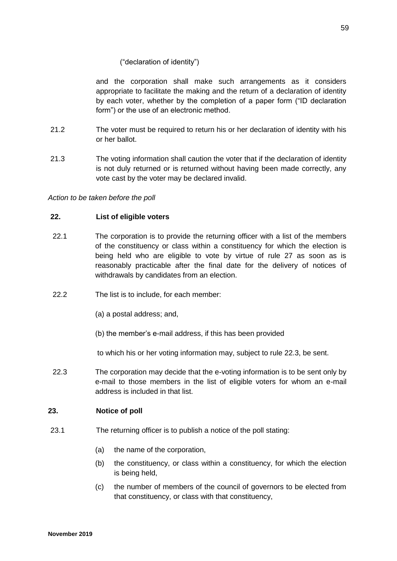## ("declaration of identity")

and the corporation shall make such arrangements as it considers appropriate to facilitate the making and the return of a declaration of identity by each voter, whether by the completion of a paper form ("ID declaration form") or the use of an electronic method.

- 21.2 The voter must be required to return his or her declaration of identity with his or her ballot.
- 21.3 The voting information shall caution the voter that if the declaration of identity is not duly returned or is returned without having been made correctly, any vote cast by the voter may be declared invalid.

*Action to be taken before the poll*

## **22. List of eligible voters**

- 22.1 The corporation is to provide the returning officer with a list of the members of the constituency or class within a constituency for which the election is being held who are eligible to vote by virtue of rule 27 as soon as is reasonably practicable after the final date for the delivery of notices of withdrawals by candidates from an election.
- 22.2 The list is to include, for each member:
	- (a) a postal address; and,
	- (b) the member's e-mail address, if this has been provided

to which his or her voting information may, subject to rule 22.3, be sent.

22.3 The corporation may decide that the e-voting information is to be sent only by e-mail to those members in the list of eligible voters for whom an e-mail address is included in that list.

## **23. Notice of poll**

- 23.1 The returning officer is to publish a notice of the poll stating:
	- (a) the name of the corporation,
	- (b) the constituency, or class within a constituency, for which the election is being held,
	- (c) the number of members of the council of governors to be elected from that constituency, or class with that constituency,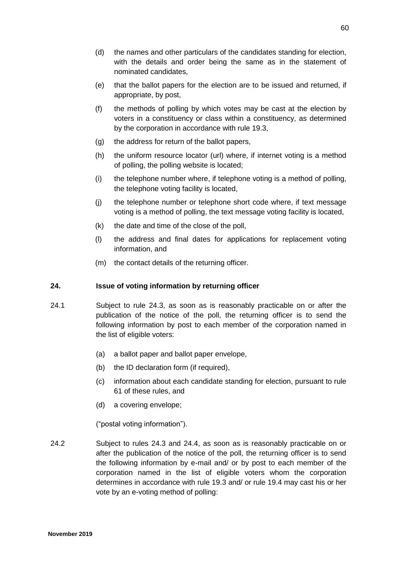- (d) the names and other particulars of the candidates standing for election, with the details and order being the same as in the statement of nominated candidates,
- (e) that the ballot papers for the election are to be issued and returned, if appropriate, by post,
- (f) the methods of polling by which votes may be cast at the election by voters in a constituency or class within a constituency, as determined by the corporation in accordance with rule 19.3,
- (g) the address for return of the ballot papers,
- (h) the uniform resource locator (url) where, if internet voting is a method of polling, the polling website is located;
- (i) the telephone number where, if telephone voting is a method of polling, the telephone voting facility is located,
- (j) the telephone number or telephone short code where, if text message voting is a method of polling, the text message voting facility is located,
- (k) the date and time of the close of the poll,
- (l) the address and final dates for applications for replacement voting information, and
- (m) the contact details of the returning officer.

#### **24. Issue of voting information by returning officer**

- 24.1 Subject to rule 24.3, as soon as is reasonably practicable on or after the publication of the notice of the poll, the returning officer is to send the following information by post to each member of the corporation named in the list of eligible voters:
	- (a) a ballot paper and ballot paper envelope,
	- (b) the ID declaration form (if required),
	- (c) information about each candidate standing for election, pursuant to rule 61 of these rules, and
	- (d) a covering envelope;

("postal voting information").

24.2 Subject to rules 24.3 and 24.4, as soon as is reasonably practicable on or after the publication of the notice of the poll, the returning officer is to send the following information by e-mail and/ or by post to each member of the corporation named in the list of eligible voters whom the corporation determines in accordance with rule 19.3 and/ or rule 19.4 may cast his or her vote by an e-voting method of polling: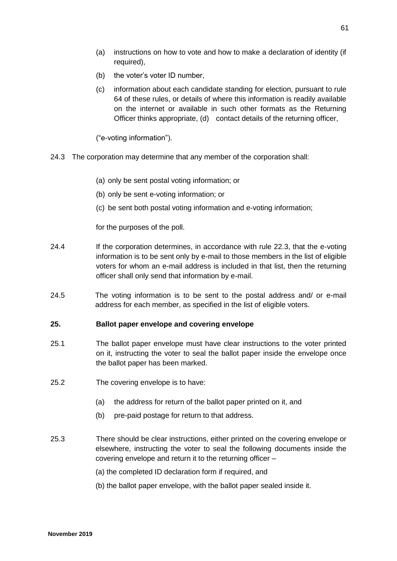- (a) instructions on how to vote and how to make a declaration of identity (if required),
- (b) the voter's voter ID number,
- (c) information about each candidate standing for election, pursuant to rule 64 of these rules, or details of where this information is readily available on the internet or available in such other formats as the Returning Officer thinks appropriate, (d) contact details of the returning officer,

("e-voting information").

- 24.3 The corporation may determine that any member of the corporation shall:
	- (a) only be sent postal voting information; or
	- (b) only be sent e-voting information; or
	- (c) be sent both postal voting information and e-voting information;

for the purposes of the poll.

- 24.4 If the corporation determines, in accordance with rule 22.3, that the e-voting information is to be sent only by e-mail to those members in the list of eligible voters for whom an e-mail address is included in that list, then the returning officer shall only send that information by e-mail.
- 24.5 The voting information is to be sent to the postal address and/ or e-mail address for each member, as specified in the list of eligible voters.

## **25. Ballot paper envelope and covering envelope**

- 25.1 The ballot paper envelope must have clear instructions to the voter printed on it, instructing the voter to seal the ballot paper inside the envelope once the ballot paper has been marked.
- 25.2 The covering envelope is to have:
	- (a) the address for return of the ballot paper printed on it, and
	- (b) pre-paid postage for return to that address.
- 25.3 There should be clear instructions, either printed on the covering envelope or elsewhere, instructing the voter to seal the following documents inside the covering envelope and return it to the returning officer –
	- (a) the completed ID declaration form if required, and
	- (b) the ballot paper envelope, with the ballot paper sealed inside it.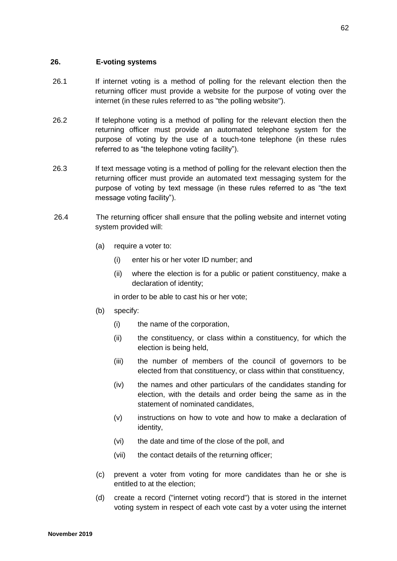### **26. E-voting systems**

- 26.1 If internet voting is a method of polling for the relevant election then the returning officer must provide a website for the purpose of voting over the internet (in these rules referred to as "the polling website").
- 26.2 If telephone voting is a method of polling for the relevant election then the returning officer must provide an automated telephone system for the purpose of voting by the use of a touch-tone telephone (in these rules referred to as "the telephone voting facility").
- 26.3 If text message voting is a method of polling for the relevant election then the returning officer must provide an automated text messaging system for the purpose of voting by text message (in these rules referred to as "the text message voting facility").
- 26.4 The returning officer shall ensure that the polling website and internet voting system provided will:
	- (a) require a voter to:
		- (i) enter his or her voter ID number; and
		- (ii) where the election is for a public or patient constituency, make a declaration of identity;

in order to be able to cast his or her vote;

- (b) specify:
	- (i) the name of the corporation,
	- (ii) the constituency, or class within a constituency, for which the election is being held,
	- (iii) the number of members of the council of governors to be elected from that constituency, or class within that constituency,
	- (iv) the names and other particulars of the candidates standing for election, with the details and order being the same as in the statement of nominated candidates,
	- (v) instructions on how to vote and how to make a declaration of identity,
	- (vi) the date and time of the close of the poll, and
	- (vii) the contact details of the returning officer;
- (c) prevent a voter from voting for more candidates than he or she is entitled to at the election;
- (d) create a record ("internet voting record") that is stored in the internet voting system in respect of each vote cast by a voter using the internet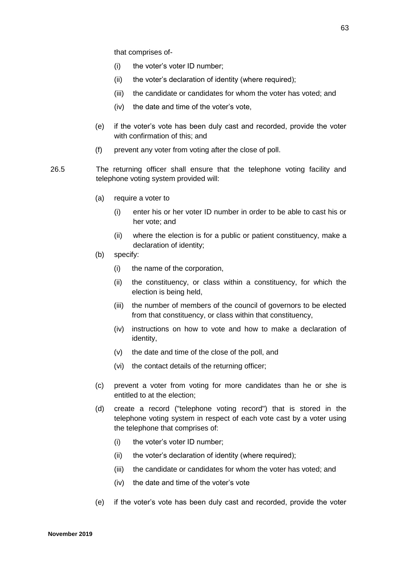that comprises of-

- (i) the voter's voter ID number;
- (ii) the voter's declaration of identity (where required);
- (iii) the candidate or candidates for whom the voter has voted; and
- (iv) the date and time of the voter's vote,
- (e) if the voter's vote has been duly cast and recorded, provide the voter with confirmation of this; and
- (f) prevent any voter from voting after the close of poll.
- 26.5 The returning officer shall ensure that the telephone voting facility and telephone voting system provided will:
	- (a) require a voter to
		- (i) enter his or her voter ID number in order to be able to cast his or her vote; and
		- (ii) where the election is for a public or patient constituency, make a declaration of identity;
	- (b) specify:
		- (i) the name of the corporation,
		- (ii) the constituency, or class within a constituency, for which the election is being held,
		- (iii) the number of members of the council of governors to be elected from that constituency, or class within that constituency,
		- (iv) instructions on how to vote and how to make a declaration of identity,
		- (v) the date and time of the close of the poll, and
		- (vi) the contact details of the returning officer;
	- (c) prevent a voter from voting for more candidates than he or she is entitled to at the election;
	- (d) create a record ("telephone voting record") that is stored in the telephone voting system in respect of each vote cast by a voter using the telephone that comprises of:
		- (i) the voter's voter ID number;
		- (ii) the voter's declaration of identity (where required);
		- (iii) the candidate or candidates for whom the voter has voted; and
		- (iv) the date and time of the voter's vote
	- (e) if the voter's vote has been duly cast and recorded, provide the voter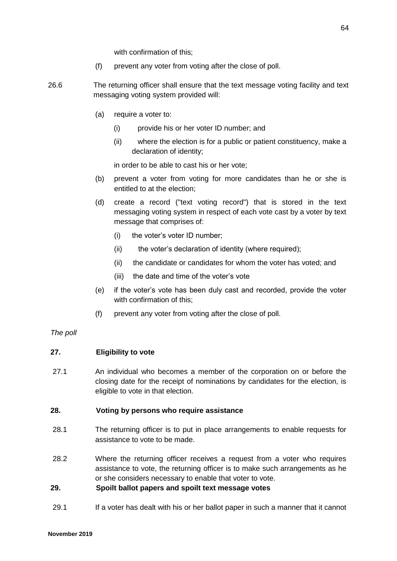with confirmation of this;

- (f) prevent any voter from voting after the close of poll.
- 26.6 The returning officer shall ensure that the text message voting facility and text messaging voting system provided will:
	- (a) require a voter to:
		- (i) provide his or her voter ID number; and
		- (ii) where the election is for a public or patient constituency, make a declaration of identity;

in order to be able to cast his or her vote;

- (b) prevent a voter from voting for more candidates than he or she is entitled to at the election;
- (d) create a record ("text voting record") that is stored in the text messaging voting system in respect of each vote cast by a voter by text message that comprises of:
	- (i) the voter's voter ID number;
	- (ii) the voter's declaration of identity (where required);
	- (ii) the candidate or candidates for whom the voter has voted; and
	- (iii) the date and time of the voter's vote
- (e) if the voter's vote has been duly cast and recorded, provide the voter with confirmation of this;
- (f) prevent any voter from voting after the close of poll.

#### *The poll*

#### **27. Eligibility to vote**

27.1 An individual who becomes a member of the corporation on or before the closing date for the receipt of nominations by candidates for the election, is eligible to vote in that election.

#### **28. Voting by persons who require assistance**

- 28.1 The returning officer is to put in place arrangements to enable requests for assistance to vote to be made.
- 28.2 Where the returning officer receives a request from a voter who requires assistance to vote, the returning officer is to make such arrangements as he or she considers necessary to enable that voter to vote.

#### **29. Spoilt ballot papers and spoilt text message votes**

29.1 If a voter has dealt with his or her ballot paper in such a manner that it cannot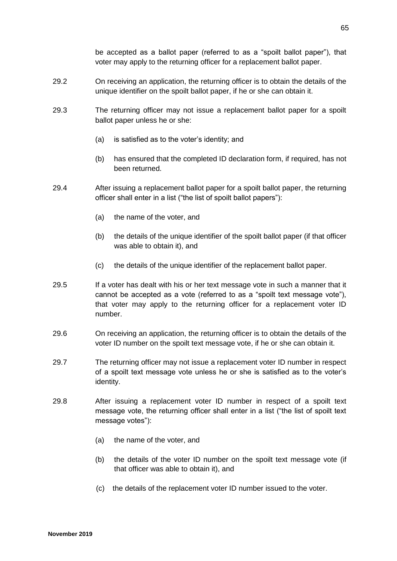be accepted as a ballot paper (referred to as a "spoilt ballot paper"), that voter may apply to the returning officer for a replacement ballot paper.

- 29.2 On receiving an application, the returning officer is to obtain the details of the unique identifier on the spoilt ballot paper, if he or she can obtain it.
- 29.3 The returning officer may not issue a replacement ballot paper for a spoilt ballot paper unless he or she:
	- (a) is satisfied as to the voter's identity; and
	- (b) has ensured that the completed ID declaration form, if required, has not been returned.
- 29.4 After issuing a replacement ballot paper for a spoilt ballot paper, the returning officer shall enter in a list ("the list of spoilt ballot papers"):
	- (a) the name of the voter, and
	- (b) the details of the unique identifier of the spoilt ballot paper (if that officer was able to obtain it), and
	- (c) the details of the unique identifier of the replacement ballot paper.
- 29.5 If a voter has dealt with his or her text message vote in such a manner that it cannot be accepted as a vote (referred to as a "spoilt text message vote"), that voter may apply to the returning officer for a replacement voter ID number.
- 29.6 On receiving an application, the returning officer is to obtain the details of the voter ID number on the spoilt text message vote, if he or she can obtain it.
- 29.7 The returning officer may not issue a replacement voter ID number in respect of a spoilt text message vote unless he or she is satisfied as to the voter's identity.
- 29.8 After issuing a replacement voter ID number in respect of a spoilt text message vote, the returning officer shall enter in a list ("the list of spoilt text message votes"):
	- (a) the name of the voter, and
	- (b) the details of the voter ID number on the spoilt text message vote (if that officer was able to obtain it), and
	- (c) the details of the replacement voter ID number issued to the voter.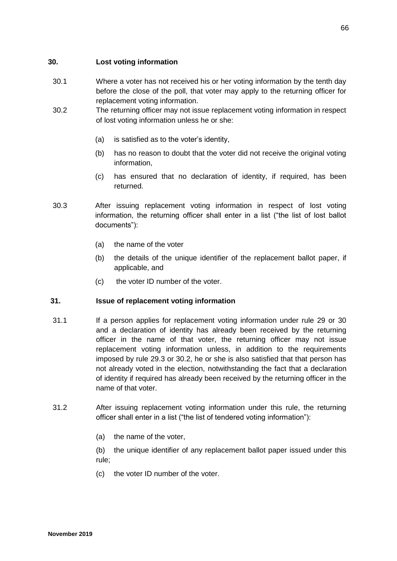## **30. Lost voting information**

- 30.1 Where a voter has not received his or her voting information by the tenth day before the close of the poll, that voter may apply to the returning officer for replacement voting information.
- 30.2 The returning officer may not issue replacement voting information in respect of lost voting information unless he or she:
	- (a) is satisfied as to the voter's identity,
	- (b) has no reason to doubt that the voter did not receive the original voting information,
	- (c) has ensured that no declaration of identity, if required, has been returned.
- 30.3 After issuing replacement voting information in respect of lost voting information, the returning officer shall enter in a list ("the list of lost ballot documents"):
	- (a) the name of the voter
	- (b) the details of the unique identifier of the replacement ballot paper, if applicable, and
	- (c) the voter ID number of the voter.

## **31. Issue of replacement voting information**

- 31.1 If a person applies for replacement voting information under rule 29 or 30 and a declaration of identity has already been received by the returning officer in the name of that voter, the returning officer may not issue replacement voting information unless, in addition to the requirements imposed by rule 29.3 or 30.2, he or she is also satisfied that that person has not already voted in the election, notwithstanding the fact that a declaration of identity if required has already been received by the returning officer in the name of that voter.
- 31.2 After issuing replacement voting information under this rule, the returning officer shall enter in a list ("the list of tendered voting information"):
	- (a) the name of the voter,

(b) the unique identifier of any replacement ballot paper issued under this rule;

(c) the voter ID number of the voter.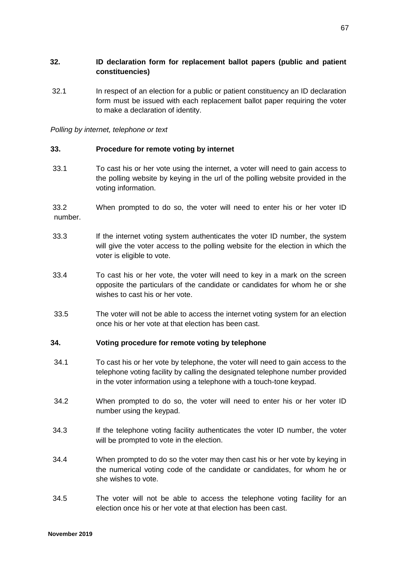## **32. ID declaration form for replacement ballot papers (public and patient constituencies)**

32.1 In respect of an election for a public or patient constituency an ID declaration form must be issued with each replacement ballot paper requiring the voter to make a declaration of identity.

*Polling by internet, telephone or text*

## **33. Procedure for remote voting by internet**

33.1 To cast his or her vote using the internet, a voter will need to gain access to the polling website by keying in the url of the polling website provided in the voting information.

33.2 When prompted to do so, the voter will need to enter his or her voter ID number.

- 33.3 If the internet voting system authenticates the voter ID number, the system will give the voter access to the polling website for the election in which the voter is eligible to vote.
- 33.4 To cast his or her vote, the voter will need to key in a mark on the screen opposite the particulars of the candidate or candidates for whom he or she wishes to cast his or her vote.
- 33.5 The voter will not be able to access the internet voting system for an election once his or her vote at that election has been cast.

## **34. Voting procedure for remote voting by telephone**

- 34.1 To cast his or her vote by telephone, the voter will need to gain access to the telephone voting facility by calling the designated telephone number provided in the voter information using a telephone with a touch-tone keypad.
- 34.2 When prompted to do so, the voter will need to enter his or her voter ID number using the keypad.
- 34.3 If the telephone voting facility authenticates the voter ID number, the voter will be prompted to vote in the election.
- 34.4 When prompted to do so the voter may then cast his or her vote by keying in the numerical voting code of the candidate or candidates, for whom he or she wishes to vote.
- 34.5 The voter will not be able to access the telephone voting facility for an election once his or her vote at that election has been cast.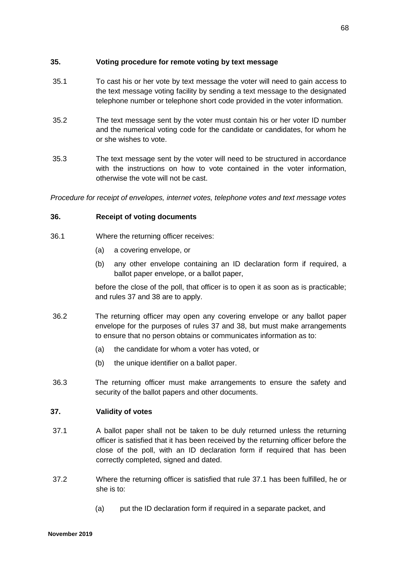## **35. Voting procedure for remote voting by text message**

- 35.1 To cast his or her vote by text message the voter will need to gain access to the text message voting facility by sending a text message to the designated telephone number or telephone short code provided in the voter information.
- 35.2 The text message sent by the voter must contain his or her voter ID number and the numerical voting code for the candidate or candidates, for whom he or she wishes to vote.
- 35.3 The text message sent by the voter will need to be structured in accordance with the instructions on how to vote contained in the voter information, otherwise the vote will not be cast.

*Procedure for receipt of envelopes, internet votes, telephone votes and text message votes*

### **36. Receipt of voting documents**

- 36.1 Where the returning officer receives:
	- (a) a covering envelope, or
	- (b) any other envelope containing an ID declaration form if required, a ballot paper envelope, or a ballot paper,

before the close of the poll, that officer is to open it as soon as is practicable; and rules 37 and 38 are to apply.

- 36.2 The returning officer may open any covering envelope or any ballot paper envelope for the purposes of rules 37 and 38, but must make arrangements to ensure that no person obtains or communicates information as to:
	- (a) the candidate for whom a voter has voted, or
	- (b) the unique identifier on a ballot paper.
- 36.3 The returning officer must make arrangements to ensure the safety and security of the ballot papers and other documents.

## **37. Validity of votes**

- 37.1 A ballot paper shall not be taken to be duly returned unless the returning officer is satisfied that it has been received by the returning officer before the close of the poll, with an ID declaration form if required that has been correctly completed, signed and dated.
- 37.2 Where the returning officer is satisfied that rule 37.1 has been fulfilled, he or she is to:
	- (a) put the ID declaration form if required in a separate packet, and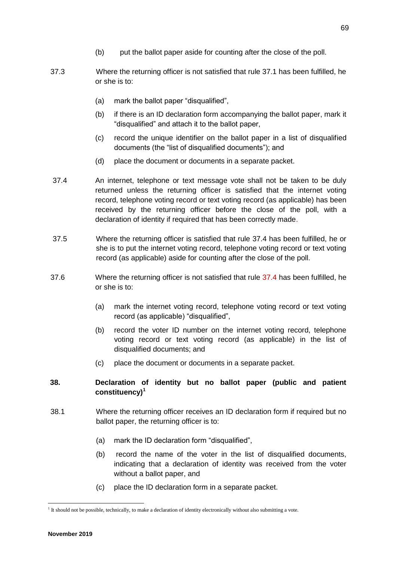- (b) put the ballot paper aside for counting after the close of the poll.
- 37.3 Where the returning officer is not satisfied that rule 37.1 has been fulfilled, he or she is to:
	- (a) mark the ballot paper "disqualified",
	- (b) if there is an ID declaration form accompanying the ballot paper, mark it "disqualified" and attach it to the ballot paper,
	- (c) record the unique identifier on the ballot paper in a list of disqualified documents (the "list of disqualified documents"); and
	- (d) place the document or documents in a separate packet.
- 37.4 An internet, telephone or text message vote shall not be taken to be duly returned unless the returning officer is satisfied that the internet voting record, telephone voting record or text voting record (as applicable) has been received by the returning officer before the close of the poll, with a declaration of identity if required that has been correctly made.
- 37.5 Where the returning officer is satisfied that rule 37.4 has been fulfilled, he or she is to put the internet voting record, telephone voting record or text voting record (as applicable) aside for counting after the close of the poll.
- 37.6 Where the returning officer is not satisfied that rule 37.4 has been fulfilled, he or she is to:
	- (a) mark the internet voting record, telephone voting record or text voting record (as applicable) "disqualified",
	- (b) record the voter ID number on the internet voting record, telephone voting record or text voting record (as applicable) in the list of disqualified documents; and
	- (c) place the document or documents in a separate packet.

## **38. Declaration of identity but no ballot paper (public and patient constituency)<sup>1</sup>**

- 38.1 Where the returning officer receives an ID declaration form if required but no ballot paper, the returning officer is to:
	- (a) mark the ID declaration form "disqualified",
	- (b) record the name of the voter in the list of disqualified documents, indicating that a declaration of identity was received from the voter without a ballot paper, and
	- (c) place the ID declaration form in a separate packet.

**.** 

<sup>&</sup>lt;sup>1</sup> It should not be possible, technically, to make a declaration of identity electronically without also submitting a vote.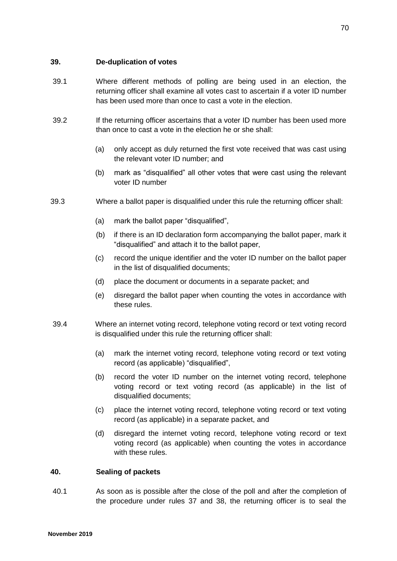### **39. De-duplication of votes**

- 39.1 Where different methods of polling are being used in an election, the returning officer shall examine all votes cast to ascertain if a voter ID number has been used more than once to cast a vote in the election.
- 39.2 If the returning officer ascertains that a voter ID number has been used more than once to cast a vote in the election he or she shall:
	- (a) only accept as duly returned the first vote received that was cast using the relevant voter ID number; and
	- (b) mark as "disqualified" all other votes that were cast using the relevant voter ID number
- 39.3 Where a ballot paper is disqualified under this rule the returning officer shall:
	- (a) mark the ballot paper "disqualified",
	- (b) if there is an ID declaration form accompanying the ballot paper, mark it "disqualified" and attach it to the ballot paper,
	- (c) record the unique identifier and the voter ID number on the ballot paper in the list of disqualified documents;
	- (d) place the document or documents in a separate packet; and
	- (e) disregard the ballot paper when counting the votes in accordance with these rules.
- 39.4 Where an internet voting record, telephone voting record or text voting record is disqualified under this rule the returning officer shall:
	- (a) mark the internet voting record, telephone voting record or text voting record (as applicable) "disqualified",
	- (b) record the voter ID number on the internet voting record, telephone voting record or text voting record (as applicable) in the list of disqualified documents;
	- (c) place the internet voting record, telephone voting record or text voting record (as applicable) in a separate packet, and
	- (d) disregard the internet voting record, telephone voting record or text voting record (as applicable) when counting the votes in accordance with these rules.

#### **40. Sealing of packets**

40.1 As soon as is possible after the close of the poll and after the completion of the procedure under rules 37 and 38, the returning officer is to seal the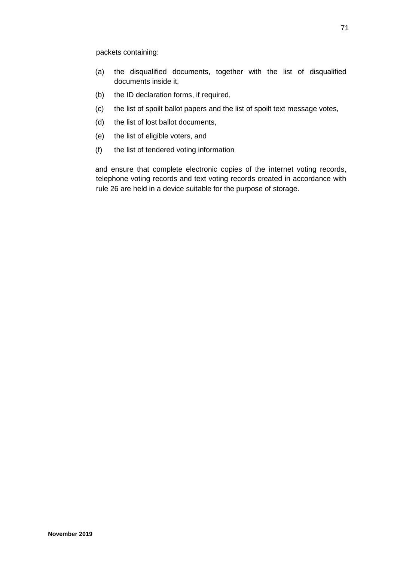packets containing:

- (a) the disqualified documents, together with the list of disqualified documents inside it,
- (b) the ID declaration forms, if required,
- (c) the list of spoilt ballot papers and the list of spoilt text message votes,
- (d) the list of lost ballot documents,
- (e) the list of eligible voters, and
- (f) the list of tendered voting information

and ensure that complete electronic copies of the internet voting records, telephone voting records and text voting records created in accordance with rule 26 are held in a device suitable for the purpose of storage.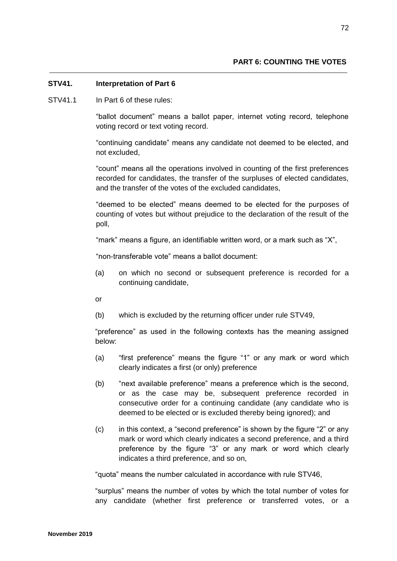## **STV41. Interpretation of Part 6**

STV41.1 In Part 6 of these rules:

"ballot document" means a ballot paper, internet voting record, telephone voting record or text voting record.

"continuing candidate" means any candidate not deemed to be elected, and not excluded,

"count" means all the operations involved in counting of the first preferences recorded for candidates, the transfer of the surpluses of elected candidates, and the transfer of the votes of the excluded candidates,

"deemed to be elected" means deemed to be elected for the purposes of counting of votes but without prejudice to the declaration of the result of the poll,

"mark" means a figure, an identifiable written word, or a mark such as "X",

"non-transferable vote" means a ballot document:

(a) on which no second or subsequent preference is recorded for a continuing candidate,

or

(b) which is excluded by the returning officer under rule STV49,

"preference" as used in the following contexts has the meaning assigned below:

- (a) "first preference" means the figure "1" or any mark or word which clearly indicates a first (or only) preference
- (b) "next available preference" means a preference which is the second, or as the case may be, subsequent preference recorded in consecutive order for a continuing candidate (any candidate who is deemed to be elected or is excluded thereby being ignored); and
- (c) in this context, a "second preference" is shown by the figure "2" or any mark or word which clearly indicates a second preference, and a third preference by the figure "3" or any mark or word which clearly indicates a third preference, and so on,

"quota" means the number calculated in accordance with rule STV46,

"surplus" means the number of votes by which the total number of votes for any candidate (whether first preference or transferred votes, or a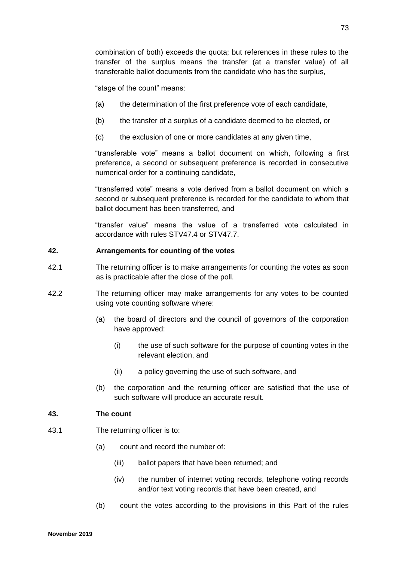combination of both) exceeds the quota; but references in these rules to the transfer of the surplus means the transfer (at a transfer value) of all transferable ballot documents from the candidate who has the surplus,

"stage of the count" means:

- (a) the determination of the first preference vote of each candidate,
- (b) the transfer of a surplus of a candidate deemed to be elected, or
- (c) the exclusion of one or more candidates at any given time,

"transferable vote" means a ballot document on which, following a first preference, a second or subsequent preference is recorded in consecutive numerical order for a continuing candidate,

"transferred vote" means a vote derived from a ballot document on which a second or subsequent preference is recorded for the candidate to whom that ballot document has been transferred, and

"transfer value" means the value of a transferred vote calculated in accordance with rules STV47.4 or STV47.7.

## **42. Arrangements for counting of the votes**

- 42.1 The returning officer is to make arrangements for counting the votes as soon as is practicable after the close of the poll.
- 42.2 The returning officer may make arrangements for any votes to be counted using vote counting software where:
	- (a) the board of directors and the council of governors of the corporation have approved:
		- (i) the use of such software for the purpose of counting votes in the relevant election, and
		- (ii) a policy governing the use of such software, and
	- (b) the corporation and the returning officer are satisfied that the use of such software will produce an accurate result.

## **43. The count**

- 43.1 The returning officer is to:
	- (a) count and record the number of:
		- (iii) ballot papers that have been returned; and
		- (iv) the number of internet voting records, telephone voting records and/or text voting records that have been created, and
	- (b) count the votes according to the provisions in this Part of the rules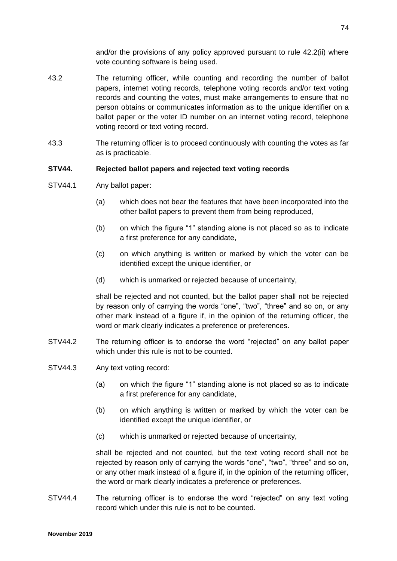and/or the provisions of any policy approved pursuant to rule 42.2(ii) where vote counting software is being used.

- 43.2 The returning officer, while counting and recording the number of ballot papers, internet voting records, telephone voting records and/or text voting records and counting the votes, must make arrangements to ensure that no person obtains or communicates information as to the unique identifier on a ballot paper or the voter ID number on an internet voting record, telephone voting record or text voting record.
- 43.3 The returning officer is to proceed continuously with counting the votes as far as is practicable.

## **STV44. Rejected ballot papers and rejected text voting records**

- STV44.1 Any ballot paper:
	- (a) which does not bear the features that have been incorporated into the other ballot papers to prevent them from being reproduced,
	- (b) on which the figure "1" standing alone is not placed so as to indicate a first preference for any candidate,
	- (c) on which anything is written or marked by which the voter can be identified except the unique identifier, or
	- (d) which is unmarked or rejected because of uncertainty,

shall be rejected and not counted, but the ballot paper shall not be rejected by reason only of carrying the words "one", "two", "three" and so on, or any other mark instead of a figure if, in the opinion of the returning officer, the word or mark clearly indicates a preference or preferences.

- STV44.2 The returning officer is to endorse the word "rejected" on any ballot paper which under this rule is not to be counted.
- STV44.3 Any text voting record:
	- (a) on which the figure "1" standing alone is not placed so as to indicate a first preference for any candidate,
	- (b) on which anything is written or marked by which the voter can be identified except the unique identifier, or
	- (c) which is unmarked or rejected because of uncertainty,

shall be rejected and not counted, but the text voting record shall not be rejected by reason only of carrying the words "one", "two", "three" and so on, or any other mark instead of a figure if, in the opinion of the returning officer, the word or mark clearly indicates a preference or preferences.

STV44.4 The returning officer is to endorse the word "rejected" on any text voting record which under this rule is not to be counted.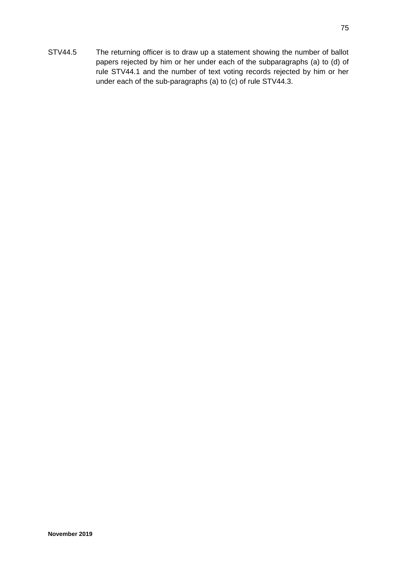STV44.5 The returning officer is to draw up a statement showing the number of ballot papers rejected by him or her under each of the subparagraphs (a) to (d) of rule STV44.1 and the number of text voting records rejected by him or her under each of the sub-paragraphs (a) to (c) of rule STV44.3.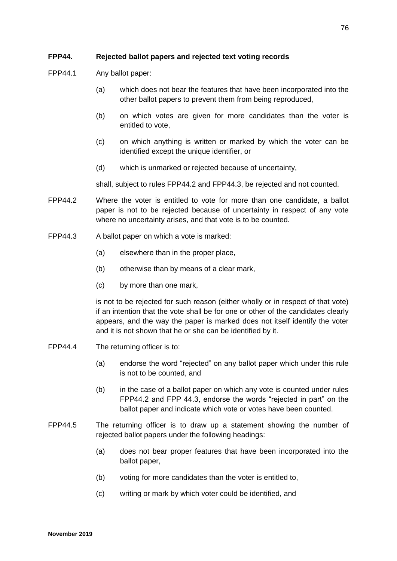# **FPP44. Rejected ballot papers and rejected text voting records**

- FPP44.1 Any ballot paper:
	- (a) which does not bear the features that have been incorporated into the other ballot papers to prevent them from being reproduced,
	- (b) on which votes are given for more candidates than the voter is entitled to vote,
	- (c) on which anything is written or marked by which the voter can be identified except the unique identifier, or
	- (d) which is unmarked or rejected because of uncertainty,

shall, subject to rules FPP44.2 and FPP44.3, be rejected and not counted.

- FPP44.2 Where the voter is entitled to vote for more than one candidate, a ballot paper is not to be rejected because of uncertainty in respect of any vote where no uncertainty arises, and that vote is to be counted.
- FPP44.3 A ballot paper on which a vote is marked:
	- (a) elsewhere than in the proper place,
	- (b) otherwise than by means of a clear mark,
	- (c) by more than one mark,

is not to be rejected for such reason (either wholly or in respect of that vote) if an intention that the vote shall be for one or other of the candidates clearly appears, and the way the paper is marked does not itself identify the voter and it is not shown that he or she can be identified by it.

- FPP44.4 The returning officer is to:
	- (a) endorse the word "rejected" on any ballot paper which under this rule is not to be counted, and
	- (b) in the case of a ballot paper on which any vote is counted under rules FPP44.2 and FPP 44.3, endorse the words "rejected in part" on the ballot paper and indicate which vote or votes have been counted.
- FPP44.5 The returning officer is to draw up a statement showing the number of rejected ballot papers under the following headings:
	- (a) does not bear proper features that have been incorporated into the ballot paper,
	- (b) voting for more candidates than the voter is entitled to,
	- (c) writing or mark by which voter could be identified, and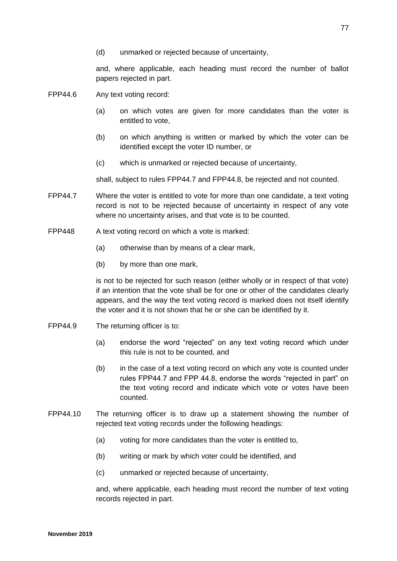and, where applicable, each heading must record the number of ballot papers rejected in part.

- FPP44.6 Any text voting record:
	- (a) on which votes are given for more candidates than the voter is entitled to vote,
	- (b) on which anything is written or marked by which the voter can be identified except the voter ID number, or
	- (c) which is unmarked or rejected because of uncertainty,

shall, subject to rules FPP44.7 and FPP44.8, be rejected and not counted.

- FPP44.7 Where the voter is entitled to vote for more than one candidate, a text voting record is not to be rejected because of uncertainty in respect of any vote where no uncertainty arises, and that vote is to be counted.
- FPP448 A text voting record on which a vote is marked:
	- (a) otherwise than by means of a clear mark,
	- (b) by more than one mark,

is not to be rejected for such reason (either wholly or in respect of that vote) if an intention that the vote shall be for one or other of the candidates clearly appears, and the way the text voting record is marked does not itself identify the voter and it is not shown that he or she can be identified by it.

- FPP44.9 The returning officer is to:
	- (a) endorse the word "rejected" on any text voting record which under this rule is not to be counted, and
	- (b) in the case of a text voting record on which any vote is counted under rules FPP44.7 and FPP 44.8, endorse the words "rejected in part" on the text voting record and indicate which vote or votes have been counted.
- FPP44.10 The returning officer is to draw up a statement showing the number of rejected text voting records under the following headings:
	- (a) voting for more candidates than the voter is entitled to,
	- (b) writing or mark by which voter could be identified, and
	- (c) unmarked or rejected because of uncertainty,

and, where applicable, each heading must record the number of text voting records rejected in part.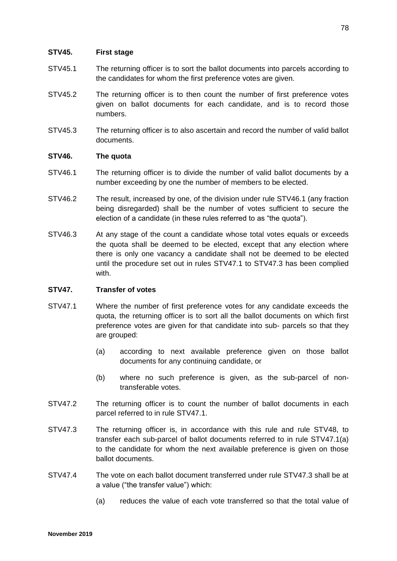## **STV45. First stage**

- STV45.1 The returning officer is to sort the ballot documents into parcels according to the candidates for whom the first preference votes are given.
- STV45.2 The returning officer is to then count the number of first preference votes given on ballot documents for each candidate, and is to record those numbers.
- STV45.3 The returning officer is to also ascertain and record the number of valid ballot documents.

## **STV46. The quota**

- STV46.1 The returning officer is to divide the number of valid ballot documents by a number exceeding by one the number of members to be elected.
- STV46.2 The result, increased by one, of the division under rule STV46.1 (any fraction being disregarded) shall be the number of votes sufficient to secure the election of a candidate (in these rules referred to as "the quota").
- STV46.3 At any stage of the count a candidate whose total votes equals or exceeds the quota shall be deemed to be elected, except that any election where there is only one vacancy a candidate shall not be deemed to be elected until the procedure set out in rules STV47.1 to STV47.3 has been complied with.

## **STV47. Transfer of votes**

- STV47.1 Where the number of first preference votes for any candidate exceeds the quota, the returning officer is to sort all the ballot documents on which first preference votes are given for that candidate into sub- parcels so that they are grouped:
	- (a) according to next available preference given on those ballot documents for any continuing candidate, or
	- (b) where no such preference is given, as the sub-parcel of nontransferable votes.
- STV47.2 The returning officer is to count the number of ballot documents in each parcel referred to in rule STV47.1.
- STV47.3 The returning officer is, in accordance with this rule and rule STV48, to transfer each sub-parcel of ballot documents referred to in rule STV47.1(a) to the candidate for whom the next available preference is given on those ballot documents.
- STV47.4 The vote on each ballot document transferred under rule STV47.3 shall be at a value ("the transfer value") which:
	- (a) reduces the value of each vote transferred so that the total value of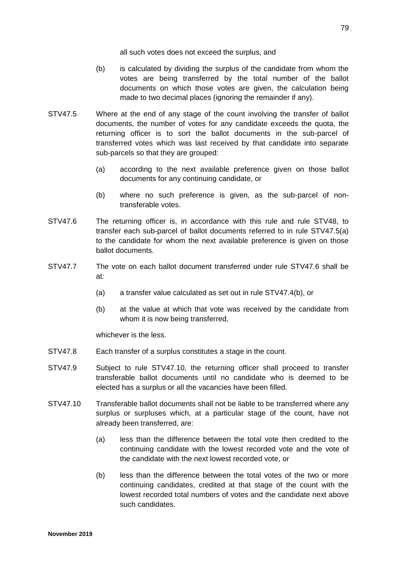all such votes does not exceed the surplus, and

- (b) is calculated by dividing the surplus of the candidate from whom the votes are being transferred by the total number of the ballot documents on which those votes are given, the calculation being made to two decimal places (ignoring the remainder if any).
- STV47.5 Where at the end of any stage of the count involving the transfer of ballot documents, the number of votes for any candidate exceeds the quota, the returning officer is to sort the ballot documents in the sub-parcel of transferred votes which was last received by that candidate into separate sub-parcels so that they are grouped:
	- (a) according to the next available preference given on those ballot documents for any continuing candidate, or
	- (b) where no such preference is given, as the sub-parcel of nontransferable votes.
- STV47.6 The returning officer is, in accordance with this rule and rule STV48, to transfer each sub-parcel of ballot documents referred to in rule STV47.5(a) to the candidate for whom the next available preference is given on those ballot documents.
- STV47.7 The vote on each ballot document transferred under rule STV47.6 shall be at:
	- (a) a transfer value calculated as set out in rule STV47.4(b), or
	- (b) at the value at which that vote was received by the candidate from whom it is now being transferred.

whichever is the less.

- STV47.8 Each transfer of a surplus constitutes a stage in the count.
- STV47.9 Subject to rule STV47.10, the returning officer shall proceed to transfer transferable ballot documents until no candidate who is deemed to be elected has a surplus or all the vacancies have been filled.
- STV47.10 Transferable ballot documents shall not be liable to be transferred where any surplus or surpluses which, at a particular stage of the count, have not already been transferred, are:
	- (a) less than the difference between the total vote then credited to the continuing candidate with the lowest recorded vote and the vote of the candidate with the next lowest recorded vote, or
	- (b) less than the difference between the total votes of the two or more continuing candidates, credited at that stage of the count with the lowest recorded total numbers of votes and the candidate next above such candidates.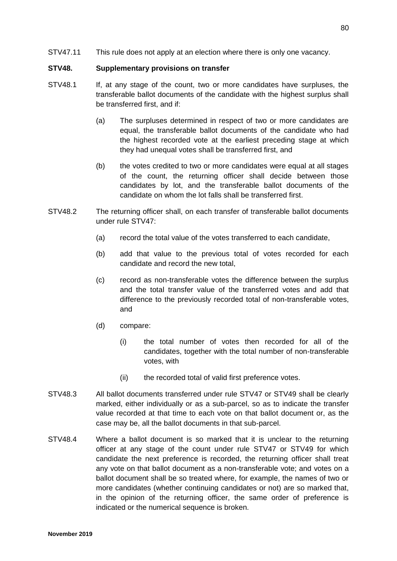#### **STV48. Supplementary provisions on transfer**

- STV48.1 If, at any stage of the count, two or more candidates have surpluses, the transferable ballot documents of the candidate with the highest surplus shall be transferred first, and if:
	- (a) The surpluses determined in respect of two or more candidates are equal, the transferable ballot documents of the candidate who had the highest recorded vote at the earliest preceding stage at which they had unequal votes shall be transferred first, and
	- (b) the votes credited to two or more candidates were equal at all stages of the count, the returning officer shall decide between those candidates by lot, and the transferable ballot documents of the candidate on whom the lot falls shall be transferred first.
- STV48.2 The returning officer shall, on each transfer of transferable ballot documents under rule STV47:
	- (a) record the total value of the votes transferred to each candidate,
	- (b) add that value to the previous total of votes recorded for each candidate and record the new total,
	- (c) record as non-transferable votes the difference between the surplus and the total transfer value of the transferred votes and add that difference to the previously recorded total of non-transferable votes, and
	- (d) compare:
		- (i) the total number of votes then recorded for all of the candidates, together with the total number of non-transferable votes, with
		- (ii) the recorded total of valid first preference votes.
- STV48.3 All ballot documents transferred under rule STV47 or STV49 shall be clearly marked, either individually or as a sub-parcel, so as to indicate the transfer value recorded at that time to each vote on that ballot document or, as the case may be, all the ballot documents in that sub-parcel.
- STV48.4 Where a ballot document is so marked that it is unclear to the returning officer at any stage of the count under rule STV47 or STV49 for which candidate the next preference is recorded, the returning officer shall treat any vote on that ballot document as a non-transferable vote; and votes on a ballot document shall be so treated where, for example, the names of two or more candidates (whether continuing candidates or not) are so marked that, in the opinion of the returning officer, the same order of preference is indicated or the numerical sequence is broken.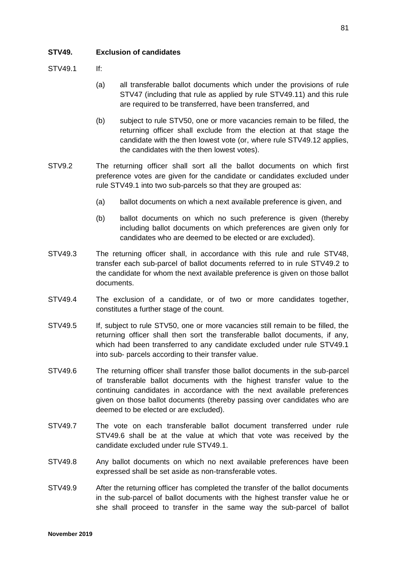## **STV49. Exclusion of candidates**

 $STV491$  If

- (a) all transferable ballot documents which under the provisions of rule STV47 (including that rule as applied by rule STV49.11) and this rule are required to be transferred, have been transferred, and
- (b) subject to rule STV50, one or more vacancies remain to be filled, the returning officer shall exclude from the election at that stage the candidate with the then lowest vote (or, where rule STV49.12 applies, the candidates with the then lowest votes).
- STV9.2 The returning officer shall sort all the ballot documents on which first preference votes are given for the candidate or candidates excluded under rule STV49.1 into two sub-parcels so that they are grouped as:
	- (a) ballot documents on which a next available preference is given, and
	- (b) ballot documents on which no such preference is given (thereby including ballot documents on which preferences are given only for candidates who are deemed to be elected or are excluded).
- STV49.3 The returning officer shall, in accordance with this rule and rule STV48, transfer each sub-parcel of ballot documents referred to in rule STV49.2 to the candidate for whom the next available preference is given on those ballot documents.
- STV49.4 The exclusion of a candidate, or of two or more candidates together, constitutes a further stage of the count.
- STV49.5 If, subject to rule STV50, one or more vacancies still remain to be filled, the returning officer shall then sort the transferable ballot documents, if any, which had been transferred to any candidate excluded under rule STV49.1 into sub- parcels according to their transfer value.
- STV49.6 The returning officer shall transfer those ballot documents in the sub-parcel of transferable ballot documents with the highest transfer value to the continuing candidates in accordance with the next available preferences given on those ballot documents (thereby passing over candidates who are deemed to be elected or are excluded).
- STV49.7 The vote on each transferable ballot document transferred under rule STV49.6 shall be at the value at which that vote was received by the candidate excluded under rule STV49.1.
- STV49.8 Any ballot documents on which no next available preferences have been expressed shall be set aside as non-transferable votes.
- STV49.9 After the returning officer has completed the transfer of the ballot documents in the sub-parcel of ballot documents with the highest transfer value he or she shall proceed to transfer in the same way the sub-parcel of ballot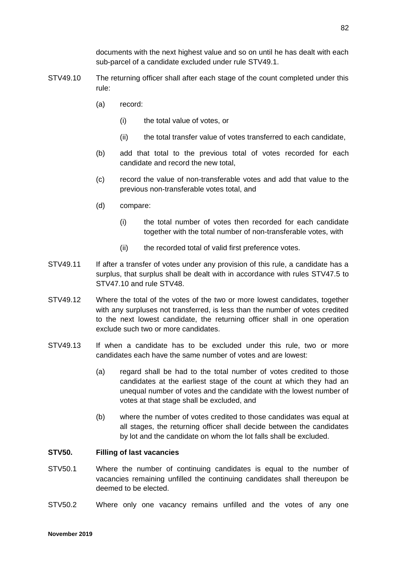documents with the next highest value and so on until he has dealt with each sub-parcel of a candidate excluded under rule STV49.1.

- STV49.10 The returning officer shall after each stage of the count completed under this rule:
	- (a) record:
		- (i) the total value of votes, or
		- (ii) the total transfer value of votes transferred to each candidate,
	- (b) add that total to the previous total of votes recorded for each candidate and record the new total,
	- (c) record the value of non-transferable votes and add that value to the previous non-transferable votes total, and
	- (d) compare:
		- (i) the total number of votes then recorded for each candidate together with the total number of non-transferable votes, with
		- (ii) the recorded total of valid first preference votes.
- STV49.11 If after a transfer of votes under any provision of this rule, a candidate has a surplus, that surplus shall be dealt with in accordance with rules STV47.5 to STV47.10 and rule STV48.
- STV49.12 Where the total of the votes of the two or more lowest candidates, together with any surpluses not transferred, is less than the number of votes credited to the next lowest candidate, the returning officer shall in one operation exclude such two or more candidates.
- STV49.13 If when a candidate has to be excluded under this rule, two or more candidates each have the same number of votes and are lowest:
	- (a) regard shall be had to the total number of votes credited to those candidates at the earliest stage of the count at which they had an unequal number of votes and the candidate with the lowest number of votes at that stage shall be excluded, and
	- (b) where the number of votes credited to those candidates was equal at all stages, the returning officer shall decide between the candidates by lot and the candidate on whom the lot falls shall be excluded.

#### **STV50. Filling of last vacancies**

- STV50.1 Where the number of continuing candidates is equal to the number of vacancies remaining unfilled the continuing candidates shall thereupon be deemed to be elected.
- STV50.2 Where only one vacancy remains unfilled and the votes of any one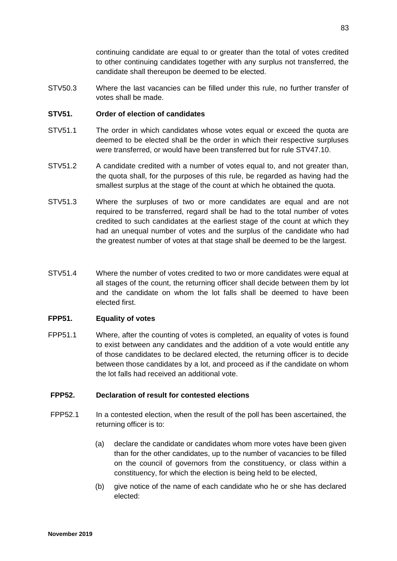continuing candidate are equal to or greater than the total of votes credited to other continuing candidates together with any surplus not transferred, the candidate shall thereupon be deemed to be elected.

STV50.3 Where the last vacancies can be filled under this rule, no further transfer of votes shall be made.

### **STV51. Order of election of candidates**

- STV51.1 The order in which candidates whose votes equal or exceed the quota are deemed to be elected shall be the order in which their respective surpluses were transferred, or would have been transferred but for rule STV47.10.
- STV51.2 A candidate credited with a number of votes equal to, and not greater than, the quota shall, for the purposes of this rule, be regarded as having had the smallest surplus at the stage of the count at which he obtained the quota.
- STV51.3 Where the surpluses of two or more candidates are equal and are not required to be transferred, regard shall be had to the total number of votes credited to such candidates at the earliest stage of the count at which they had an unequal number of votes and the surplus of the candidate who had the greatest number of votes at that stage shall be deemed to be the largest.
- STV51.4 Where the number of votes credited to two or more candidates were equal at all stages of the count, the returning officer shall decide between them by lot and the candidate on whom the lot falls shall be deemed to have been elected first.

## **FPP51. Equality of votes**

FPP51.1 Where, after the counting of votes is completed, an equality of votes is found to exist between any candidates and the addition of a vote would entitle any of those candidates to be declared elected, the returning officer is to decide between those candidates by a lot, and proceed as if the candidate on whom the lot falls had received an additional vote.

#### **FPP52. Declaration of result for contested elections**

- FPP52.1 In a contested election, when the result of the poll has been ascertained, the returning officer is to:
	- (a) declare the candidate or candidates whom more votes have been given than for the other candidates, up to the number of vacancies to be filled on the council of governors from the constituency, or class within a constituency, for which the election is being held to be elected,
	- (b) give notice of the name of each candidate who he or she has declared elected: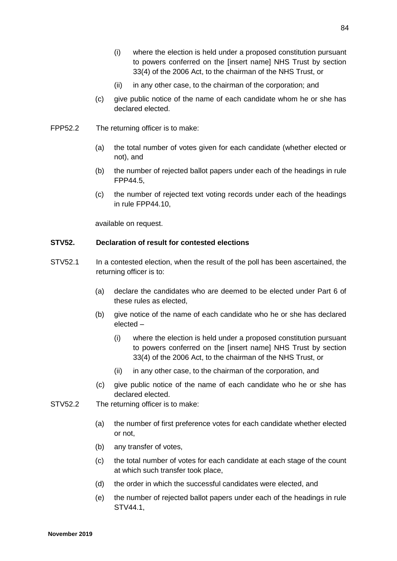- (i) where the election is held under a proposed constitution pursuant to powers conferred on the [insert name] NHS Trust by section 33(4) of the 2006 Act, to the chairman of the NHS Trust, or
- (ii) in any other case, to the chairman of the corporation; and
- (c) give public notice of the name of each candidate whom he or she has declared elected.
- FPP52.2 The returning officer is to make:
	- (a) the total number of votes given for each candidate (whether elected or not), and
	- (b) the number of rejected ballot papers under each of the headings in rule FPP44.5,
	- (c) the number of rejected text voting records under each of the headings in rule FPP44.10,

available on request.

## **STV52. Declaration of result for contested elections**

- STV52.1 In a contested election, when the result of the poll has been ascertained, the returning officer is to:
	- (a) declare the candidates who are deemed to be elected under Part 6 of these rules as elected,
	- (b) give notice of the name of each candidate who he or she has declared elected –
		- (i) where the election is held under a proposed constitution pursuant to powers conferred on the [insert name] NHS Trust by section 33(4) of the 2006 Act, to the chairman of the NHS Trust, or
		- (ii) in any other case, to the chairman of the corporation, and
	- (c) give public notice of the name of each candidate who he or she has declared elected.
- STV52.2 The returning officer is to make:
	- (a) the number of first preference votes for each candidate whether elected or not,
	- (b) any transfer of votes,
	- (c) the total number of votes for each candidate at each stage of the count at which such transfer took place,
	- (d) the order in which the successful candidates were elected, and
	- (e) the number of rejected ballot papers under each of the headings in rule STV44.1,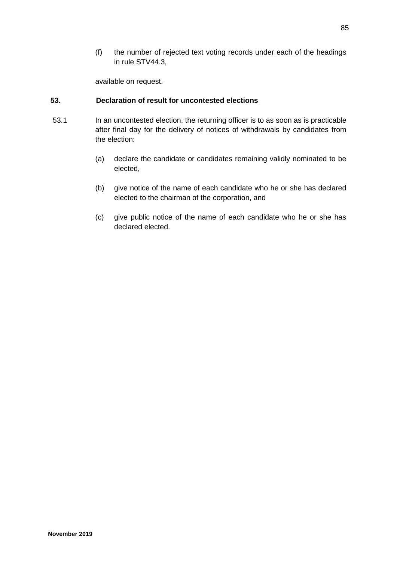(f) the number of rejected text voting records under each of the headings in rule STV44.3,

available on request.

## **53. Declaration of result for uncontested elections**

- 53.1 In an uncontested election, the returning officer is to as soon as is practicable after final day for the delivery of notices of withdrawals by candidates from the election:
	- (a) declare the candidate or candidates remaining validly nominated to be elected,
	- (b) give notice of the name of each candidate who he or she has declared elected to the chairman of the corporation, and
	- (c) give public notice of the name of each candidate who he or she has declared elected.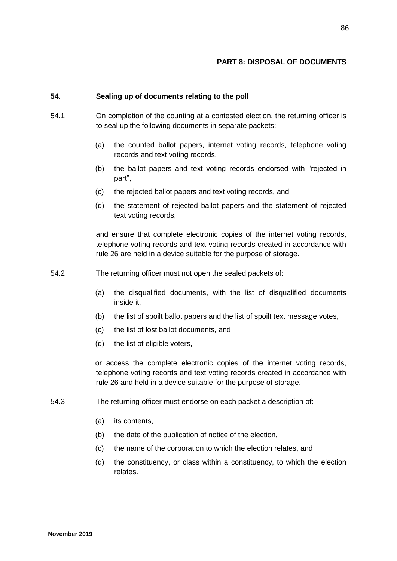### **54. Sealing up of documents relating to the poll**

- 54.1 On completion of the counting at a contested election, the returning officer is to seal up the following documents in separate packets:
	- (a) the counted ballot papers, internet voting records, telephone voting records and text voting records,
	- (b) the ballot papers and text voting records endorsed with "rejected in part",
	- (c) the rejected ballot papers and text voting records, and
	- (d) the statement of rejected ballot papers and the statement of rejected text voting records,

and ensure that complete electronic copies of the internet voting records, telephone voting records and text voting records created in accordance with rule 26 are held in a device suitable for the purpose of storage.

- 54.2 The returning officer must not open the sealed packets of:
	- (a) the disqualified documents, with the list of disqualified documents inside it,
	- (b) the list of spoilt ballot papers and the list of spoilt text message votes,
	- (c) the list of lost ballot documents, and
	- (d) the list of eligible voters,

or access the complete electronic copies of the internet voting records, telephone voting records and text voting records created in accordance with rule 26 and held in a device suitable for the purpose of storage.

- 54.3 The returning officer must endorse on each packet a description of:
	- (a) its contents,
	- (b) the date of the publication of notice of the election,
	- (c) the name of the corporation to which the election relates, and
	- (d) the constituency, or class within a constituency, to which the election relates.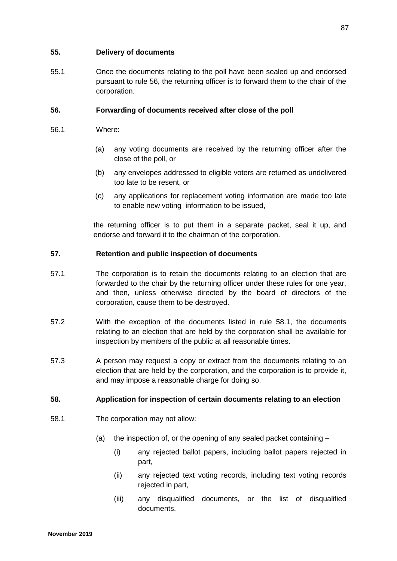## **55. Delivery of documents**

55.1 Once the documents relating to the poll have been sealed up and endorsed pursuant to rule 56, the returning officer is to forward them to the chair of the corporation.

## **56. Forwarding of documents received after close of the poll**

- 56.1 Where:
	- (a) any voting documents are received by the returning officer after the close of the poll, or
	- (b) any envelopes addressed to eligible voters are returned as undelivered too late to be resent, or
	- (c) any applications for replacement voting information are made too late to enable new voting information to be issued,

the returning officer is to put them in a separate packet, seal it up, and endorse and forward it to the chairman of the corporation.

#### **57. Retention and public inspection of documents**

- 57.1 The corporation is to retain the documents relating to an election that are forwarded to the chair by the returning officer under these rules for one year, and then, unless otherwise directed by the board of directors of the corporation, cause them to be destroyed.
- 57.2 With the exception of the documents listed in rule 58.1, the documents relating to an election that are held by the corporation shall be available for inspection by members of the public at all reasonable times.
- 57.3 A person may request a copy or extract from the documents relating to an election that are held by the corporation, and the corporation is to provide it, and may impose a reasonable charge for doing so.

## **58. Application for inspection of certain documents relating to an election**

- 58.1 The corporation may not allow:
	- (a) the inspection of, or the opening of any sealed packet containing
		- (i) any rejected ballot papers, including ballot papers rejected in part,
		- (ii) any rejected text voting records, including text voting records rejected in part,
		- (iii) any disqualified documents, or the list of disqualified documents,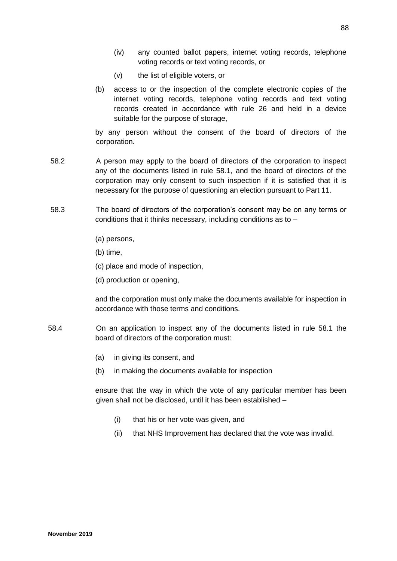- (iv) any counted ballot papers, internet voting records, telephone voting records or text voting records, or
- (v) the list of eligible voters, or
- (b) access to or the inspection of the complete electronic copies of the internet voting records, telephone voting records and text voting records created in accordance with rule 26 and held in a device suitable for the purpose of storage,

by any person without the consent of the board of directors of the corporation.

- 58.2 A person may apply to the board of directors of the corporation to inspect any of the documents listed in rule 58.1, and the board of directors of the corporation may only consent to such inspection if it is satisfied that it is necessary for the purpose of questioning an election pursuant to Part 11.
- 58.3 The board of directors of the corporation's consent may be on any terms or conditions that it thinks necessary, including conditions as to –
	- (a) persons,
	- (b) time,
	- (c) place and mode of inspection,
	- (d) production or opening,

and the corporation must only make the documents available for inspection in accordance with those terms and conditions.

- 58.4 On an application to inspect any of the documents listed in rule 58.1 the board of directors of the corporation must:
	- (a) in giving its consent, and
	- (b) in making the documents available for inspection

ensure that the way in which the vote of any particular member has been given shall not be disclosed, until it has been established –

- (i) that his or her vote was given, and
- (ii) that NHS Improvement has declared that the vote was invalid.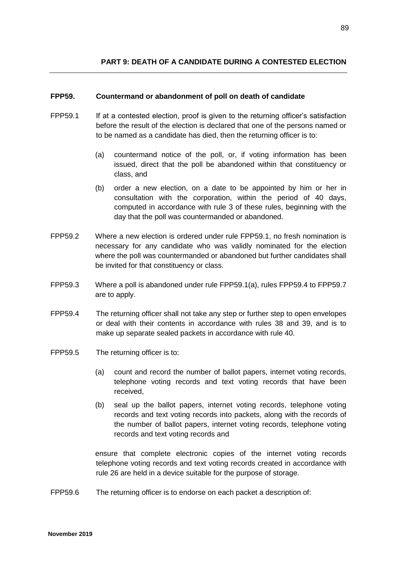#### **FPP59. Countermand or abandonment of poll on death of candidate**

- FPP59.1 If at a contested election, proof is given to the returning officer's satisfaction before the result of the election is declared that one of the persons named or to be named as a candidate has died, then the returning officer is to:
	- (a) countermand notice of the poll, or, if voting information has been issued, direct that the poll be abandoned within that constituency or class, and
	- (b) order a new election, on a date to be appointed by him or her in consultation with the corporation, within the period of 40 days, computed in accordance with rule 3 of these rules, beginning with the day that the poll was countermanded or abandoned.
- FPP59.2 Where a new election is ordered under rule FPP59.1, no fresh nomination is necessary for any candidate who was validly nominated for the election where the poll was countermanded or abandoned but further candidates shall be invited for that constituency or class.
- FPP59.3 Where a poll is abandoned under rule FPP59.1(a), rules FPP59.4 to FPP59.7 are to apply.
- FPP59.4 The returning officer shall not take any step or further step to open envelopes or deal with their contents in accordance with rules 38 and 39, and is to make up separate sealed packets in accordance with rule 40.
- FPP59.5 The returning officer is to:
	- (a) count and record the number of ballot papers, internet voting records, telephone voting records and text voting records that have been received,
	- (b) seal up the ballot papers, internet voting records, telephone voting records and text voting records into packets, along with the records of the number of ballot papers, internet voting records, telephone voting records and text voting records and

ensure that complete electronic copies of the internet voting records telephone voting records and text voting records created in accordance with rule 26 are held in a device suitable for the purpose of storage.

FPP59.6 The returning officer is to endorse on each packet a description of: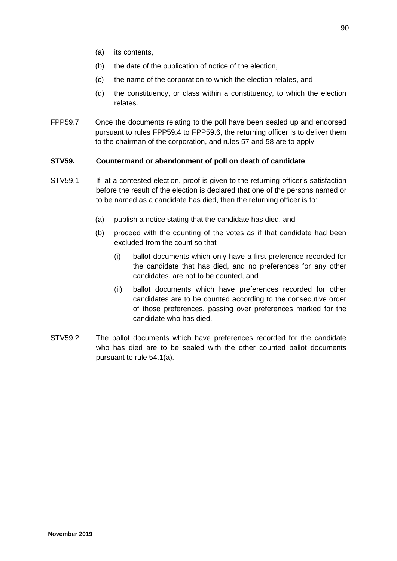- (a) its contents,
- (b) the date of the publication of notice of the election,
- (c) the name of the corporation to which the election relates, and
- (d) the constituency, or class within a constituency, to which the election relates.
- FPP59.7 Once the documents relating to the poll have been sealed up and endorsed pursuant to rules FPP59.4 to FPP59.6, the returning officer is to deliver them to the chairman of the corporation, and rules 57 and 58 are to apply.

#### **STV59. Countermand or abandonment of poll on death of candidate**

- STV59.1 If, at a contested election, proof is given to the returning officer's satisfaction before the result of the election is declared that one of the persons named or to be named as a candidate has died, then the returning officer is to:
	- (a) publish a notice stating that the candidate has died, and
	- (b) proceed with the counting of the votes as if that candidate had been excluded from the count so that –
		- (i) ballot documents which only have a first preference recorded for the candidate that has died, and no preferences for any other candidates, are not to be counted, and
		- (ii) ballot documents which have preferences recorded for other candidates are to be counted according to the consecutive order of those preferences, passing over preferences marked for the candidate who has died.
- STV59.2 The ballot documents which have preferences recorded for the candidate who has died are to be sealed with the other counted ballot documents pursuant to rule 54.1(a).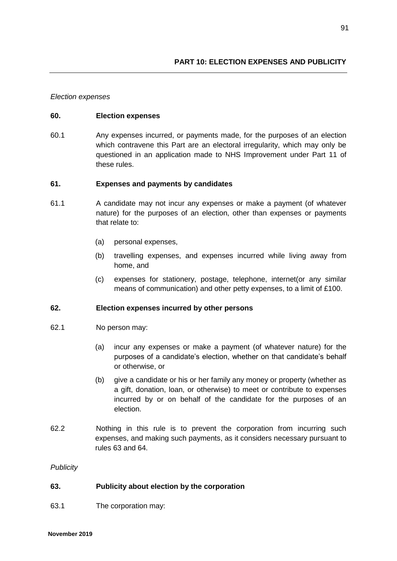#### *Election expenses*

#### **60. Election expenses**

60.1 Any expenses incurred, or payments made, for the purposes of an election which contravene this Part are an electoral irregularity, which may only be questioned in an application made to NHS Improvement under Part 11 of these rules.

#### **61. Expenses and payments by candidates**

- 61.1 A candidate may not incur any expenses or make a payment (of whatever nature) for the purposes of an election, other than expenses or payments that relate to:
	- (a) personal expenses,
	- (b) travelling expenses, and expenses incurred while living away from home, and
	- (c) expenses for stationery, postage, telephone, internet(or any similar means of communication) and other petty expenses, to a limit of £100.

#### **62. Election expenses incurred by other persons**

- 62.1 No person may:
	- (a) incur any expenses or make a payment (of whatever nature) for the purposes of a candidate's election, whether on that candidate's behalf or otherwise, or
	- (b) give a candidate or his or her family any money or property (whether as a gift, donation, loan, or otherwise) to meet or contribute to expenses incurred by or on behalf of the candidate for the purposes of an election.
- 62.2 Nothing in this rule is to prevent the corporation from incurring such expenses, and making such payments, as it considers necessary pursuant to rules 63 and 64.

*Publicity*

#### **63. Publicity about election by the corporation**

63.1 The corporation may: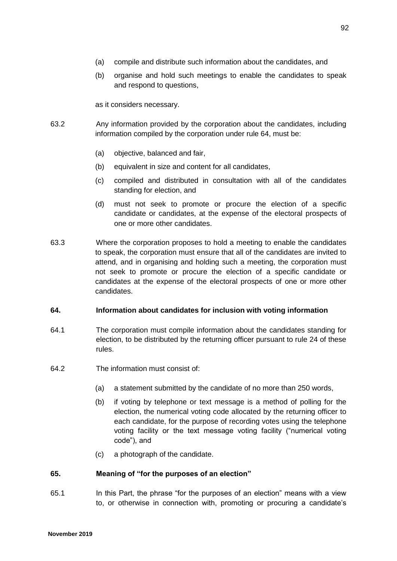- (a) compile and distribute such information about the candidates, and
- (b) organise and hold such meetings to enable the candidates to speak and respond to questions,

as it considers necessary.

- 63.2 Any information provided by the corporation about the candidates, including information compiled by the corporation under rule 64, must be:
	- (a) objective, balanced and fair,
	- (b) equivalent in size and content for all candidates,
	- (c) compiled and distributed in consultation with all of the candidates standing for election, and
	- (d) must not seek to promote or procure the election of a specific candidate or candidates, at the expense of the electoral prospects of one or more other candidates.
- 63.3 Where the corporation proposes to hold a meeting to enable the candidates to speak, the corporation must ensure that all of the candidates are invited to attend, and in organising and holding such a meeting, the corporation must not seek to promote or procure the election of a specific candidate or candidates at the expense of the electoral prospects of one or more other candidates.

#### **64. Information about candidates for inclusion with voting information**

- 64.1 The corporation must compile information about the candidates standing for election, to be distributed by the returning officer pursuant to rule 24 of these rules.
- 64.2 The information must consist of:
	- (a) a statement submitted by the candidate of no more than 250 words,
	- (b) if voting by telephone or text message is a method of polling for the election, the numerical voting code allocated by the returning officer to each candidate, for the purpose of recording votes using the telephone voting facility or the text message voting facility ("numerical voting code"), and
	- (c) a photograph of the candidate.

#### **65. Meaning of "for the purposes of an election"**

65.1 In this Part, the phrase "for the purposes of an election" means with a view to, or otherwise in connection with, promoting or procuring a candidate's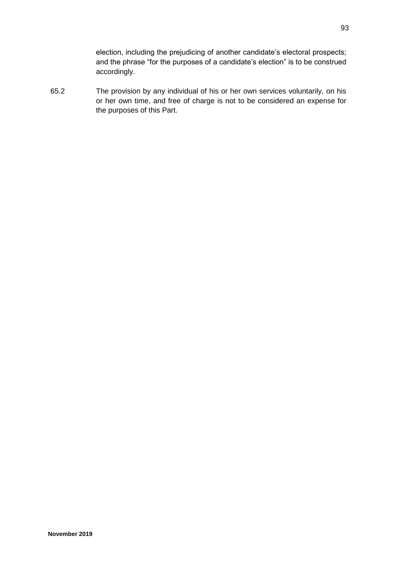election, including the prejudicing of another candidate's electoral prospects; and the phrase "for the purposes of a candidate's election" is to be construed accordingly.

65.2 The provision by any individual of his or her own services voluntarily, on his or her own time, and free of charge is not to be considered an expense for the purposes of this Part.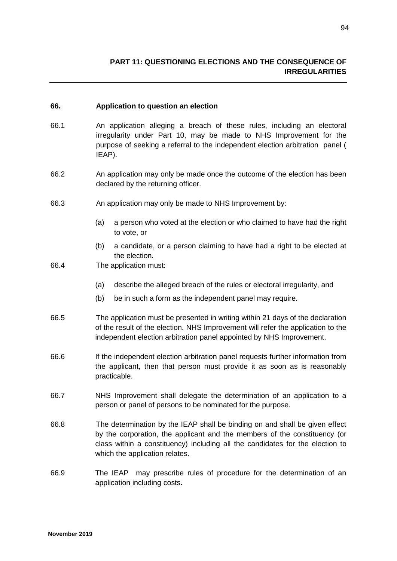#### **66. Application to question an election**

- 66.1 An application alleging a breach of these rules, including an electoral irregularity under Part 10, may be made to NHS Improvement for the purpose of seeking a referral to the independent election arbitration panel ( IEAP).
- 66.2 An application may only be made once the outcome of the election has been declared by the returning officer.
- 66.3 An application may only be made to NHS Improvement by:
	- (a) a person who voted at the election or who claimed to have had the right to vote, or
	- (b) a candidate, or a person claiming to have had a right to be elected at the election.
- 66.4 The application must:
	- (a) describe the alleged breach of the rules or electoral irregularity, and
	- (b) be in such a form as the independent panel may require.
- 66.5 The application must be presented in writing within 21 days of the declaration of the result of the election. NHS Improvement will refer the application to the independent election arbitration panel appointed by NHS Improvement.
- 66.6 If the independent election arbitration panel requests further information from the applicant, then that person must provide it as soon as is reasonably practicable.
- 66.7 NHS Improvement shall delegate the determination of an application to a person or panel of persons to be nominated for the purpose.
- 66.8 The determination by the IEAP shall be binding on and shall be given effect by the corporation, the applicant and the members of the constituency (or class within a constituency) including all the candidates for the election to which the application relates.
- 66.9 The IEAP may prescribe rules of procedure for the determination of an application including costs.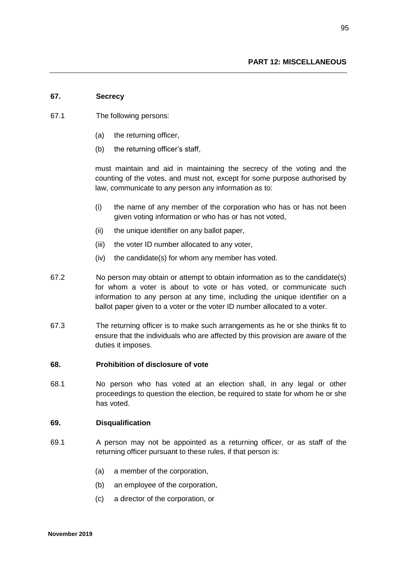#### **67. Secrecy**

- 67.1 The following persons:
	- (a) the returning officer,
	- (b) the returning officer's staff,

must maintain and aid in maintaining the secrecy of the voting and the counting of the votes, and must not, except for some purpose authorised by law, communicate to any person any information as to:

- (i) the name of any member of the corporation who has or has not been given voting information or who has or has not voted,
- (ii) the unique identifier on any ballot paper,
- (iii) the voter ID number allocated to any voter,
- (iv) the candidate(s) for whom any member has voted.
- 67.2 No person may obtain or attempt to obtain information as to the candidate(s) for whom a voter is about to vote or has voted, or communicate such information to any person at any time, including the unique identifier on a ballot paper given to a voter or the voter ID number allocated to a voter.
- 67.3 The returning officer is to make such arrangements as he or she thinks fit to ensure that the individuals who are affected by this provision are aware of the duties it imposes.

#### **68. Prohibition of disclosure of vote**

68.1 No person who has voted at an election shall, in any legal or other proceedings to question the election, be required to state for whom he or she has voted.

#### **69. Disqualification**

- 69.1 A person may not be appointed as a returning officer, or as staff of the returning officer pursuant to these rules, if that person is:
	- (a) a member of the corporation,
	- (b) an employee of the corporation,
	- (c) a director of the corporation, or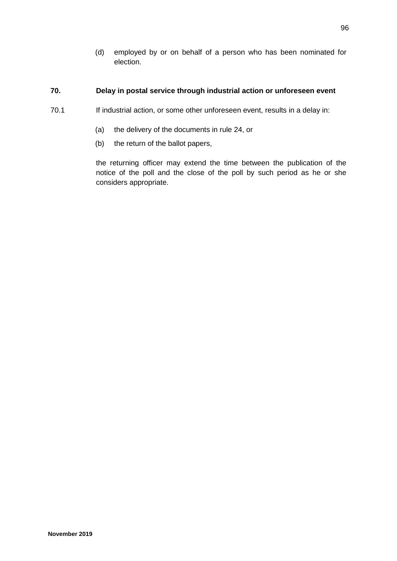(d) employed by or on behalf of a person who has been nominated for election.

## **70. Delay in postal service through industrial action or unforeseen event**

- 70.1 If industrial action, or some other unforeseen event, results in a delay in:
	- (a) the delivery of the documents in rule 24, or
	- (b) the return of the ballot papers,

the returning officer may extend the time between the publication of the notice of the poll and the close of the poll by such period as he or she considers appropriate.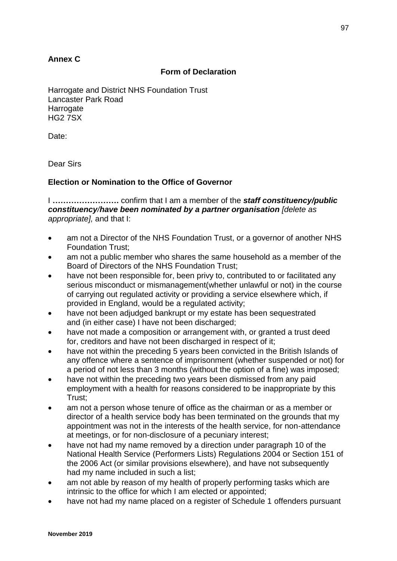# **Annex C**

## **Form of Declaration**

Harrogate and District NHS Foundation Trust Lancaster Park Road **Harrogate** HG2 7SX

Date:

Dear Sirs

## **Election or Nomination to the Office of Governor**

I **…………………….** confirm that I am a member of the *staff constituency/public constituency/have been nominated by a partner organisation [delete as appropriate],* and that I:

- am not a Director of the NHS Foundation Trust, or a governor of another NHS Foundation Trust;
- am not a public member who shares the same household as a member of the Board of Directors of the NHS Foundation Trust;
- have not been responsible for, been privy to, contributed to or facilitated any serious misconduct or mismanagement(whether unlawful or not) in the course of carrying out regulated activity or providing a service elsewhere which, if provided in England, would be a regulated activity;
- have not been adjudged bankrupt or my estate has been sequestrated and (in either case) I have not been discharged;
- have not made a composition or arrangement with, or granted a trust deed for, creditors and have not been discharged in respect of it;
- have not within the preceding 5 years been convicted in the British Islands of any offence where a sentence of imprisonment (whether suspended or not) for a period of not less than 3 months (without the option of a fine) was imposed;
- have not within the preceding two years been dismissed from any paid employment with a health for reasons considered to be inappropriate by this Trust;
- am not a person whose tenure of office as the chairman or as a member or director of a health service body has been terminated on the grounds that my appointment was not in the interests of the health service, for non-attendance at meetings, or for non-disclosure of a pecuniary interest;
- have not had my name removed by a direction under paragraph 10 of the National Health Service (Performers Lists) Regulations 2004 or Section 151 of the 2006 Act (or similar provisions elsewhere), and have not subsequently had my name included in such a list;
- am not able by reason of my health of properly performing tasks which are intrinsic to the office for which I am elected or appointed;
- have not had my name placed on a register of Schedule 1 offenders pursuant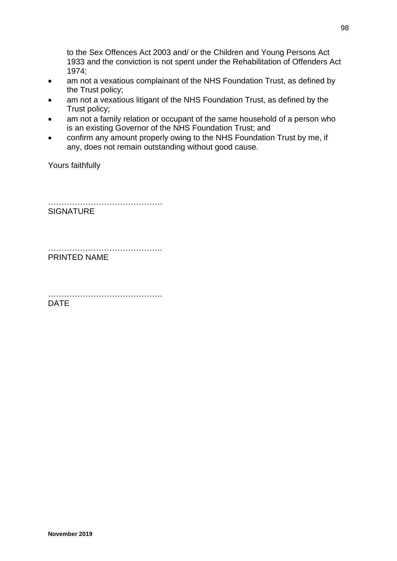to the Sex Offences Act 2003 and/ or the Children and Young Persons Act 1933 and the conviction is not spent under the Rehabilitation of Offenders Act 1974;

- am not a vexatious complainant of the NHS Foundation Trust, as defined by the Trust policy;
- am not a vexatious litigant of the NHS Foundation Trust, as defined by the Trust policy;
- am not a family relation or occupant of the same household of a person who is an existing Governor of the NHS Foundation Trust; and
- confirm any amount properly owing to the NHS Foundation Trust by me, if any, does not remain outstanding without good cause.

Yours faithfully

………………………………………… **SIGNATURE** 

…………………………………………………… PRINTED NAME

………………………………………… DATE

98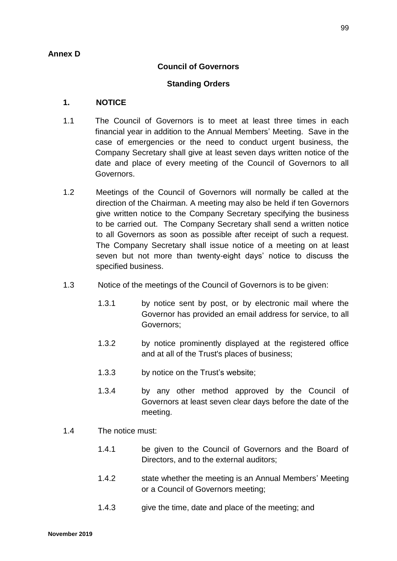# **Annex D**

# **Council of Governors**

## **Standing Orders**

## **1. NOTICE**

- 1.1 The Council of Governors is to meet at least three times in each financial year in addition to the Annual Members' Meeting. Save in the case of emergencies or the need to conduct urgent business, the Company Secretary shall give at least seven days written notice of the date and place of every meeting of the Council of Governors to all Governors.
- 1.2 Meetings of the Council of Governors will normally be called at the direction of the Chairman. A meeting may also be held if ten Governors give written notice to the Company Secretary specifying the business to be carried out. The Company Secretary shall send a written notice to all Governors as soon as possible after receipt of such a request. The Company Secretary shall issue notice of a meeting on at least seven but not more than twenty-eight days' notice to discuss the specified business.
- 1.3 Notice of the meetings of the Council of Governors is to be given:
	- 1.3.1 by notice sent by post, or by electronic mail where the Governor has provided an email address for service, to all Governors;
	- 1.3.2 by notice prominently displayed at the registered office and at all of the Trust's places of business;
	- 1.3.3 by notice on the Trust's website;
	- 1.3.4 by any other method approved by the Council of Governors at least seven clear days before the date of the meeting.
- 1.4 The notice must:
	- 1.4.1 be given to the Council of Governors and the Board of Directors, and to the external auditors;
	- 1.4.2 state whether the meeting is an Annual Members' Meeting or a Council of Governors meeting;
	- 1.4.3 give the time, date and place of the meeting; and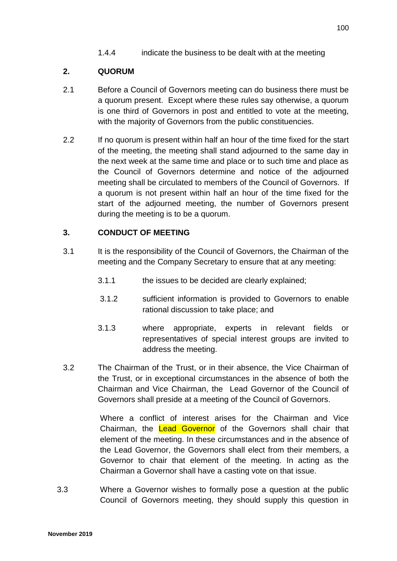1.4.4 indicate the business to be dealt with at the meeting

# **2. QUORUM**

- 2.1 Before a Council of Governors meeting can do business there must be a quorum present. Except where these rules say otherwise, a quorum is one third of Governors in post and entitled to vote at the meeting, with the majority of Governors from the public constituencies.
- 2.2 If no quorum is present within half an hour of the time fixed for the start of the meeting, the meeting shall stand adjourned to the same day in the next week at the same time and place or to such time and place as the Council of Governors determine and notice of the adjourned meeting shall be circulated to members of the Council of Governors. If a quorum is not present within half an hour of the time fixed for the start of the adjourned meeting, the number of Governors present during the meeting is to be a quorum.

# **3. CONDUCT OF MEETING**

- 3.1 It is the responsibility of the Council of Governors, the Chairman of the meeting and the Company Secretary to ensure that at any meeting:
	- 3.1.1 the issues to be decided are clearly explained;
	- 3.1.2 sufficient information is provided to Governors to enable rational discussion to take place; and
	- 3.1.3 where appropriate, experts in relevant fields or representatives of special interest groups are invited to address the meeting.
- 3.2 The Chairman of the Trust, or in their absence, the Vice Chairman of the Trust, or in exceptional circumstances in the absence of both the Chairman and Vice Chairman, the Lead Governor of the Council of Governors shall preside at a meeting of the Council of Governors.

Where a conflict of interest arises for the Chairman and Vice Chairman, the Lead Governor of the Governors shall chair that element of the meeting. In these circumstances and in the absence of the Lead Governor, the Governors shall elect from their members, a Governor to chair that element of the meeting. In acting as the Chairman a Governor shall have a casting vote on that issue.

 3.3 Where a Governor wishes to formally pose a question at the public Council of Governors meeting, they should supply this question in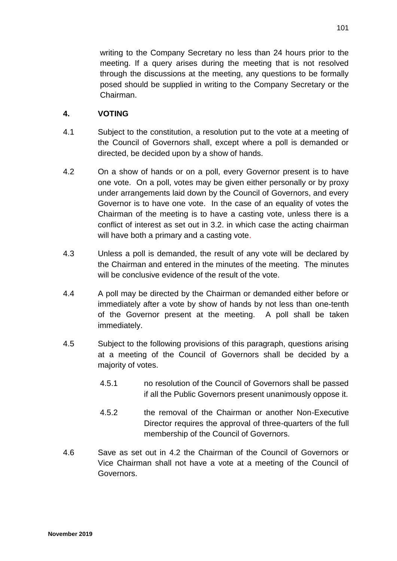writing to the Company Secretary no less than 24 hours prior to the meeting. If a query arises during the meeting that is not resolved through the discussions at the meeting, any questions to be formally posed should be supplied in writing to the Company Secretary or the Chairman.

# **4. VOTING**

- 4.1 Subject to the constitution, a resolution put to the vote at a meeting of the Council of Governors shall, except where a poll is demanded or directed, be decided upon by a show of hands.
- 4.2 On a show of hands or on a poll, every Governor present is to have one vote. On a poll, votes may be given either personally or by proxy under arrangements laid down by the Council of Governors, and every Governor is to have one vote. In the case of an equality of votes the Chairman of the meeting is to have a casting vote, unless there is a conflict of interest as set out in 3.2. in which case the acting chairman will have both a primary and a casting vote.
- 4.3 Unless a poll is demanded, the result of any vote will be declared by the Chairman and entered in the minutes of the meeting. The minutes will be conclusive evidence of the result of the vote.
- 4.4 A poll may be directed by the Chairman or demanded either before or immediately after a vote by show of hands by not less than one-tenth of the Governor present at the meeting. A poll shall be taken immediately.
- 4.5 Subject to the following provisions of this paragraph, questions arising at a meeting of the Council of Governors shall be decided by a majority of votes.
	- 4.5.1 no resolution of the Council of Governors shall be passed if all the Public Governors present unanimously oppose it.
	- 4.5.2 the removal of the Chairman or another Non-Executive Director requires the approval of three-quarters of the full membership of the Council of Governors.
- 4.6 Save as set out in 4.2 the Chairman of the Council of Governors or Vice Chairman shall not have a vote at a meeting of the Council of Governors.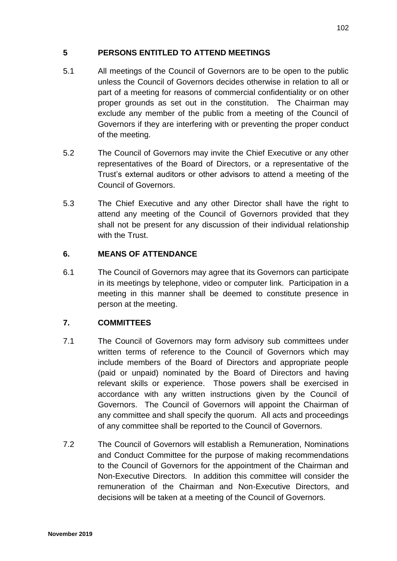# **5 PERSONS ENTITLED TO ATTEND MEETINGS**

- 5.1 All meetings of the Council of Governors are to be open to the public unless the Council of Governors decides otherwise in relation to all or part of a meeting for reasons of commercial confidentiality or on other proper grounds as set out in the constitution. The Chairman may exclude any member of the public from a meeting of the Council of Governors if they are interfering with or preventing the proper conduct of the meeting.
- 5.2 The Council of Governors may invite the Chief Executive or any other representatives of the Board of Directors, or a representative of the Trust's external auditors or other advisors to attend a meeting of the Council of Governors.
- 5.3 The Chief Executive and any other Director shall have the right to attend any meeting of the Council of Governors provided that they shall not be present for any discussion of their individual relationship with the Trust.

# **6. MEANS OF ATTENDANCE**

6.1 The Council of Governors may agree that its Governors can participate in its meetings by telephone, video or computer link. Participation in a meeting in this manner shall be deemed to constitute presence in person at the meeting.

# **7. COMMITTEES**

- 7.1 The Council of Governors may form advisory sub committees under written terms of reference to the Council of Governors which may include members of the Board of Directors and appropriate people (paid or unpaid) nominated by the Board of Directors and having relevant skills or experience. Those powers shall be exercised in accordance with any written instructions given by the Council of Governors. The Council of Governors will appoint the Chairman of any committee and shall specify the quorum. All acts and proceedings of any committee shall be reported to the Council of Governors.
- 7.2 The Council of Governors will establish a Remuneration, Nominations and Conduct Committee for the purpose of making recommendations to the Council of Governors for the appointment of the Chairman and Non-Executive Directors. In addition this committee will consider the remuneration of the Chairman and Non-Executive Directors, and decisions will be taken at a meeting of the Council of Governors.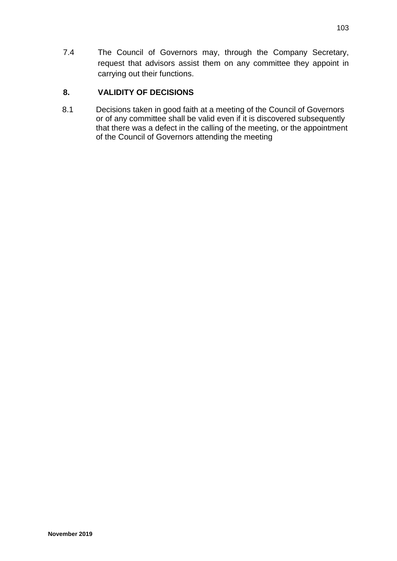7.4 The Council of Governors may, through the Company Secretary, request that advisors assist them on any committee they appoint in carrying out their functions.

# **8. VALIDITY OF DECISIONS**

8.1 Decisions taken in good faith at a meeting of the Council of Governors or of any committee shall be valid even if it is discovered subsequently that there was a defect in the calling of the meeting, or the appointment of the Council of Governors attending the meeting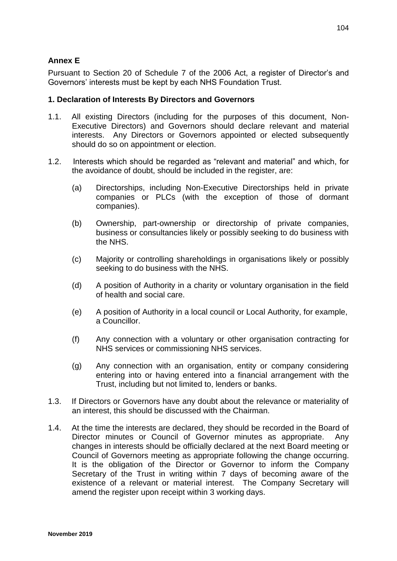# **Annex E**

Pursuant to Section 20 of Schedule 7 of the 2006 Act, a register of Director's and Governors' interests must be kept by each NHS Foundation Trust.

## **1. Declaration of Interests By Directors and Governors**

- 1.1. All existing Directors (including for the purposes of this document, Non-Executive Directors) and Governors should declare relevant and material interests. Any Directors or Governors appointed or elected subsequently should do so on appointment or election.
- 1.2. Interests which should be regarded as "relevant and material" and which, for the avoidance of doubt, should be included in the register, are:
	- (a) Directorships, including Non-Executive Directorships held in private companies or PLCs (with the exception of those of dormant companies).
	- (b) Ownership, part-ownership or directorship of private companies, business or consultancies likely or possibly seeking to do business with the NHS.
	- (c) Majority or controlling shareholdings in organisations likely or possibly seeking to do business with the NHS.
	- (d) A position of Authority in a charity or voluntary organisation in the field of health and social care.
	- (e) A position of Authority in a local council or Local Authority, for example, a Councillor.
	- (f) Any connection with a voluntary or other organisation contracting for NHS services or commissioning NHS services.
	- (g) Any connection with an organisation, entity or company considering entering into or having entered into a financial arrangement with the Trust, including but not limited to, lenders or banks.
- 1.3. If Directors or Governors have any doubt about the relevance or materiality of an interest, this should be discussed with the Chairman.
- 1.4. At the time the interests are declared, they should be recorded in the Board of Director minutes or Council of Governor minutes as appropriate. Any changes in interests should be officially declared at the next Board meeting or Council of Governors meeting as appropriate following the change occurring. It is the obligation of the Director or Governor to inform the Company Secretary of the Trust in writing within 7 days of becoming aware of the existence of a relevant or material interest. The Company Secretary will amend the register upon receipt within 3 working days.